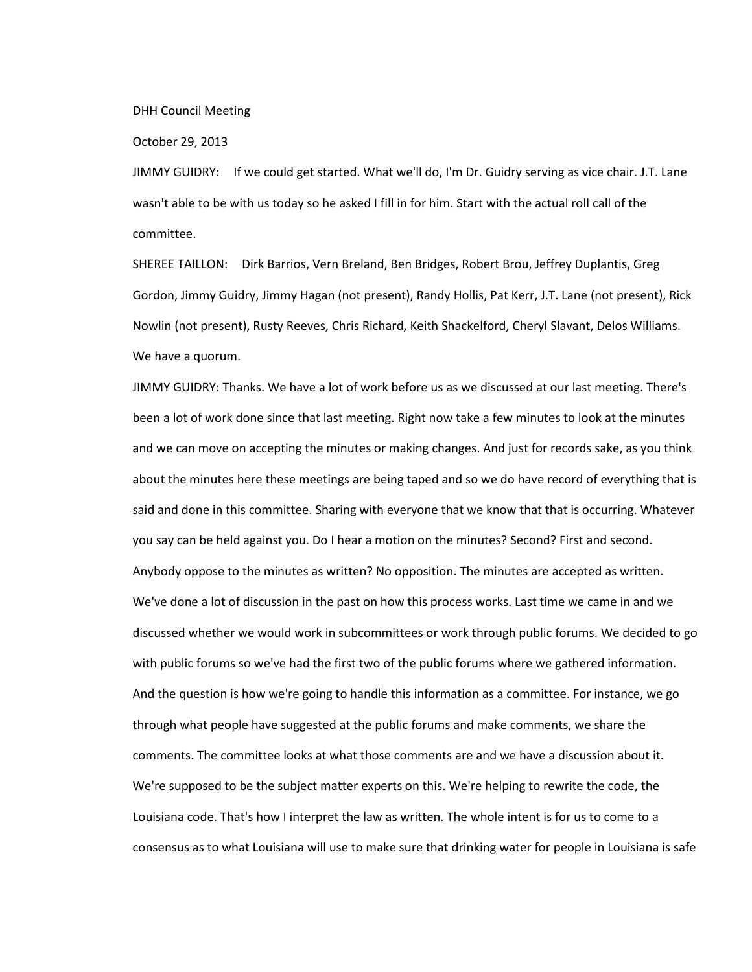DHH Council Meeting

October 29, 2013

JIMMY GUIDRY: If we could get started. What we'll do, I'm Dr. Guidry serving as vice chair. J.T. Lane wasn't able to be with us today so he asked I fill in for him. Start with the actual roll call of the committee.

SHEREE TAILLON: Dirk Barrios, Vern Breland, Ben Bridges, Robert Brou, Jeffrey Duplantis, Greg Gordon, Jimmy Guidry, Jimmy Hagan (not present), Randy Hollis, Pat Kerr, J.T. Lane (not present), Rick Nowlin (not present), Rusty Reeves, Chris Richard, Keith Shackelford, Cheryl Slavant, Delos Williams. We have a quorum.

JIMMY GUIDRY: Thanks. We have a lot of work before us as we discussed at our last meeting. There's been a lot of work done since that last meeting. Right now take a few minutes to look at the minutes and we can move on accepting the minutes or making changes. And just for records sake, as you think about the minutes here these meetings are being taped and so we do have record of everything that is said and done in this committee. Sharing with everyone that we know that that is occurring. Whatever you say can be held against you. Do I hear a motion on the minutes? Second? First and second. Anybody oppose to the minutes as written? No opposition. The minutes are accepted as written. We've done a lot of discussion in the past on how this process works. Last time we came in and we discussed whether we would work in subcommittees or work through public forums. We decided to go with public forums so we've had the first two of the public forums where we gathered information. And the question is how we're going to handle this information as a committee. For instance, we go through what people have suggested at the public forums and make comments, we share the comments. The committee looks at what those comments are and we have a discussion about it. We're supposed to be the subject matter experts on this. We're helping to rewrite the code, the Louisiana code. That's how I interpret the law as written. The whole intent is for us to come to a consensus as to what Louisiana will use to make sure that drinking water for people in Louisiana is safe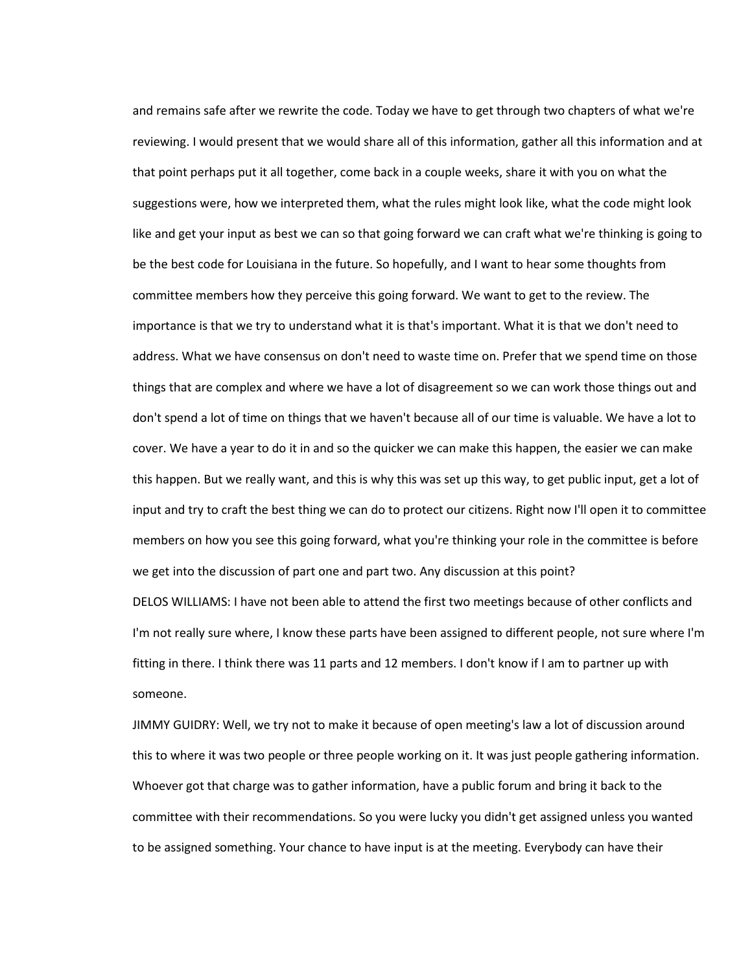and remains safe after we rewrite the code. Today we have to get through two chapters of what we're reviewing. I would present that we would share all of this information, gather all this information and at that point perhaps put it all together, come back in a couple weeks, share it with you on what the suggestions were, how we interpreted them, what the rules might look like, what the code might look like and get your input as best we can so that going forward we can craft what we're thinking is going to be the best code for Louisiana in the future. So hopefully, and I want to hear some thoughts from committee members how they perceive this going forward. We want to get to the review. The importance is that we try to understand what it is that's important. What it is that we don't need to address. What we have consensus on don't need to waste time on. Prefer that we spend time on those things that are complex and where we have a lot of disagreement so we can work those things out and don't spend a lot of time on things that we haven't because all of our time is valuable. We have a lot to cover. We have a year to do it in and so the quicker we can make this happen, the easier we can make this happen. But we really want, and this is why this was set up this way, to get public input, get a lot of input and try to craft the best thing we can do to protect our citizens. Right now I'll open it to committee members on how you see this going forward, what you're thinking your role in the committee is before we get into the discussion of part one and part two. Any discussion at this point? DELOS WILLIAMS: I have not been able to attend the first two meetings because of other conflicts and

I'm not really sure where, I know these parts have been assigned to different people, not sure where I'm fitting in there. I think there was 11 parts and 12 members. I don't know if I am to partner up with someone.

JIMMY GUIDRY: Well, we try not to make it because of open meeting's law a lot of discussion around this to where it was two people or three people working on it. It was just people gathering information. Whoever got that charge was to gather information, have a public forum and bring it back to the committee with their recommendations. So you were lucky you didn't get assigned unless you wanted to be assigned something. Your chance to have input is at the meeting. Everybody can have their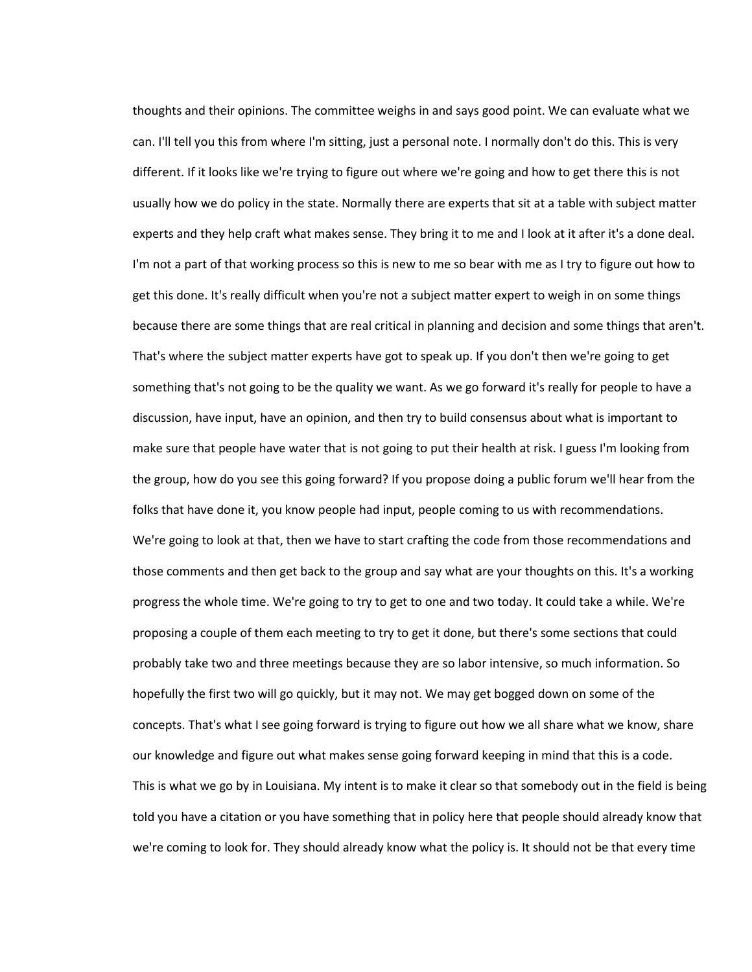thoughts and their opinions. The committee weighs in and says good point. We can evaluate what we can. I'll tell you this from where I'm sitting, just a personal note. I normally don't do this. This is very different. If it looks like we're trying to figure out where we're going and how to get there this is not usually how we do policy in the state. Normally there are experts that sit at a table with subject matter experts and they help craft what makes sense. They bring it to me and I look at it after it's a done deal. I'm not a part of that working process so this is new to me so bear with me as I try to figure out how to get this done. It's really difficult when you're not a subject matter expert to weigh in on some things because there are some things that are real critical in planning and decision and some things that aren't. That's where the subject matter experts have got to speak up. If you don't then we're going to get something that's not going to be the quality we want. As we go forward it's really for people to have a discussion, have input, have an opinion, and then try to build consensus about what is important to make sure that people have water that is not going to put their health at risk. I guess I'm looking from the group, how do you see this going forward? If you propose doing a public forum we'll hear from the folks that have done it, you know people had input, people coming to us with recommendations. We're going to look at that, then we have to start crafting the code from those recommendations and those comments and then get back to the group and say what are your thoughts on this. It's a working progress the whole time. We're going to try to get to one and two today. It could take a while. We're proposing a couple of them each meeting to try to get it done, but there's some sections that could probably take two and three meetings because they are so labor intensive, so much information. So hopefully the first two will go quickly, but it may not. We may get bogged down on some of the concepts. That's what I see going forward is trying to figure out how we all share what we know, share our knowledge and figure out what makes sense going forward keeping in mind that this is a code. This is what we go by in Louisiana. My intent is to make it clear so that somebody out in the field is being told you have a citation or you have something that in policy here that people should already know that we're coming to look for. They should already know what the policy is. It should not be that every time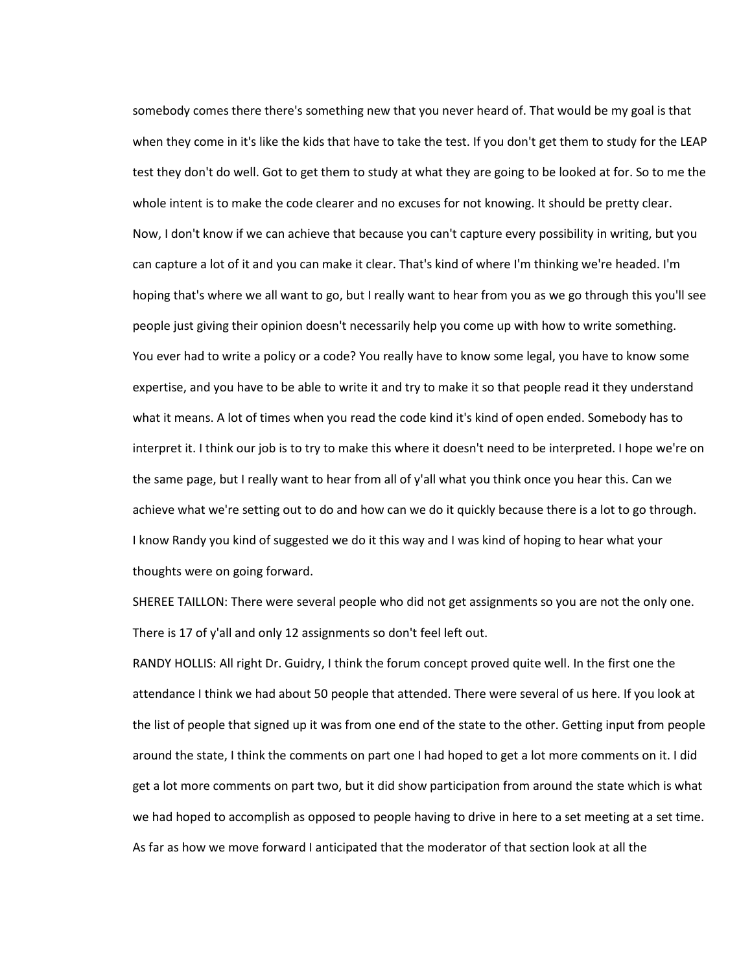somebody comes there there's something new that you never heard of. That would be my goal is that when they come in it's like the kids that have to take the test. If you don't get them to study for the LEAP test they don't do well. Got to get them to study at what they are going to be looked at for. So to me the whole intent is to make the code clearer and no excuses for not knowing. It should be pretty clear. Now, I don't know if we can achieve that because you can't capture every possibility in writing, but you can capture a lot of it and you can make it clear. That's kind of where I'm thinking we're headed. I'm hoping that's where we all want to go, but I really want to hear from you as we go through this you'll see people just giving their opinion doesn't necessarily help you come up with how to write something. You ever had to write a policy or a code? You really have to know some legal, you have to know some expertise, and you have to be able to write it and try to make it so that people read it they understand what it means. A lot of times when you read the code kind it's kind of open ended. Somebody has to interpret it. I think our job is to try to make this where it doesn't need to be interpreted. I hope we're on the same page, but I really want to hear from all of y'all what you think once you hear this. Can we achieve what we're setting out to do and how can we do it quickly because there is a lot to go through. I know Randy you kind of suggested we do it this way and I was kind of hoping to hear what your thoughts were on going forward.

SHEREE TAILLON: There were several people who did not get assignments so you are not the only one. There is 17 of y'all and only 12 assignments so don't feel left out.

RANDY HOLLIS: All right Dr. Guidry, I think the forum concept proved quite well. In the first one the attendance I think we had about 50 people that attended. There were several of us here. If you look at the list of people that signed up it was from one end of the state to the other. Getting input from people around the state, I think the comments on part one I had hoped to get a lot more comments on it. I did get a lot more comments on part two, but it did show participation from around the state which is what we had hoped to accomplish as opposed to people having to drive in here to a set meeting at a set time. As far as how we move forward I anticipated that the moderator of that section look at all the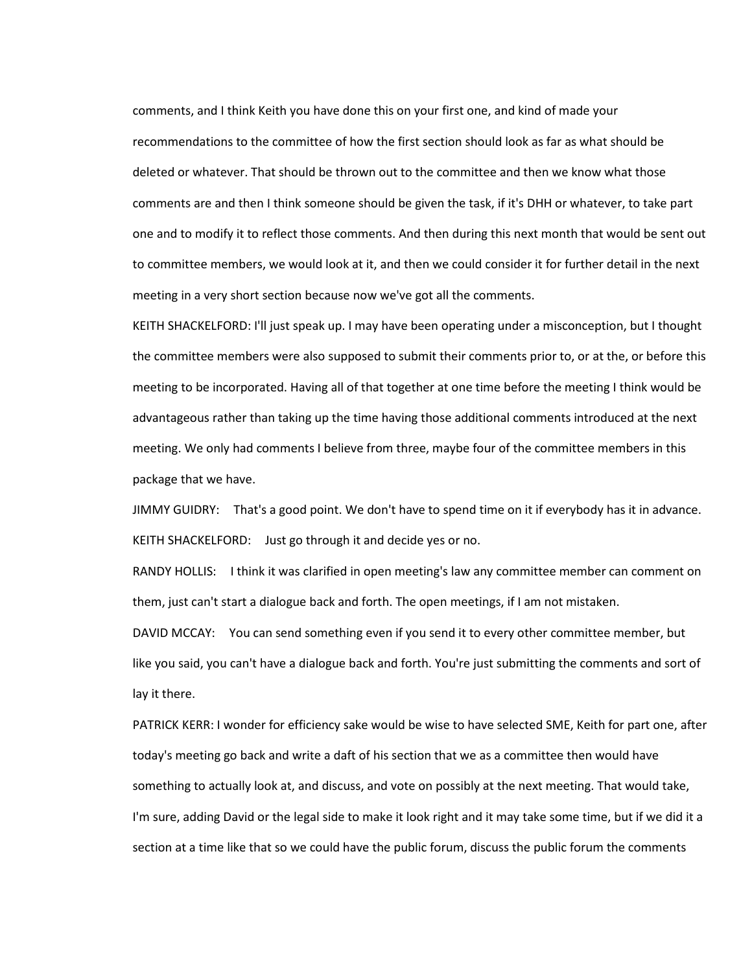comments, and I think Keith you have done this on your first one, and kind of made your recommendations to the committee of how the first section should look as far as what should be deleted or whatever. That should be thrown out to the committee and then we know what those comments are and then I think someone should be given the task, if it's DHH or whatever, to take part one and to modify it to reflect those comments. And then during this next month that would be sent out to committee members, we would look at it, and then we could consider it for further detail in the next meeting in a very short section because now we've got all the comments.

KEITH SHACKELFORD: I'll just speak up. I may have been operating under a misconception, but I thought the committee members were also supposed to submit their comments prior to, or at the, or before this meeting to be incorporated. Having all of that together at one time before the meeting I think would be advantageous rather than taking up the time having those additional comments introduced at the next meeting. We only had comments I believe from three, maybe four of the committee members in this package that we have.

JIMMY GUIDRY: That's a good point. We don't have to spend time on it if everybody has it in advance. KEITH SHACKELFORD: Just go through it and decide yes or no.

RANDY HOLLIS: I think it was clarified in open meeting's law any committee member can comment on them, just can't start a dialogue back and forth. The open meetings, if I am not mistaken.

DAVID MCCAY: You can send something even if you send it to every other committee member, but like you said, you can't have a dialogue back and forth. You're just submitting the comments and sort of lay it there.

PATRICK KERR: I wonder for efficiency sake would be wise to have selected SME, Keith for part one, after today's meeting go back and write a daft of his section that we as a committee then would have something to actually look at, and discuss, and vote on possibly at the next meeting. That would take, I'm sure, adding David or the legal side to make it look right and it may take some time, but if we did it a section at a time like that so we could have the public forum, discuss the public forum the comments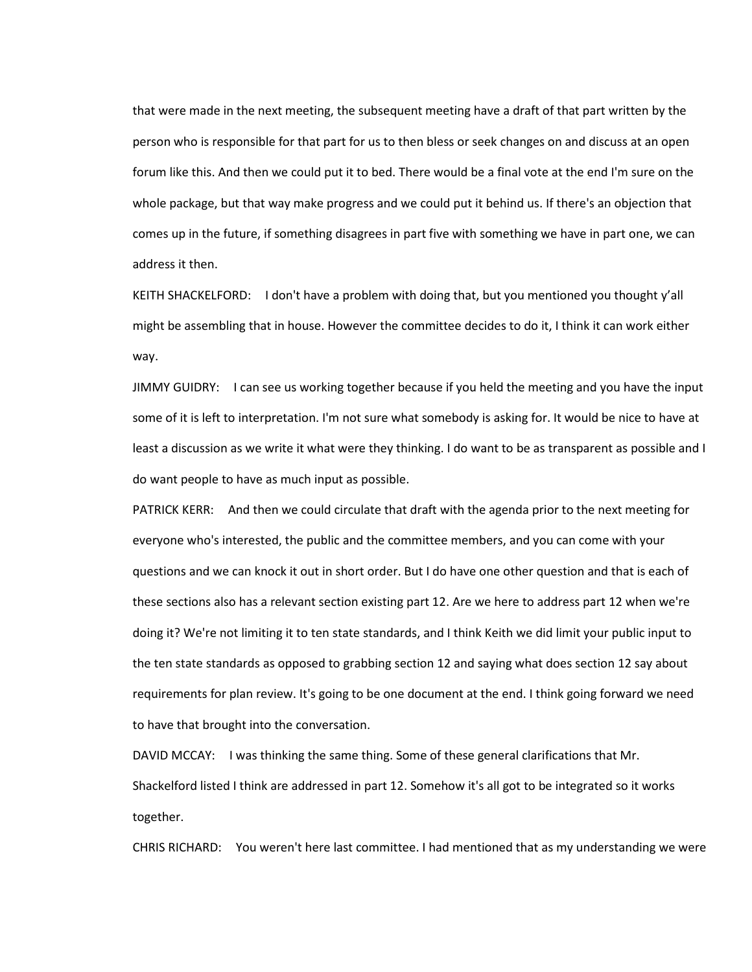that were made in the next meeting, the subsequent meeting have a draft of that part written by the person who is responsible for that part for us to then bless or seek changes on and discuss at an open forum like this. And then we could put it to bed. There would be a final vote at the end I'm sure on the whole package, but that way make progress and we could put it behind us. If there's an objection that comes up in the future, if something disagrees in part five with something we have in part one, we can address it then.

KEITH SHACKELFORD: I don't have a problem with doing that, but you mentioned you thought y'all might be assembling that in house. However the committee decides to do it, I think it can work either way.

JIMMY GUIDRY: I can see us working together because if you held the meeting and you have the input some of it is left to interpretation. I'm not sure what somebody is asking for. It would be nice to have at least a discussion as we write it what were they thinking. I do want to be as transparent as possible and I do want people to have as much input as possible.

PATRICK KERR: And then we could circulate that draft with the agenda prior to the next meeting for everyone who's interested, the public and the committee members, and you can come with your questions and we can knock it out in short order. But I do have one other question and that is each of these sections also has a relevant section existing part 12. Are we here to address part 12 when we're doing it? We're not limiting it to ten state standards, and I think Keith we did limit your public input to the ten state standards as opposed to grabbing section 12 and saying what does section 12 say about requirements for plan review. It's going to be one document at the end. I think going forward we need to have that brought into the conversation.

DAVID MCCAY: I was thinking the same thing. Some of these general clarifications that Mr. Shackelford listed I think are addressed in part 12. Somehow it's all got to be integrated so it works together.

CHRIS RICHARD: You weren't here last committee. I had mentioned that as my understanding we were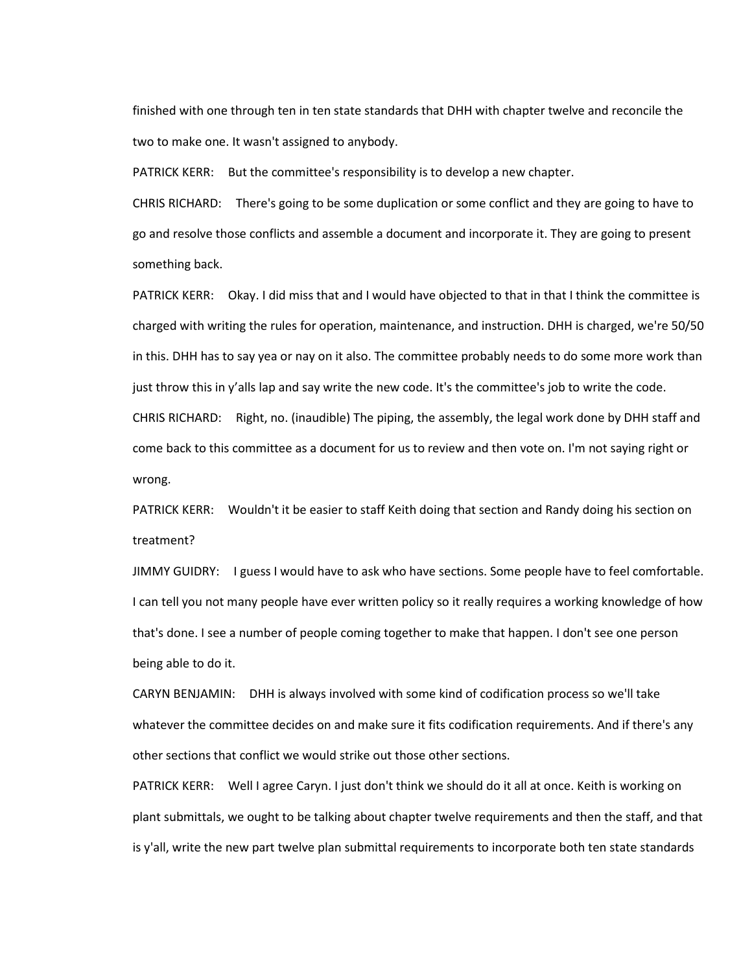finished with one through ten in ten state standards that DHH with chapter twelve and reconcile the two to make one. It wasn't assigned to anybody.

PATRICK KERR: But the committee's responsibility is to develop a new chapter.

CHRIS RICHARD: There's going to be some duplication or some conflict and they are going to have to go and resolve those conflicts and assemble a document and incorporate it. They are going to present something back.

PATRICK KERR: Okay. I did miss that and I would have objected to that in that I think the committee is charged with writing the rules for operation, maintenance, and instruction. DHH is charged, we're 50/50 in this. DHH has to say yea or nay on it also. The committee probably needs to do some more work than just throw this in y'alls lap and say write the new code. It's the committee's job to write the code. CHRIS RICHARD: Right, no. (inaudible) The piping, the assembly, the legal work done by DHH staff and come back to this committee as a document for us to review and then vote on. I'm not saying right or

wrong.

PATRICK KERR: Wouldn't it be easier to staff Keith doing that section and Randy doing his section on treatment?

JIMMY GUIDRY: I guess I would have to ask who have sections. Some people have to feel comfortable. I can tell you not many people have ever written policy so it really requires a working knowledge of how that's done. I see a number of people coming together to make that happen. I don't see one person being able to do it.

CARYN BENJAMIN: DHH is always involved with some kind of codification process so we'll take whatever the committee decides on and make sure it fits codification requirements. And if there's any other sections that conflict we would strike out those other sections.

PATRICK KERR: Well I agree Caryn. I just don't think we should do it all at once. Keith is working on plant submittals, we ought to be talking about chapter twelve requirements and then the staff, and that is y'all, write the new part twelve plan submittal requirements to incorporate both ten state standards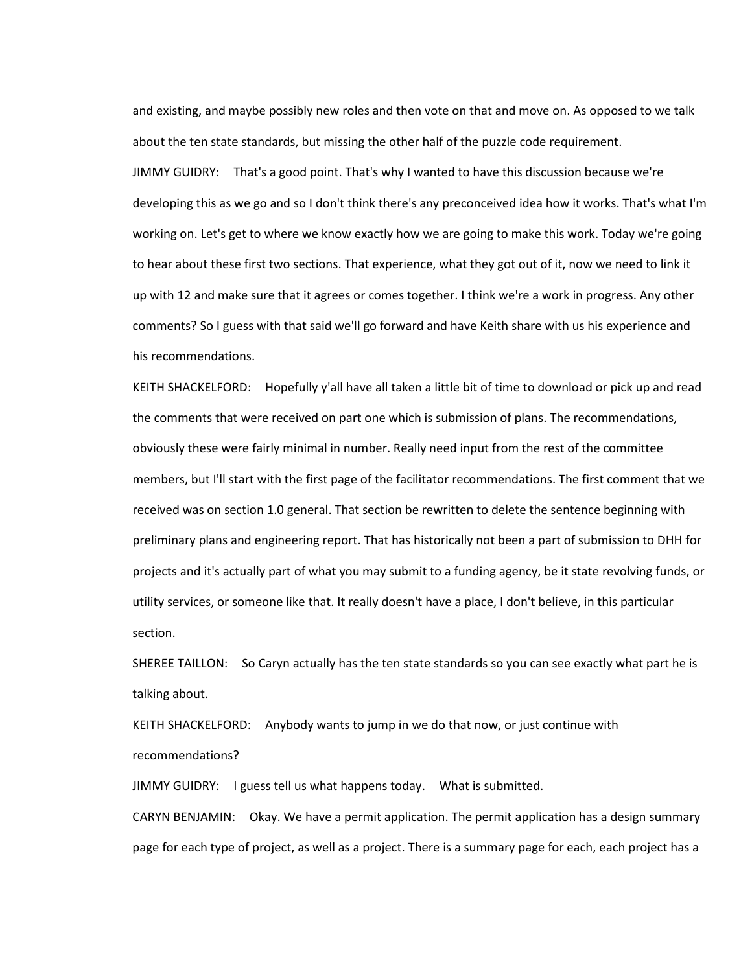and existing, and maybe possibly new roles and then vote on that and move on. As opposed to we talk about the ten state standards, but missing the other half of the puzzle code requirement.

JIMMY GUIDRY: That's a good point. That's why I wanted to have this discussion because we're developing this as we go and so I don't think there's any preconceived idea how it works. That's what I'm working on. Let's get to where we know exactly how we are going to make this work. Today we're going to hear about these first two sections. That experience, what they got out of it, now we need to link it up with 12 and make sure that it agrees or comes together. I think we're a work in progress. Any other comments? So I guess with that said we'll go forward and have Keith share with us his experience and his recommendations.

KEITH SHACKELFORD: Hopefully y'all have all taken a little bit of time to download or pick up and read the comments that were received on part one which is submission of plans. The recommendations, obviously these were fairly minimal in number. Really need input from the rest of the committee members, but I'll start with the first page of the facilitator recommendations. The first comment that we received was on section 1.0 general. That section be rewritten to delete the sentence beginning with preliminary plans and engineering report. That has historically not been a part of submission to DHH for projects and it's actually part of what you may submit to a funding agency, be it state revolving funds, or utility services, or someone like that. It really doesn't have a place, I don't believe, in this particular section.

SHEREE TAILLON: So Caryn actually has the ten state standards so you can see exactly what part he is talking about.

KEITH SHACKELFORD: Anybody wants to jump in we do that now, or just continue with recommendations?

JIMMY GUIDRY: I guess tell us what happens today. What is submitted.

CARYN BENJAMIN: Okay. We have a permit application. The permit application has a design summary page for each type of project, as well as a project. There is a summary page for each, each project has a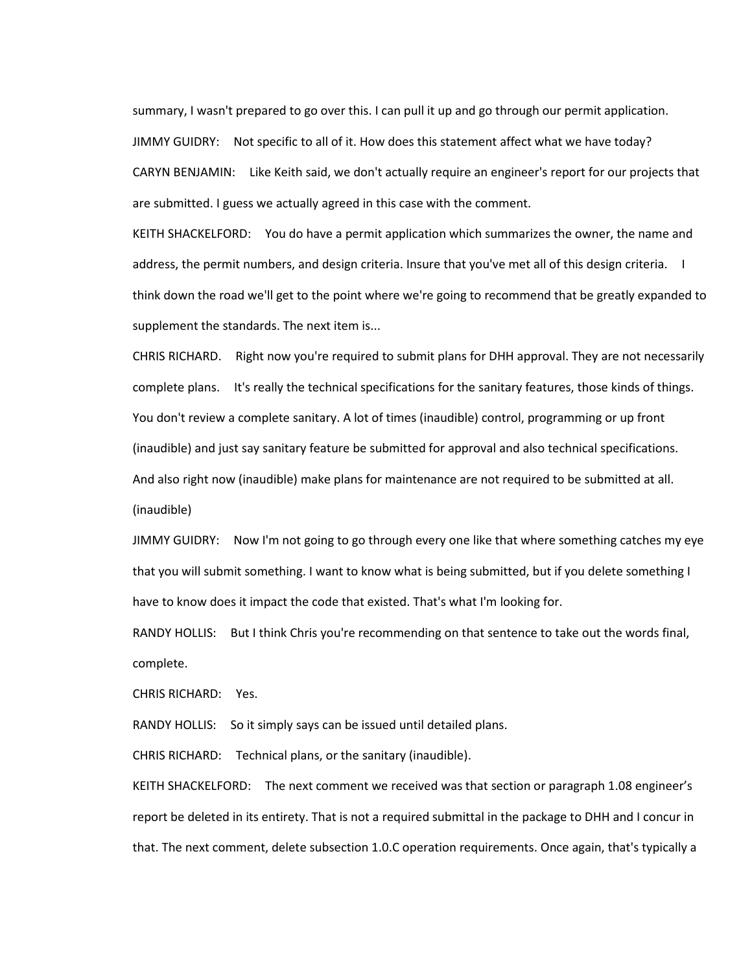summary, I wasn't prepared to go over this. I can pull it up and go through our permit application. JIMMY GUIDRY: Not specific to all of it. How does this statement affect what we have today? CARYN BENJAMIN: Like Keith said, we don't actually require an engineer's report for our projects that are submitted. I guess we actually agreed in this case with the comment.

KEITH SHACKELFORD: You do have a permit application which summarizes the owner, the name and address, the permit numbers, and design criteria. Insure that you've met all of this design criteria. I think down the road we'll get to the point where we're going to recommend that be greatly expanded to supplement the standards. The next item is...

CHRIS RICHARD. Right now you're required to submit plans for DHH approval. They are not necessarily complete plans. It's really the technical specifications for the sanitary features, those kinds of things. You don't review a complete sanitary. A lot of times (inaudible) control, programming or up front (inaudible) and just say sanitary feature be submitted for approval and also technical specifications. And also right now (inaudible) make plans for maintenance are not required to be submitted at all. (inaudible)

JIMMY GUIDRY: Now I'm not going to go through every one like that where something catches my eye that you will submit something. I want to know what is being submitted, but if you delete something I have to know does it impact the code that existed. That's what I'm looking for.

RANDY HOLLIS: But I think Chris you're recommending on that sentence to take out the words final, complete.

CHRIS RICHARD: Yes.

RANDY HOLLIS: So it simply says can be issued until detailed plans.

CHRIS RICHARD: Technical plans, or the sanitary (inaudible).

KEITH SHACKELFORD: The next comment we received was that section or paragraph 1.08 engineer's report be deleted in its entirety. That is not a required submittal in the package to DHH and I concur in that. The next comment, delete subsection 1.0.C operation requirements. Once again, that's typically a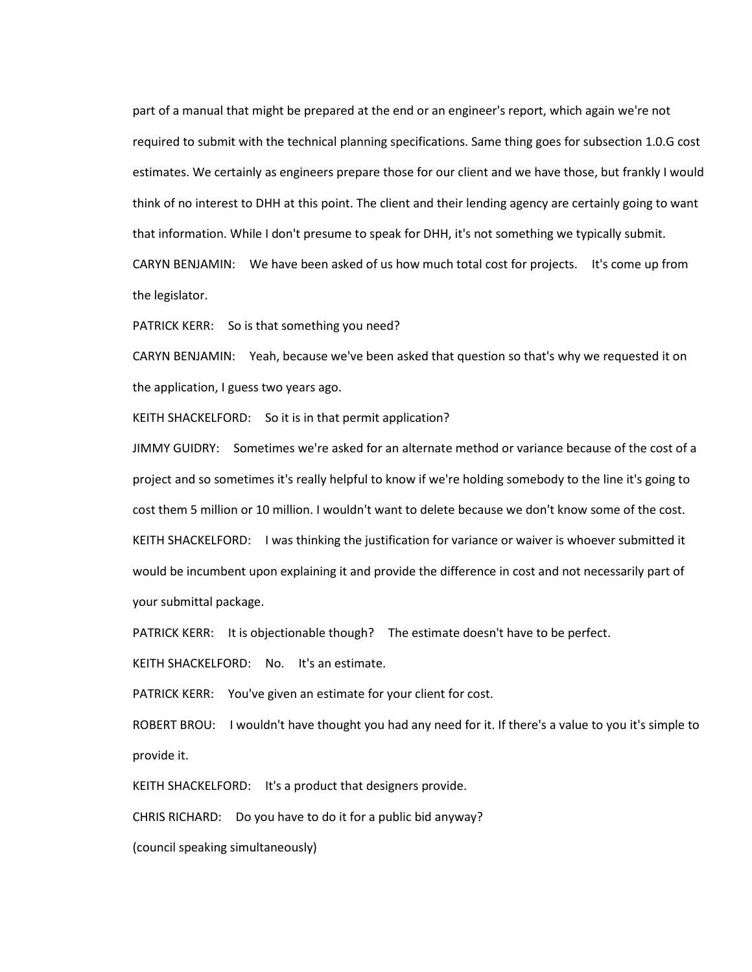part of a manual that might be prepared at the end or an engineer's report, which again we're not required to submit with the technical planning specifications. Same thing goes for subsection 1.0.G cost estimates. We certainly as engineers prepare those for our client and we have those, but frankly I would think of no interest to DHH at this point. The client and their lending agency are certainly going to want that information. While I don't presume to speak for DHH, it's not something we typically submit. CARYN BENJAMIN: We have been asked of us how much total cost for projects. It's come up from the legislator.

PATRICK KERR: So is that something you need?

CARYN BENJAMIN: Yeah, because we've been asked that question so that's why we requested it on the application, I guess two years ago.

KEITH SHACKELFORD: So it is in that permit application?

JIMMY GUIDRY: Sometimes we're asked for an alternate method or variance because of the cost of a project and so sometimes it's really helpful to know if we're holding somebody to the line it's going to cost them 5 million or 10 million. I wouldn't want to delete because we don't know some of the cost. KEITH SHACKELFORD: I was thinking the justification for variance or waiver is whoever submitted it would be incumbent upon explaining it and provide the difference in cost and not necessarily part of your submittal package.

PATRICK KERR: It is objectionable though? The estimate doesn't have to be perfect.

KEITH SHACKELFORD: No. It's an estimate.

PATRICK KERR: You've given an estimate for your client for cost.

ROBERT BROU: I wouldn't have thought you had any need for it. If there's a value to you it's simple to provide it.

KEITH SHACKELFORD: It's a product that designers provide.

CHRIS RICHARD: Do you have to do it for a public bid anyway?

(council speaking simultaneously)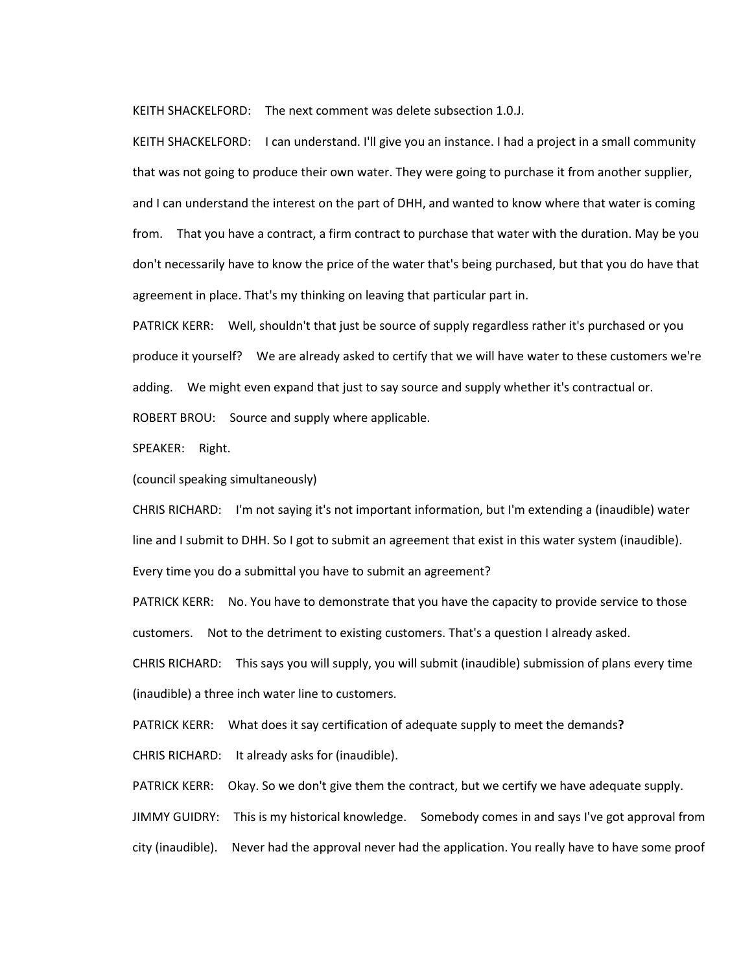KEITH SHACKELFORD: The next comment was delete subsection 1.0.J.

KEITH SHACKELFORD: I can understand. I'll give you an instance. I had a project in a small community that was not going to produce their own water. They were going to purchase it from another supplier, and I can understand the interest on the part of DHH, and wanted to know where that water is coming from. That you have a contract, a firm contract to purchase that water with the duration. May be you don't necessarily have to know the price of the water that's being purchased, but that you do have that agreement in place. That's my thinking on leaving that particular part in.

PATRICK KERR: Well, shouldn't that just be source of supply regardless rather it's purchased or you produce it yourself? We are already asked to certify that we will have water to these customers we're adding. We might even expand that just to say source and supply whether it's contractual or.

ROBERT BROU: Source and supply where applicable.

SPEAKER: Right.

(council speaking simultaneously)

CHRIS RICHARD: I'm not saying it's not important information, but I'm extending a (inaudible) water line and I submit to DHH. So I got to submit an agreement that exist in this water system (inaudible).

Every time you do a submittal you have to submit an agreement?

PATRICK KERR: No. You have to demonstrate that you have the capacity to provide service to those customers. Not to the detriment to existing customers. That's a question I already asked.

CHRIS RICHARD: This says you will supply, you will submit (inaudible) submission of plans every time (inaudible) a three inch water line to customers.

PATRICK KERR: What does it say certification of adequate supply to meet the demands**?** 

CHRIS RICHARD: It already asks for (inaudible).

PATRICK KERR: Okay. So we don't give them the contract, but we certify we have adequate supply.

JIMMY GUIDRY: This is my historical knowledge. Somebody comes in and says I've got approval from

city (inaudible). Never had the approval never had the application. You really have to have some proof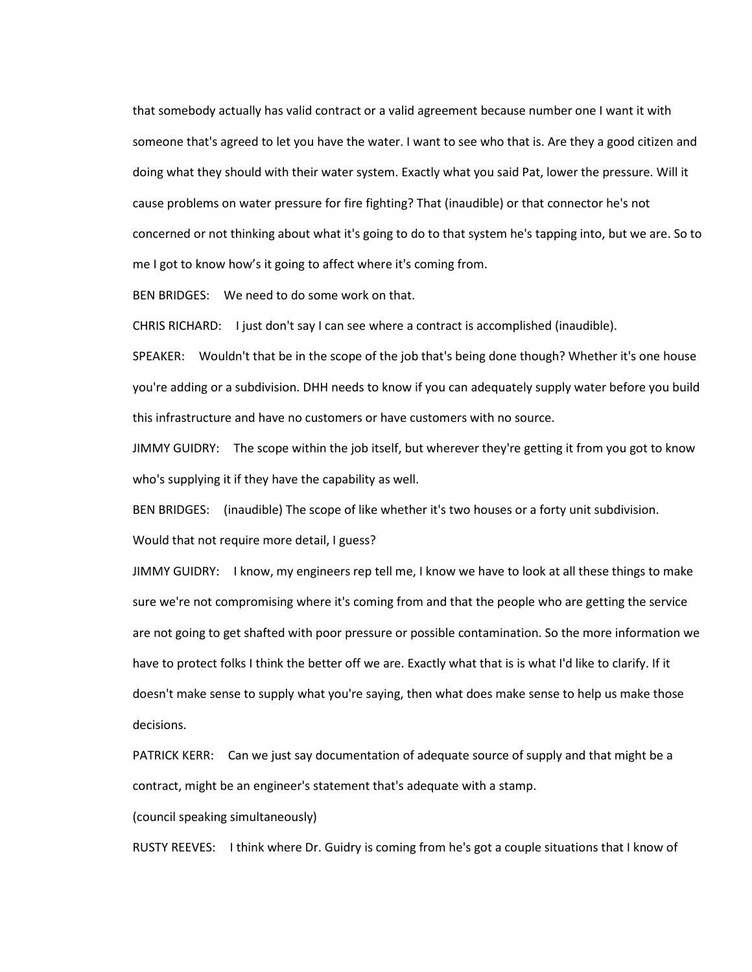that somebody actually has valid contract or a valid agreement because number one I want it with someone that's agreed to let you have the water. I want to see who that is. Are they a good citizen and doing what they should with their water system. Exactly what you said Pat, lower the pressure. Will it cause problems on water pressure for fire fighting? That (inaudible) or that connector he's not concerned or not thinking about what it's going to do to that system he's tapping into, but we are. So to me I got to know how's it going to affect where it's coming from.

BEN BRIDGES: We need to do some work on that.

CHRIS RICHARD: I just don't say I can see where a contract is accomplished (inaudible).

SPEAKER: Wouldn't that be in the scope of the job that's being done though? Whether it's one house you're adding or a subdivision. DHH needs to know if you can adequately supply water before you build this infrastructure and have no customers or have customers with no source.

JIMMY GUIDRY: The scope within the job itself, but wherever they're getting it from you got to know who's supplying it if they have the capability as well.

BEN BRIDGES: (inaudible) The scope of like whether it's two houses or a forty unit subdivision.

Would that not require more detail, I guess?

JIMMY GUIDRY: I know, my engineers rep tell me, I know we have to look at all these things to make sure we're not compromising where it's coming from and that the people who are getting the service are not going to get shafted with poor pressure or possible contamination. So the more information we have to protect folks I think the better off we are. Exactly what that is is what I'd like to clarify. If it doesn't make sense to supply what you're saying, then what does make sense to help us make those decisions.

PATRICK KERR: Can we just say documentation of adequate source of supply and that might be a contract, might be an engineer's statement that's adequate with a stamp.

(council speaking simultaneously)

RUSTY REEVES: I think where Dr. Guidry is coming from he's got a couple situations that I know of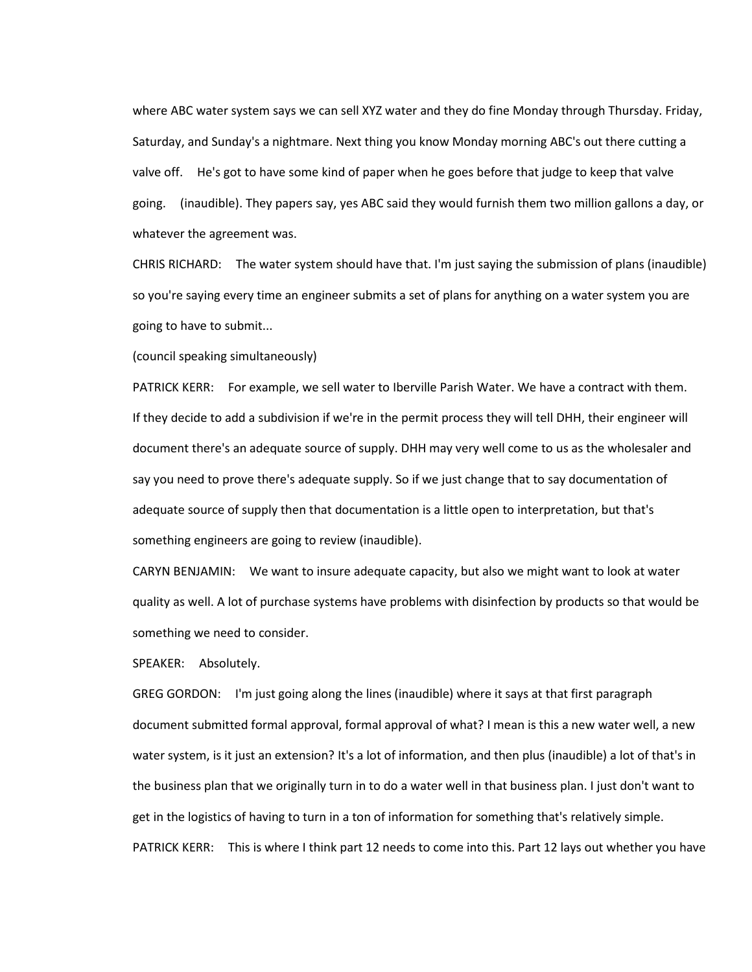where ABC water system says we can sell XYZ water and they do fine Monday through Thursday. Friday, Saturday, and Sunday's a nightmare. Next thing you know Monday morning ABC's out there cutting a valve off. He's got to have some kind of paper when he goes before that judge to keep that valve going. (inaudible). They papers say, yes ABC said they would furnish them two million gallons a day, or whatever the agreement was.

CHRIS RICHARD: The water system should have that. I'm just saying the submission of plans (inaudible) so you're saying every time an engineer submits a set of plans for anything on a water system you are going to have to submit...

(council speaking simultaneously)

PATRICK KERR: For example, we sell water to Iberville Parish Water. We have a contract with them. If they decide to add a subdivision if we're in the permit process they will tell DHH, their engineer will document there's an adequate source of supply. DHH may very well come to us as the wholesaler and say you need to prove there's adequate supply. So if we just change that to say documentation of adequate source of supply then that documentation is a little open to interpretation, but that's something engineers are going to review (inaudible).

CARYN BENJAMIN: We want to insure adequate capacity, but also we might want to look at water quality as well. A lot of purchase systems have problems with disinfection by products so that would be something we need to consider.

SPEAKER: Absolutely.

GREG GORDON: I'm just going along the lines (inaudible) where it says at that first paragraph document submitted formal approval, formal approval of what? I mean is this a new water well, a new water system, is it just an extension? It's a lot of information, and then plus (inaudible) a lot of that's in the business plan that we originally turn in to do a water well in that business plan. I just don't want to get in the logistics of having to turn in a ton of information for something that's relatively simple. PATRICK KERR: This is where I think part 12 needs to come into this. Part 12 lays out whether you have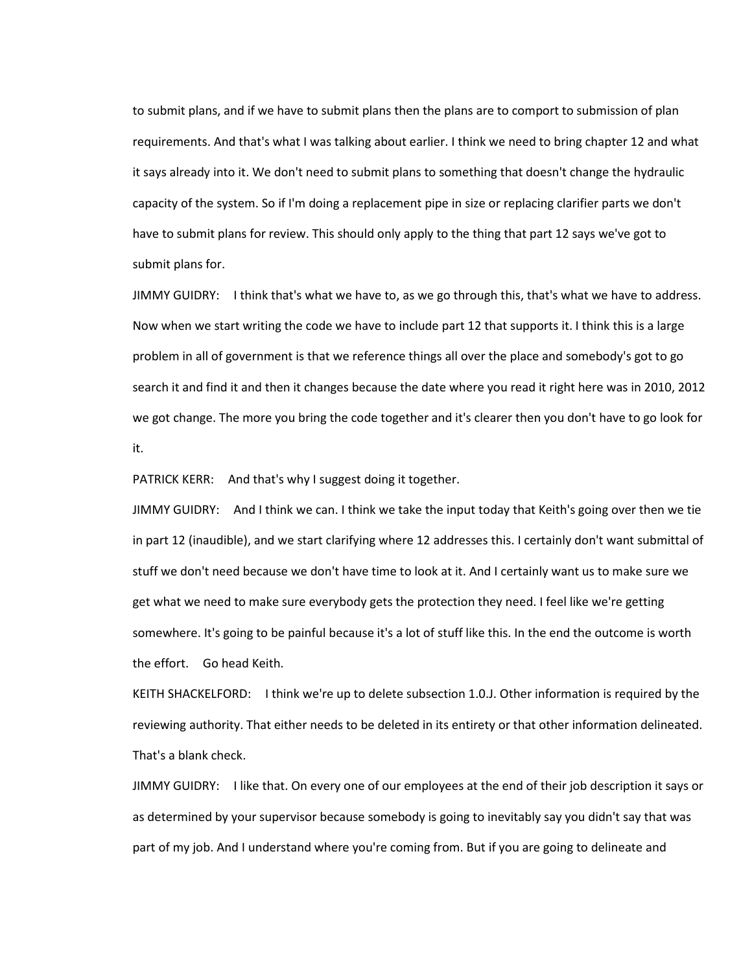to submit plans, and if we have to submit plans then the plans are to comport to submission of plan requirements. And that's what I was talking about earlier. I think we need to bring chapter 12 and what it says already into it. We don't need to submit plans to something that doesn't change the hydraulic capacity of the system. So if I'm doing a replacement pipe in size or replacing clarifier parts we don't have to submit plans for review. This should only apply to the thing that part 12 says we've got to submit plans for.

JIMMY GUIDRY: I think that's what we have to, as we go through this, that's what we have to address. Now when we start writing the code we have to include part 12 that supports it. I think this is a large problem in all of government is that we reference things all over the place and somebody's got to go search it and find it and then it changes because the date where you read it right here was in 2010, 2012 we got change. The more you bring the code together and it's clearer then you don't have to go look for it.

PATRICK KERR: And that's why I suggest doing it together.

JIMMY GUIDRY: And I think we can. I think we take the input today that Keith's going over then we tie in part 12 (inaudible), and we start clarifying where 12 addresses this. I certainly don't want submittal of stuff we don't need because we don't have time to look at it. And I certainly want us to make sure we get what we need to make sure everybody gets the protection they need. I feel like we're getting somewhere. It's going to be painful because it's a lot of stuff like this. In the end the outcome is worth the effort. Go head Keith.

KEITH SHACKELFORD: I think we're up to delete subsection 1.0.J. Other information is required by the reviewing authority. That either needs to be deleted in its entirety or that other information delineated. That's a blank check.

JIMMY GUIDRY: I like that. On every one of our employees at the end of their job description it says or as determined by your supervisor because somebody is going to inevitably say you didn't say that was part of my job. And I understand where you're coming from. But if you are going to delineate and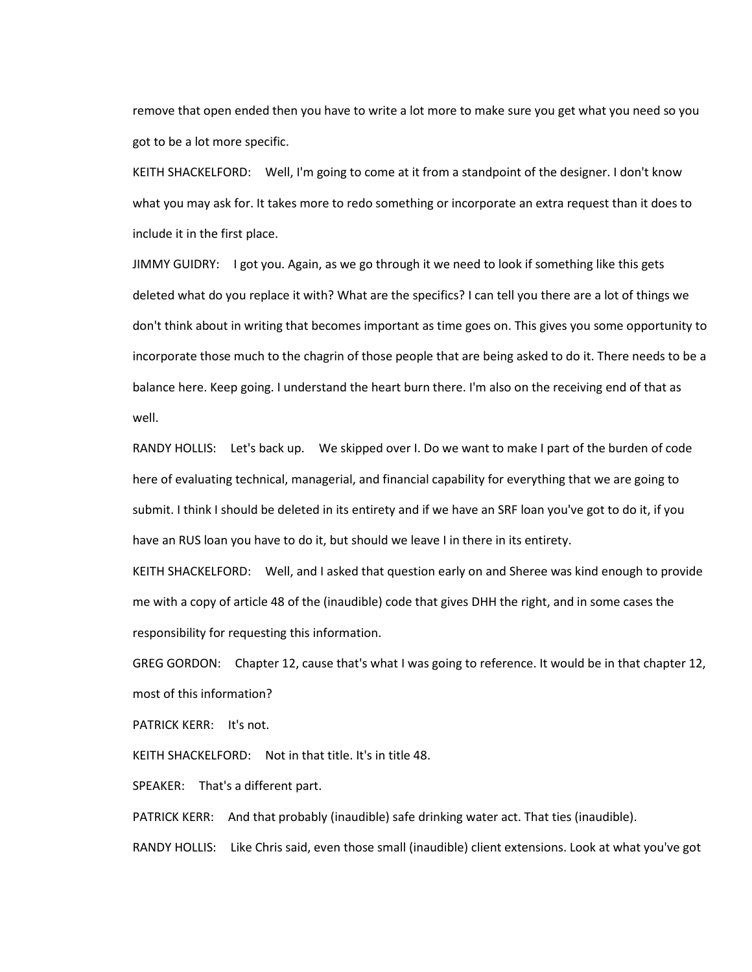remove that open ended then you have to write a lot more to make sure you get what you need so you got to be a lot more specific.

KEITH SHACKELFORD: Well, I'm going to come at it from a standpoint of the designer. I don't know what you may ask for. It takes more to redo something or incorporate an extra request than it does to include it in the first place.

JIMMY GUIDRY: I got you. Again, as we go through it we need to look if something like this gets deleted what do you replace it with? What are the specifics? I can tell you there are a lot of things we don't think about in writing that becomes important as time goes on. This gives you some opportunity to incorporate those much to the chagrin of those people that are being asked to do it. There needs to be a balance here. Keep going. I understand the heart burn there. I'm also on the receiving end of that as well.

RANDY HOLLIS: Let's back up. We skipped over I. Do we want to make I part of the burden of code here of evaluating technical, managerial, and financial capability for everything that we are going to submit. I think I should be deleted in its entirety and if we have an SRF loan you've got to do it, if you have an RUS loan you have to do it, but should we leave I in there in its entirety.

KEITH SHACKELFORD: Well, and I asked that question early on and Sheree was kind enough to provide me with a copy of article 48 of the (inaudible) code that gives DHH the right, and in some cases the responsibility for requesting this information.

GREG GORDON: Chapter 12, cause that's what I was going to reference. It would be in that chapter 12, most of this information?

PATRICK KERR: It's not.

KEITH SHACKELFORD: Not in that title. It's in title 48.

SPEAKER: That's a different part.

PATRICK KERR: And that probably (inaudible) safe drinking water act. That ties (inaudible).

RANDY HOLLIS: Like Chris said, even those small (inaudible) client extensions. Look at what you've got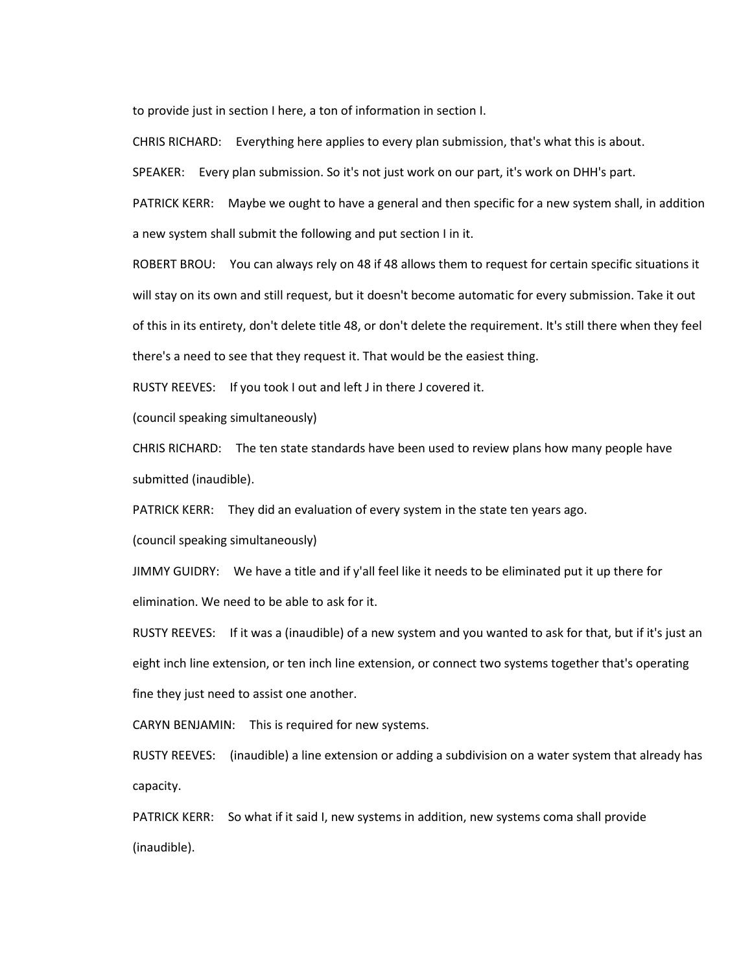to provide just in section I here, a ton of information in section I.

CHRIS RICHARD: Everything here applies to every plan submission, that's what this is about.

SPEAKER: Every plan submission. So it's not just work on our part, it's work on DHH's part.

PATRICK KERR: Maybe we ought to have a general and then specific for a new system shall, in addition a new system shall submit the following and put section I in it.

ROBERT BROU: You can always rely on 48 if 48 allows them to request for certain specific situations it will stay on its own and still request, but it doesn't become automatic for every submission. Take it out of this in its entirety, don't delete title 48, or don't delete the requirement. It's still there when they feel there's a need to see that they request it. That would be the easiest thing.

RUSTY REEVES: If you took I out and left J in there J covered it.

(council speaking simultaneously)

CHRIS RICHARD: The ten state standards have been used to review plans how many people have submitted (inaudible).

PATRICK KERR: They did an evaluation of every system in the state ten years ago.

(council speaking simultaneously)

JIMMY GUIDRY: We have a title and if y'all feel like it needs to be eliminated put it up there for elimination. We need to be able to ask for it.

RUSTY REEVES: If it was a (inaudible) of a new system and you wanted to ask for that, but if it's just an eight inch line extension, or ten inch line extension, or connect two systems together that's operating fine they just need to assist one another.

CARYN BENJAMIN: This is required for new systems.

RUSTY REEVES: (inaudible) a line extension or adding a subdivision on a water system that already has capacity.

PATRICK KERR: So what if it said I, new systems in addition, new systems coma shall provide (inaudible).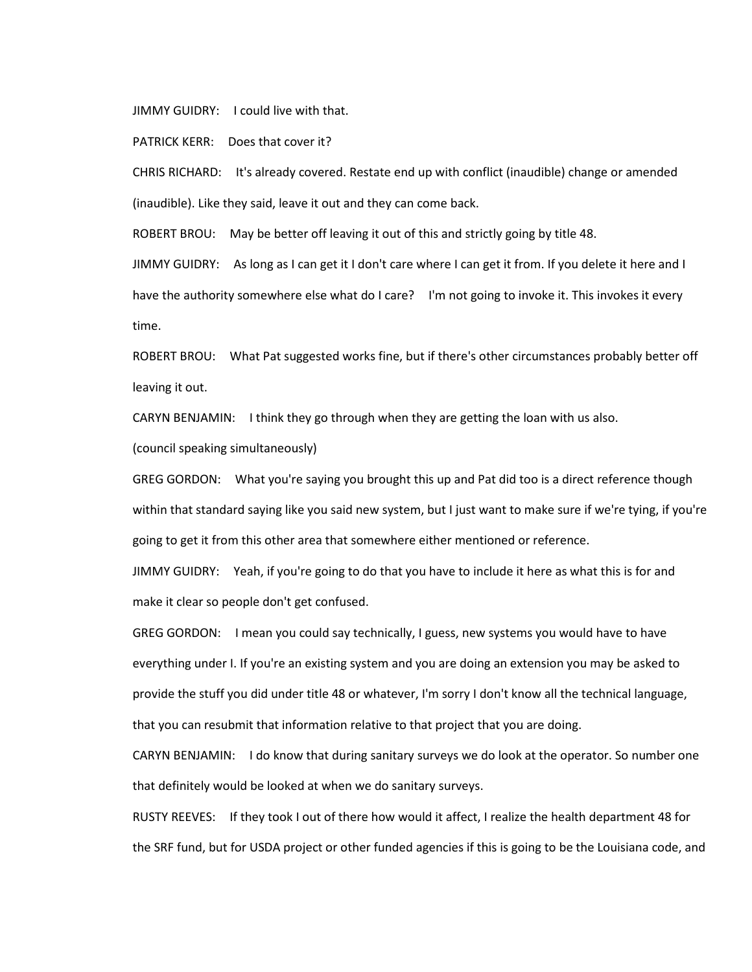JIMMY GUIDRY: I could live with that.

PATRICK KERR: Does that cover it?

CHRIS RICHARD: It's already covered. Restate end up with conflict (inaudible) change or amended (inaudible). Like they said, leave it out and they can come back.

ROBERT BROU: May be better off leaving it out of this and strictly going by title 48.

JIMMY GUIDRY: As long as I can get it I don't care where I can get it from. If you delete it here and I have the authority somewhere else what do I care? I'm not going to invoke it. This invokes it every time.

ROBERT BROU: What Pat suggested works fine, but if there's other circumstances probably better off leaving it out.

CARYN BENJAMIN: I think they go through when they are getting the loan with us also. (council speaking simultaneously)

GREG GORDON: What you're saying you brought this up and Pat did too is a direct reference though within that standard saying like you said new system, but I just want to make sure if we're tying, if you're going to get it from this other area that somewhere either mentioned or reference.

JIMMY GUIDRY: Yeah, if you're going to do that you have to include it here as what this is for and make it clear so people don't get confused.

GREG GORDON: I mean you could say technically, I guess, new systems you would have to have everything under I. If you're an existing system and you are doing an extension you may be asked to provide the stuff you did under title 48 or whatever, I'm sorry I don't know all the technical language, that you can resubmit that information relative to that project that you are doing.

CARYN BENJAMIN: I do know that during sanitary surveys we do look at the operator. So number one that definitely would be looked at when we do sanitary surveys.

RUSTY REEVES: If they took I out of there how would it affect, I realize the health department 48 for the SRF fund, but for USDA project or other funded agencies if this is going to be the Louisiana code, and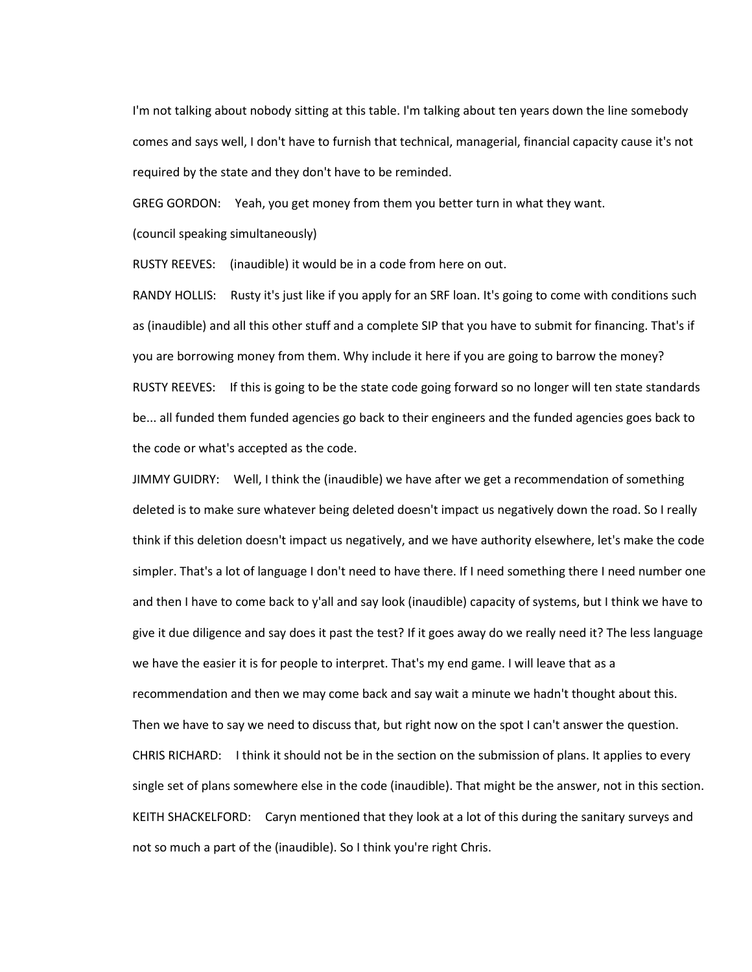I'm not talking about nobody sitting at this table. I'm talking about ten years down the line somebody comes and says well, I don't have to furnish that technical, managerial, financial capacity cause it's not required by the state and they don't have to be reminded.

GREG GORDON: Yeah, you get money from them you better turn in what they want.

(council speaking simultaneously)

RUSTY REEVES: (inaudible) it would be in a code from here on out.

RANDY HOLLIS: Rusty it's just like if you apply for an SRF loan. It's going to come with conditions such as (inaudible) and all this other stuff and a complete SIP that you have to submit for financing. That's if you are borrowing money from them. Why include it here if you are going to barrow the money? RUSTY REEVES: If this is going to be the state code going forward so no longer will ten state standards be... all funded them funded agencies go back to their engineers and the funded agencies goes back to the code or what's accepted as the code.

JIMMY GUIDRY: Well, I think the (inaudible) we have after we get a recommendation of something deleted is to make sure whatever being deleted doesn't impact us negatively down the road. So I really think if this deletion doesn't impact us negatively, and we have authority elsewhere, let's make the code simpler. That's a lot of language I don't need to have there. If I need something there I need number one and then I have to come back to y'all and say look (inaudible) capacity of systems, but I think we have to give it due diligence and say does it past the test? If it goes away do we really need it? The less language we have the easier it is for people to interpret. That's my end game. I will leave that as a recommendation and then we may come back and say wait a minute we hadn't thought about this. Then we have to say we need to discuss that, but right now on the spot I can't answer the question. CHRIS RICHARD: I think it should not be in the section on the submission of plans. It applies to every single set of plans somewhere else in the code (inaudible). That might be the answer, not in this section. KEITH SHACKELFORD: Caryn mentioned that they look at a lot of this during the sanitary surveys and not so much a part of the (inaudible). So I think you're right Chris.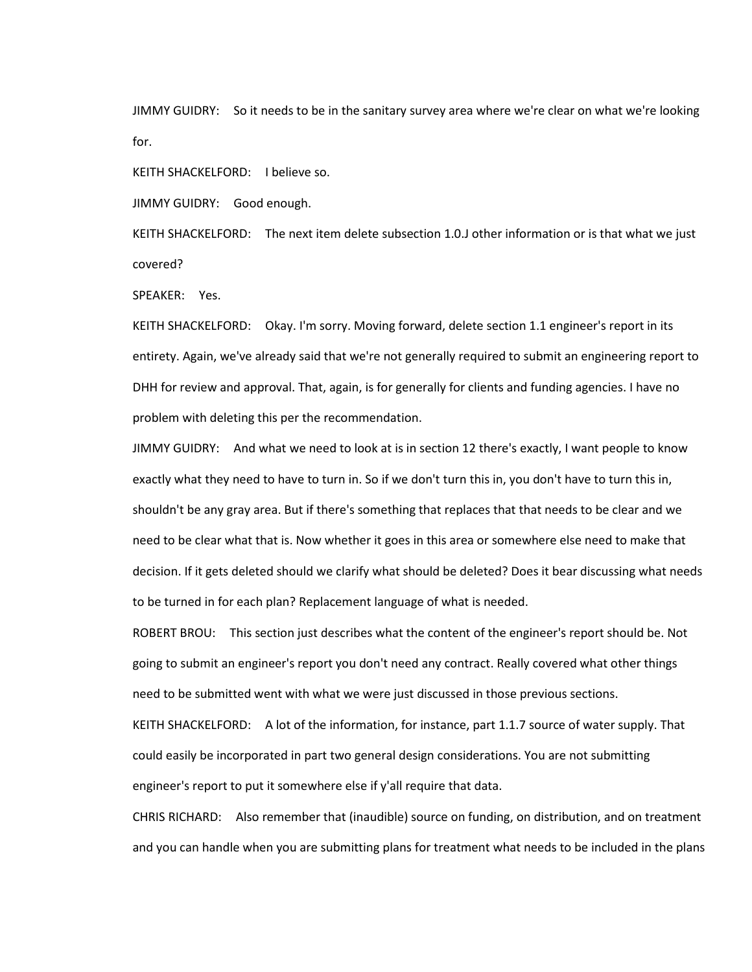JIMMY GUIDRY: So it needs to be in the sanitary survey area where we're clear on what we're looking for.

KEITH SHACKELFORD: I believe so.

JIMMY GUIDRY: Good enough.

KEITH SHACKELFORD: The next item delete subsection 1.0.J other information or is that what we just covered?

SPEAKER: Yes.

KEITH SHACKELFORD: Okay. I'm sorry. Moving forward, delete section 1.1 engineer's report in its entirety. Again, we've already said that we're not generally required to submit an engineering report to DHH for review and approval. That, again, is for generally for clients and funding agencies. I have no problem with deleting this per the recommendation.

JIMMY GUIDRY: And what we need to look at is in section 12 there's exactly, I want people to know exactly what they need to have to turn in. So if we don't turn this in, you don't have to turn this in, shouldn't be any gray area. But if there's something that replaces that that needs to be clear and we need to be clear what that is. Now whether it goes in this area or somewhere else need to make that decision. If it gets deleted should we clarify what should be deleted? Does it bear discussing what needs to be turned in for each plan? Replacement language of what is needed.

ROBERT BROU: This section just describes what the content of the engineer's report should be. Not going to submit an engineer's report you don't need any contract. Really covered what other things need to be submitted went with what we were just discussed in those previous sections.

KEITH SHACKELFORD: A lot of the information, for instance, part 1.1.7 source of water supply. That could easily be incorporated in part two general design considerations. You are not submitting engineer's report to put it somewhere else if y'all require that data.

CHRIS RICHARD: Also remember that (inaudible) source on funding, on distribution, and on treatment and you can handle when you are submitting plans for treatment what needs to be included in the plans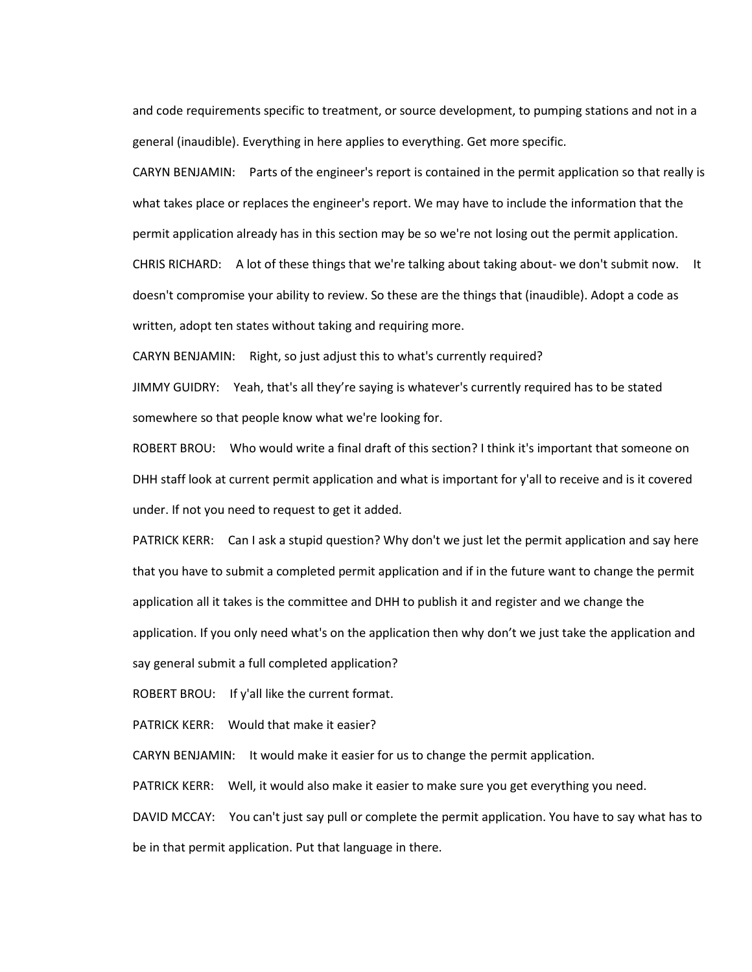and code requirements specific to treatment, or source development, to pumping stations and not in a general (inaudible). Everything in here applies to everything. Get more specific.

CARYN BENJAMIN: Parts of the engineer's report is contained in the permit application so that really is what takes place or replaces the engineer's report. We may have to include the information that the permit application already has in this section may be so we're not losing out the permit application. CHRIS RICHARD: A lot of these things that we're talking about taking about- we don't submit now. It doesn't compromise your ability to review. So these are the things that (inaudible). Adopt a code as written, adopt ten states without taking and requiring more.

CARYN BENJAMIN: Right, so just adjust this to what's currently required?

JIMMY GUIDRY: Yeah, that's all they're saying is whatever's currently required has to be stated somewhere so that people know what we're looking for.

ROBERT BROU: Who would write a final draft of this section? I think it's important that someone on DHH staff look at current permit application and what is important for y'all to receive and is it covered under. If not you need to request to get it added.

PATRICK KERR: Can I ask a stupid question? Why don't we just let the permit application and say here that you have to submit a completed permit application and if in the future want to change the permit application all it takes is the committee and DHH to publish it and register and we change the application. If you only need what's on the application then why don't we just take the application and say general submit a full completed application?

ROBERT BROU: If y'all like the current format.

PATRICK KERR: Would that make it easier?

CARYN BENJAMIN: It would make it easier for us to change the permit application.

PATRICK KERR: Well, it would also make it easier to make sure you get everything you need.

DAVID MCCAY: You can't just say pull or complete the permit application. You have to say what has to be in that permit application. Put that language in there.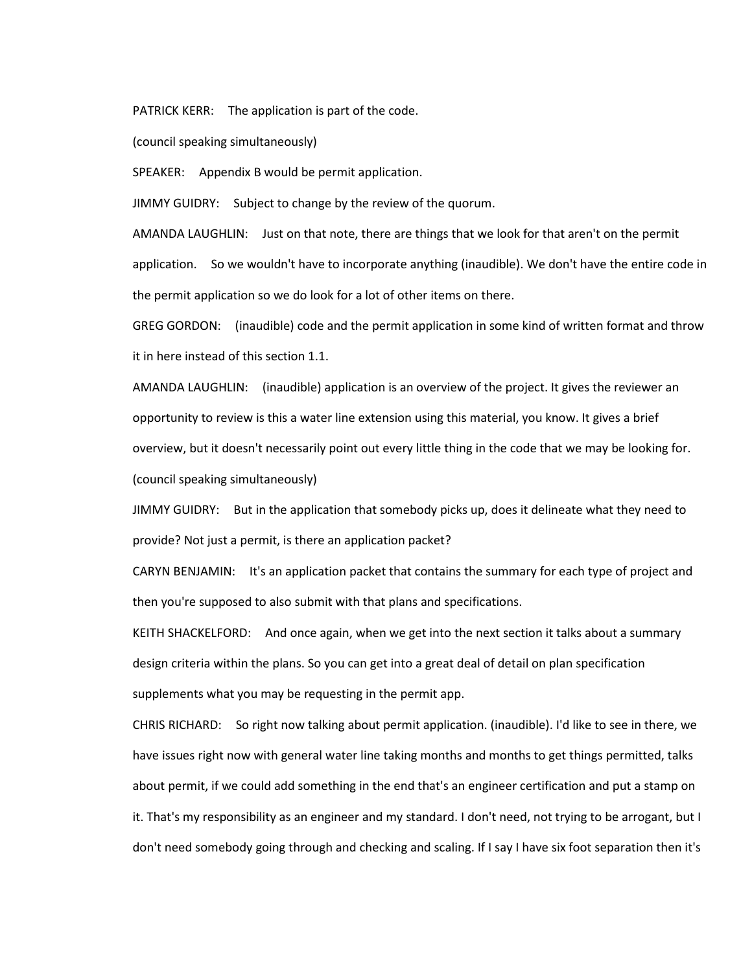PATRICK KERR: The application is part of the code.

(council speaking simultaneously)

SPEAKER: Appendix B would be permit application.

JIMMY GUIDRY: Subject to change by the review of the quorum.

AMANDA LAUGHLIN: Just on that note, there are things that we look for that aren't on the permit application. So we wouldn't have to incorporate anything (inaudible). We don't have the entire code in the permit application so we do look for a lot of other items on there.

GREG GORDON: (inaudible) code and the permit application in some kind of written format and throw it in here instead of this section 1.1.

AMANDA LAUGHLIN: (inaudible) application is an overview of the project. It gives the reviewer an opportunity to review is this a water line extension using this material, you know. It gives a brief overview, but it doesn't necessarily point out every little thing in the code that we may be looking for. (council speaking simultaneously)

JIMMY GUIDRY: But in the application that somebody picks up, does it delineate what they need to provide? Not just a permit, is there an application packet?

CARYN BENJAMIN: It's an application packet that contains the summary for each type of project and then you're supposed to also submit with that plans and specifications.

KEITH SHACKELFORD: And once again, when we get into the next section it talks about a summary design criteria within the plans. So you can get into a great deal of detail on plan specification supplements what you may be requesting in the permit app.

CHRIS RICHARD: So right now talking about permit application. (inaudible). I'd like to see in there, we have issues right now with general water line taking months and months to get things permitted, talks about permit, if we could add something in the end that's an engineer certification and put a stamp on it. That's my responsibility as an engineer and my standard. I don't need, not trying to be arrogant, but I don't need somebody going through and checking and scaling. If I say I have six foot separation then it's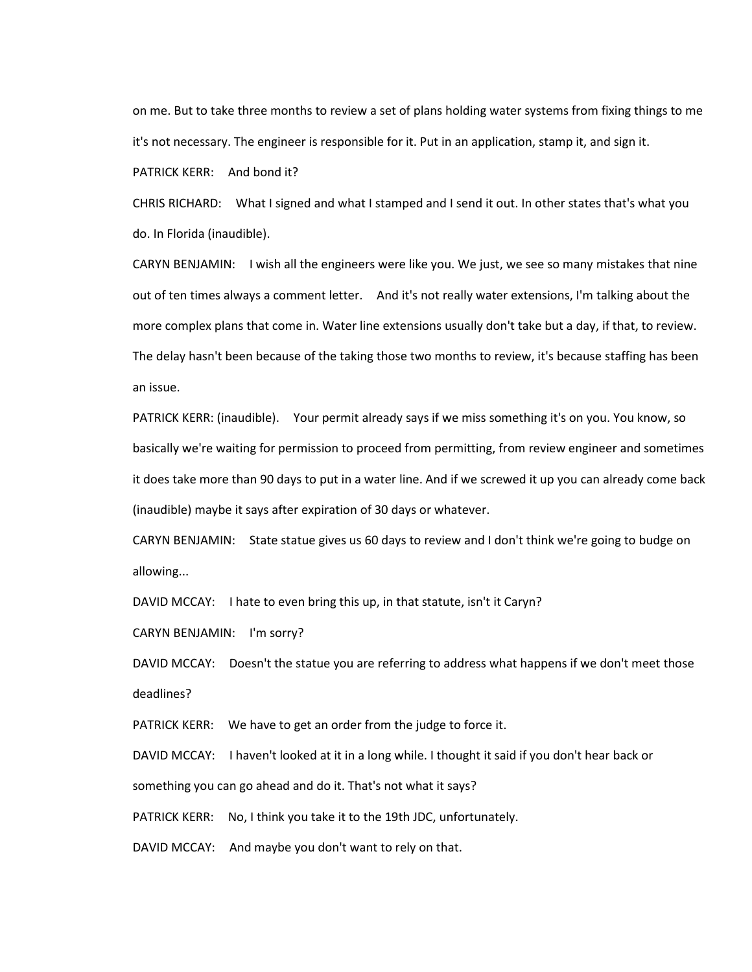on me. But to take three months to review a set of plans holding water systems from fixing things to me it's not necessary. The engineer is responsible for it. Put in an application, stamp it, and sign it.

PATRICK KERR: And bond it?

CHRIS RICHARD: What I signed and what I stamped and I send it out. In other states that's what you do. In Florida (inaudible).

CARYN BENJAMIN: I wish all the engineers were like you. We just, we see so many mistakes that nine out of ten times always a comment letter. And it's not really water extensions, I'm talking about the more complex plans that come in. Water line extensions usually don't take but a day, if that, to review. The delay hasn't been because of the taking those two months to review, it's because staffing has been an issue.

PATRICK KERR: (inaudible). Your permit already says if we miss something it's on you. You know, so basically we're waiting for permission to proceed from permitting, from review engineer and sometimes it does take more than 90 days to put in a water line. And if we screwed it up you can already come back (inaudible) maybe it says after expiration of 30 days or whatever.

CARYN BENJAMIN: State statue gives us 60 days to review and I don't think we're going to budge on allowing...

DAVID MCCAY: I hate to even bring this up, in that statute, isn't it Caryn?

CARYN BENJAMIN: I'm sorry?

DAVID MCCAY: Doesn't the statue you are referring to address what happens if we don't meet those deadlines?

PATRICK KERR: We have to get an order from the judge to force it.

DAVID MCCAY: I haven't looked at it in a long while. I thought it said if you don't hear back or

something you can go ahead and do it. That's not what it says?

PATRICK KERR: No, I think you take it to the 19th JDC, unfortunately.

DAVID MCCAY: And maybe you don't want to rely on that.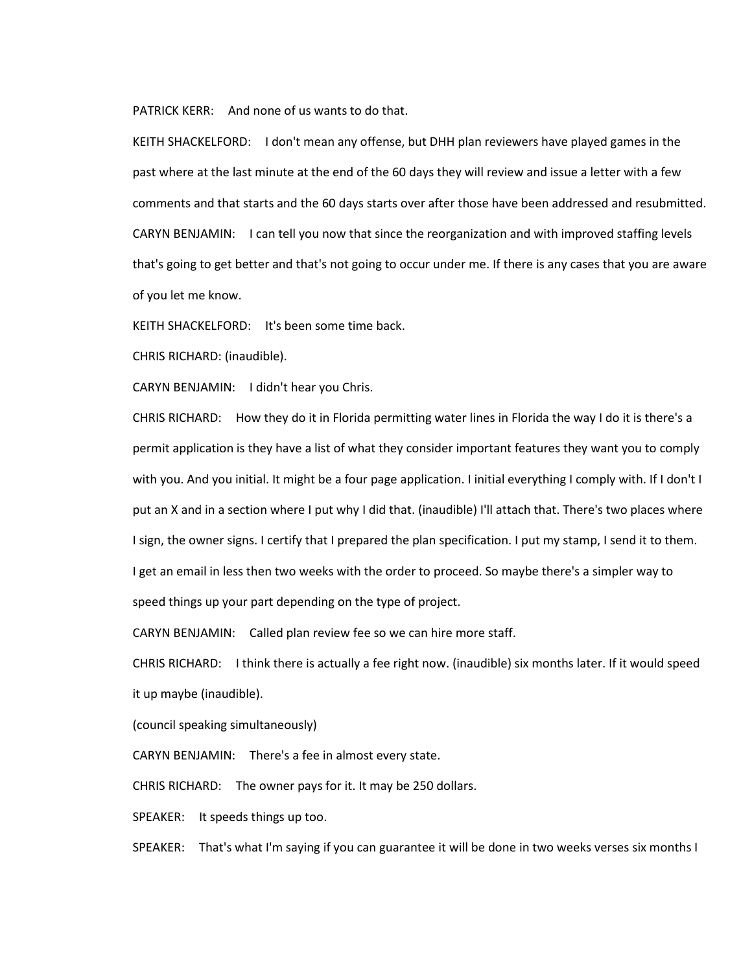PATRICK KERR: And none of us wants to do that.

KEITH SHACKELFORD: I don't mean any offense, but DHH plan reviewers have played games in the past where at the last minute at the end of the 60 days they will review and issue a letter with a few comments and that starts and the 60 days starts over after those have been addressed and resubmitted. CARYN BENJAMIN: I can tell you now that since the reorganization and with improved staffing levels that's going to get better and that's not going to occur under me. If there is any cases that you are aware of you let me know.

KEITH SHACKELFORD: It's been some time back.

CHRIS RICHARD: (inaudible).

CARYN BENJAMIN: I didn't hear you Chris.

CHRIS RICHARD: How they do it in Florida permitting water lines in Florida the way I do it is there's a permit application is they have a list of what they consider important features they want you to comply with you. And you initial. It might be a four page application. I initial everything I comply with. If I don't I put an X and in a section where I put why I did that. (inaudible) I'll attach that. There's two places where I sign, the owner signs. I certify that I prepared the plan specification. I put my stamp, I send it to them. I get an email in less then two weeks with the order to proceed. So maybe there's a simpler way to speed things up your part depending on the type of project.

CARYN BENJAMIN: Called plan review fee so we can hire more staff.

CHRIS RICHARD: I think there is actually a fee right now. (inaudible) six months later. If it would speed it up maybe (inaudible).

(council speaking simultaneously)

CARYN BENJAMIN: There's a fee in almost every state.

CHRIS RICHARD: The owner pays for it. It may be 250 dollars.

SPEAKER: It speeds things up too.

SPEAKER: That's what I'm saying if you can guarantee it will be done in two weeks verses six months I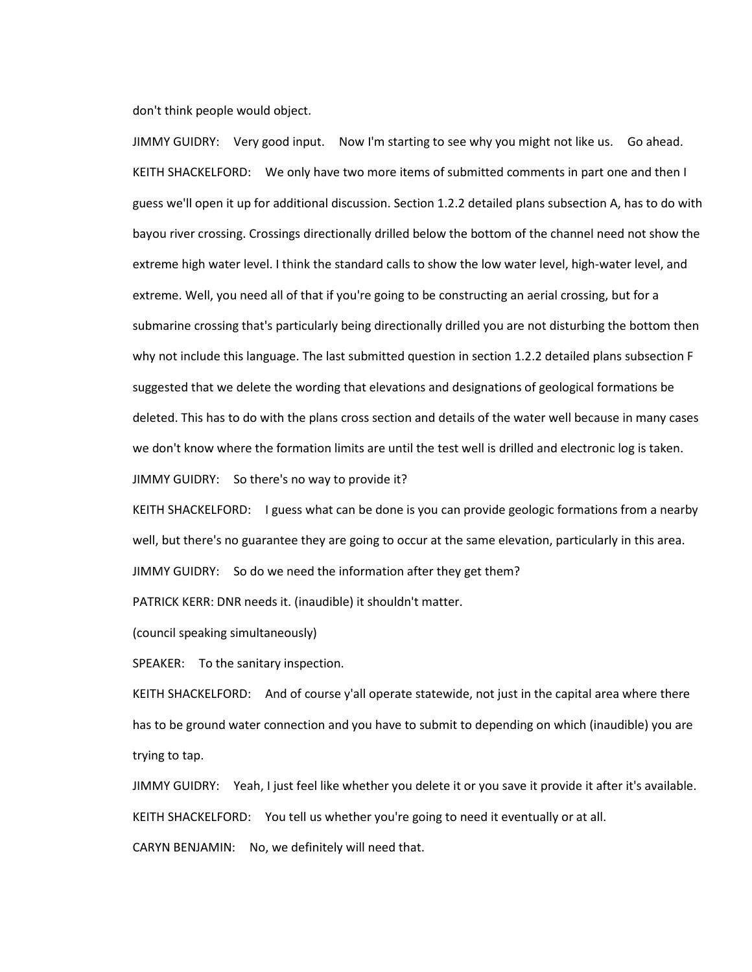don't think people would object.

JIMMY GUIDRY: Very good input. Now I'm starting to see why you might not like us. Go ahead. KEITH SHACKELFORD: We only have two more items of submitted comments in part one and then I guess we'll open it up for additional discussion. Section 1.2.2 detailed plans subsection A, has to do with bayou river crossing. Crossings directionally drilled below the bottom of the channel need not show the extreme high water level. I think the standard calls to show the low water level, high-water level, and extreme. Well, you need all of that if you're going to be constructing an aerial crossing, but for a submarine crossing that's particularly being directionally drilled you are not disturbing the bottom then why not include this language. The last submitted question in section 1.2.2 detailed plans subsection F suggested that we delete the wording that elevations and designations of geological formations be deleted. This has to do with the plans cross section and details of the water well because in many cases we don't know where the formation limits are until the test well is drilled and electronic log is taken. JIMMY GUIDRY: So there's no way to provide it?

KEITH SHACKELFORD: I guess what can be done is you can provide geologic formations from a nearby well, but there's no guarantee they are going to occur at the same elevation, particularly in this area. JIMMY GUIDRY: So do we need the information after they get them?

PATRICK KERR: DNR needs it. (inaudible) it shouldn't matter.

(council speaking simultaneously)

SPEAKER: To the sanitary inspection.

KEITH SHACKELFORD: And of course y'all operate statewide, not just in the capital area where there has to be ground water connection and you have to submit to depending on which (inaudible) you are trying to tap.

JIMMY GUIDRY: Yeah, I just feel like whether you delete it or you save it provide it after it's available. KEITH SHACKELFORD: You tell us whether you're going to need it eventually or at all. CARYN BENJAMIN: No, we definitely will need that.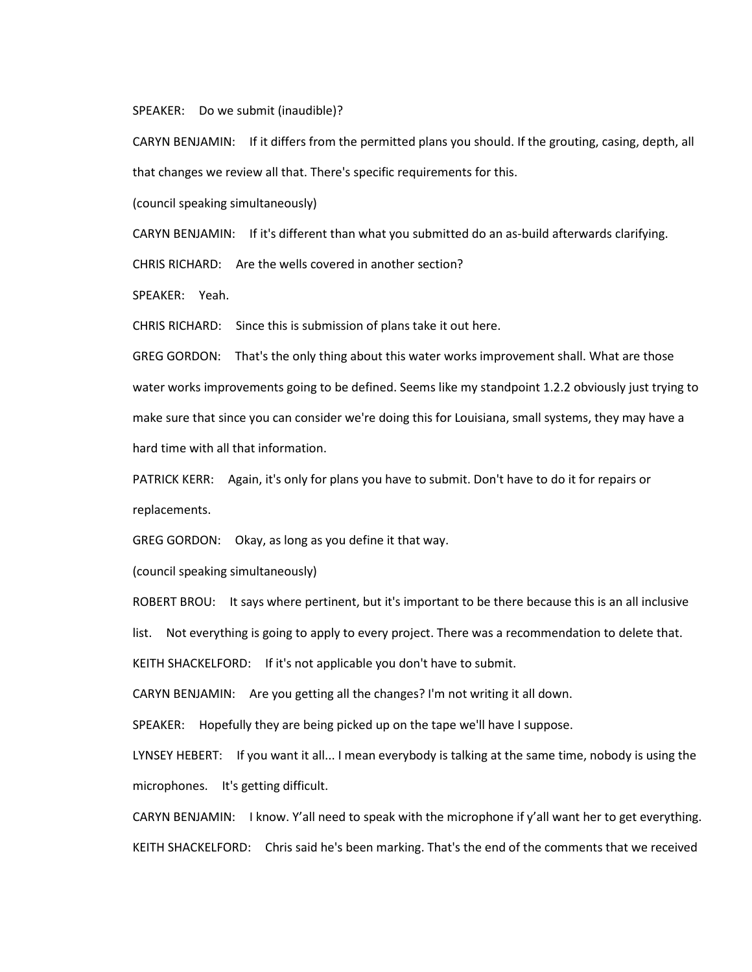## SPEAKER: Do we submit (inaudible)?

CARYN BENJAMIN: If it differs from the permitted plans you should. If the grouting, casing, depth, all that changes we review all that. There's specific requirements for this.

(council speaking simultaneously)

CARYN BENJAMIN: If it's different than what you submitted do an as-build afterwards clarifying.

CHRIS RICHARD: Are the wells covered in another section?

SPEAKER: Yeah.

CHRIS RICHARD: Since this is submission of plans take it out here.

GREG GORDON: That's the only thing about this water works improvement shall. What are those water works improvements going to be defined. Seems like my standpoint 1.2.2 obviously just trying to make sure that since you can consider we're doing this for Louisiana, small systems, they may have a hard time with all that information.

PATRICK KERR: Again, it's only for plans you have to submit. Don't have to do it for repairs or replacements.

GREG GORDON: Okay, as long as you define it that way.

(council speaking simultaneously)

ROBERT BROU: It says where pertinent, but it's important to be there because this is an all inclusive list. Not everything is going to apply to every project. There was a recommendation to delete that.

KEITH SHACKELFORD: If it's not applicable you don't have to submit.

CARYN BENJAMIN: Are you getting all the changes? I'm not writing it all down.

SPEAKER: Hopefully they are being picked up on the tape we'll have I suppose.

LYNSEY HEBERT: If you want it all... I mean everybody is talking at the same time, nobody is using the microphones. It's getting difficult.

CARYN BENJAMIN: I know. Y'all need to speak with the microphone if y'all want her to get everything. KEITH SHACKELFORD: Chris said he's been marking. That's the end of the comments that we received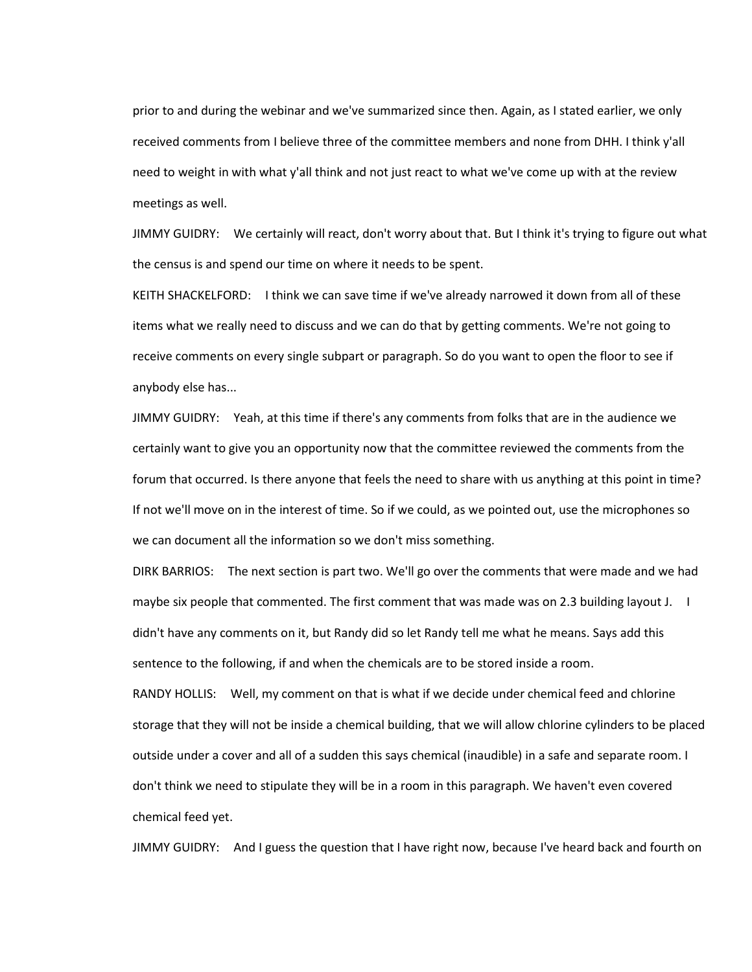prior to and during the webinar and we've summarized since then. Again, as I stated earlier, we only received comments from I believe three of the committee members and none from DHH. I think y'all need to weight in with what y'all think and not just react to what we've come up with at the review meetings as well.

JIMMY GUIDRY: We certainly will react, don't worry about that. But I think it's trying to figure out what the census is and spend our time on where it needs to be spent.

KEITH SHACKELFORD: I think we can save time if we've already narrowed it down from all of these items what we really need to discuss and we can do that by getting comments. We're not going to receive comments on every single subpart or paragraph. So do you want to open the floor to see if anybody else has...

JIMMY GUIDRY: Yeah, at this time if there's any comments from folks that are in the audience we certainly want to give you an opportunity now that the committee reviewed the comments from the forum that occurred. Is there anyone that feels the need to share with us anything at this point in time? If not we'll move on in the interest of time. So if we could, as we pointed out, use the microphones so we can document all the information so we don't miss something.

DIRK BARRIOS: The next section is part two. We'll go over the comments that were made and we had maybe six people that commented. The first comment that was made was on 2.3 building layout J. I didn't have any comments on it, but Randy did so let Randy tell me what he means. Says add this sentence to the following, if and when the chemicals are to be stored inside a room.

RANDY HOLLIS: Well, my comment on that is what if we decide under chemical feed and chlorine storage that they will not be inside a chemical building, that we will allow chlorine cylinders to be placed outside under a cover and all of a sudden this says chemical (inaudible) in a safe and separate room. I don't think we need to stipulate they will be in a room in this paragraph. We haven't even covered chemical feed yet.

JIMMY GUIDRY: And I guess the question that I have right now, because I've heard back and fourth on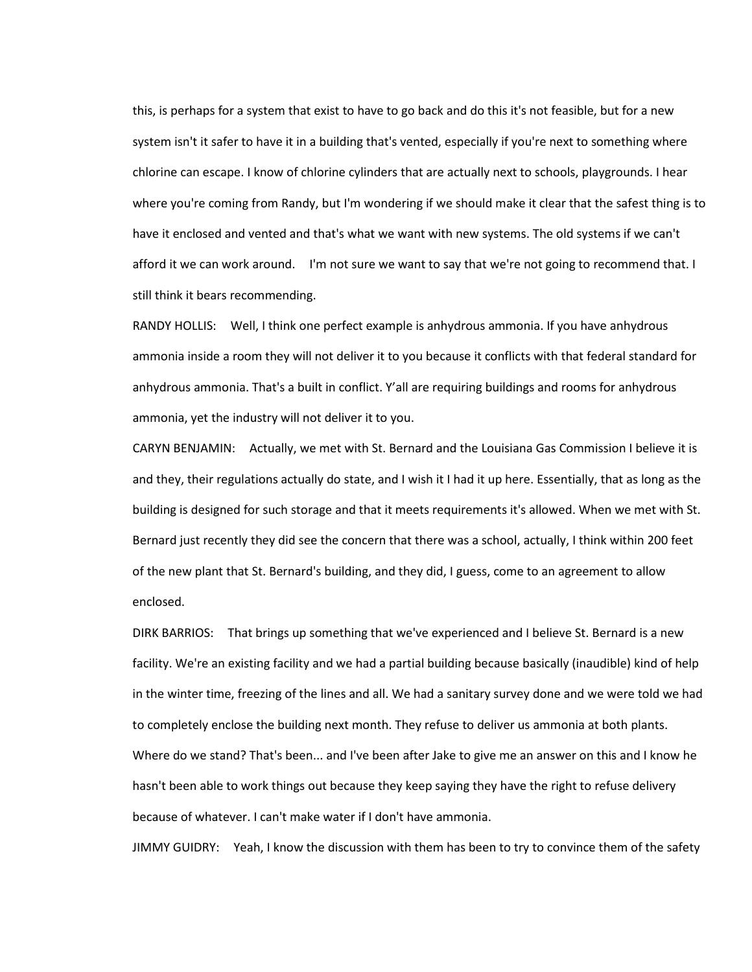this, is perhaps for a system that exist to have to go back and do this it's not feasible, but for a new system isn't it safer to have it in a building that's vented, especially if you're next to something where chlorine can escape. I know of chlorine cylinders that are actually next to schools, playgrounds. I hear where you're coming from Randy, but I'm wondering if we should make it clear that the safest thing is to have it enclosed and vented and that's what we want with new systems. The old systems if we can't afford it we can work around. I'm not sure we want to say that we're not going to recommend that. I still think it bears recommending.

RANDY HOLLIS: Well, I think one perfect example is anhydrous ammonia. If you have anhydrous ammonia inside a room they will not deliver it to you because it conflicts with that federal standard for anhydrous ammonia. That's a built in conflict. Y'all are requiring buildings and rooms for anhydrous ammonia, yet the industry will not deliver it to you.

CARYN BENJAMIN: Actually, we met with St. Bernard and the Louisiana Gas Commission I believe it is and they, their regulations actually do state, and I wish it I had it up here. Essentially, that as long as the building is designed for such storage and that it meets requirements it's allowed. When we met with St. Bernard just recently they did see the concern that there was a school, actually, I think within 200 feet of the new plant that St. Bernard's building, and they did, I guess, come to an agreement to allow enclosed.

DIRK BARRIOS: That brings up something that we've experienced and I believe St. Bernard is a new facility. We're an existing facility and we had a partial building because basically (inaudible) kind of help in the winter time, freezing of the lines and all. We had a sanitary survey done and we were told we had to completely enclose the building next month. They refuse to deliver us ammonia at both plants. Where do we stand? That's been... and I've been after Jake to give me an answer on this and I know he hasn't been able to work things out because they keep saying they have the right to refuse delivery because of whatever. I can't make water if I don't have ammonia.

JIMMY GUIDRY: Yeah, I know the discussion with them has been to try to convince them of the safety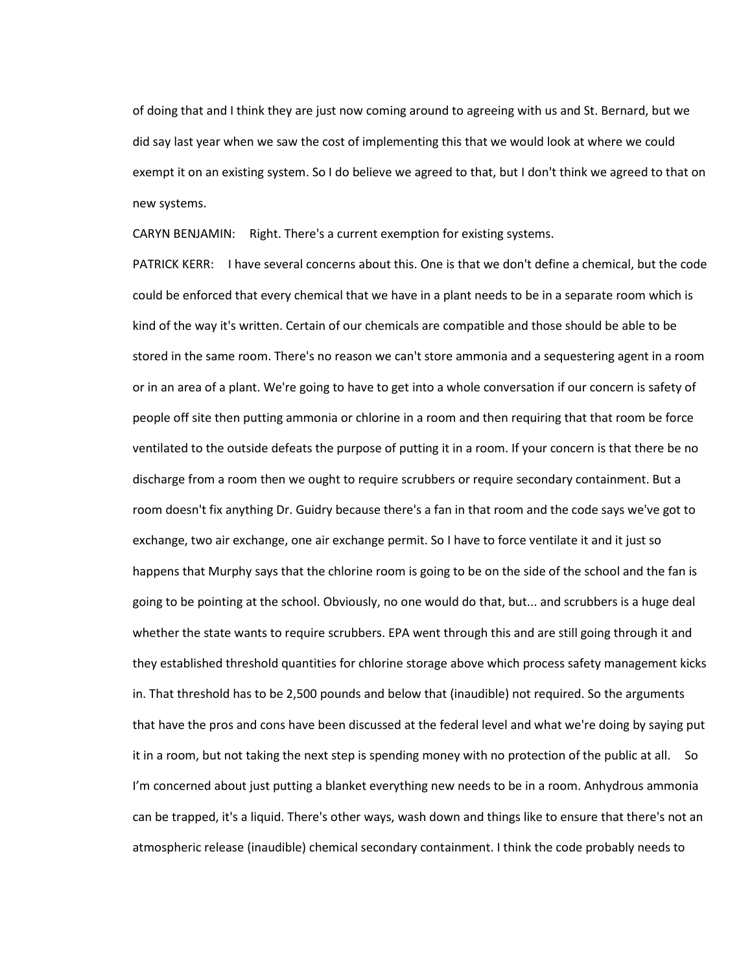of doing that and I think they are just now coming around to agreeing with us and St. Bernard, but we did say last year when we saw the cost of implementing this that we would look at where we could exempt it on an existing system. So I do believe we agreed to that, but I don't think we agreed to that on new systems.

CARYN BENJAMIN: Right. There's a current exemption for existing systems.

PATRICK KERR: I have several concerns about this. One is that we don't define a chemical, but the code could be enforced that every chemical that we have in a plant needs to be in a separate room which is kind of the way it's written. Certain of our chemicals are compatible and those should be able to be stored in the same room. There's no reason we can't store ammonia and a sequestering agent in a room or in an area of a plant. We're going to have to get into a whole conversation if our concern is safety of people off site then putting ammonia or chlorine in a room and then requiring that that room be force ventilated to the outside defeats the purpose of putting it in a room. If your concern is that there be no discharge from a room then we ought to require scrubbers or require secondary containment. But a room doesn't fix anything Dr. Guidry because there's a fan in that room and the code says we've got to exchange, two air exchange, one air exchange permit. So I have to force ventilate it and it just so happens that Murphy says that the chlorine room is going to be on the side of the school and the fan is going to be pointing at the school. Obviously, no one would do that, but... and scrubbers is a huge deal whether the state wants to require scrubbers. EPA went through this and are still going through it and they established threshold quantities for chlorine storage above which process safety management kicks in. That threshold has to be 2,500 pounds and below that (inaudible) not required. So the arguments that have the pros and cons have been discussed at the federal level and what we're doing by saying put it in a room, but not taking the next step is spending money with no protection of the public at all. So I'm concerned about just putting a blanket everything new needs to be in a room. Anhydrous ammonia can be trapped, it's a liquid. There's other ways, wash down and things like to ensure that there's not an atmospheric release (inaudible) chemical secondary containment. I think the code probably needs to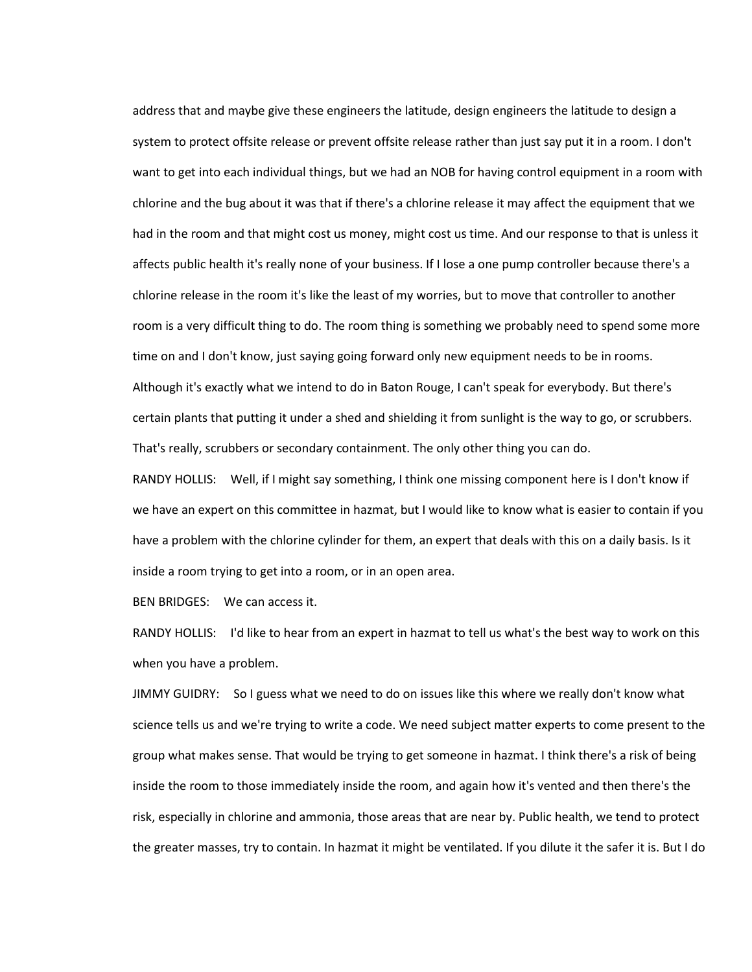address that and maybe give these engineers the latitude, design engineers the latitude to design a system to protect offsite release or prevent offsite release rather than just say put it in a room. I don't want to get into each individual things, but we had an NOB for having control equipment in a room with chlorine and the bug about it was that if there's a chlorine release it may affect the equipment that we had in the room and that might cost us money, might cost us time. And our response to that is unless it affects public health it's really none of your business. If I lose a one pump controller because there's a chlorine release in the room it's like the least of my worries, but to move that controller to another room is a very difficult thing to do. The room thing is something we probably need to spend some more time on and I don't know, just saying going forward only new equipment needs to be in rooms. Although it's exactly what we intend to do in Baton Rouge, I can't speak for everybody. But there's certain plants that putting it under a shed and shielding it from sunlight is the way to go, or scrubbers. That's really, scrubbers or secondary containment. The only other thing you can do.

RANDY HOLLIS: Well, if I might say something, I think one missing component here is I don't know if we have an expert on this committee in hazmat, but I would like to know what is easier to contain if you have a problem with the chlorine cylinder for them, an expert that deals with this on a daily basis. Is it inside a room trying to get into a room, or in an open area.

BEN BRIDGES: We can access it.

RANDY HOLLIS: I'd like to hear from an expert in hazmat to tell us what's the best way to work on this when you have a problem.

JIMMY GUIDRY: So I guess what we need to do on issues like this where we really don't know what science tells us and we're trying to write a code. We need subject matter experts to come present to the group what makes sense. That would be trying to get someone in hazmat. I think there's a risk of being inside the room to those immediately inside the room, and again how it's vented and then there's the risk, especially in chlorine and ammonia, those areas that are near by. Public health, we tend to protect the greater masses, try to contain. In hazmat it might be ventilated. If you dilute it the safer it is. But I do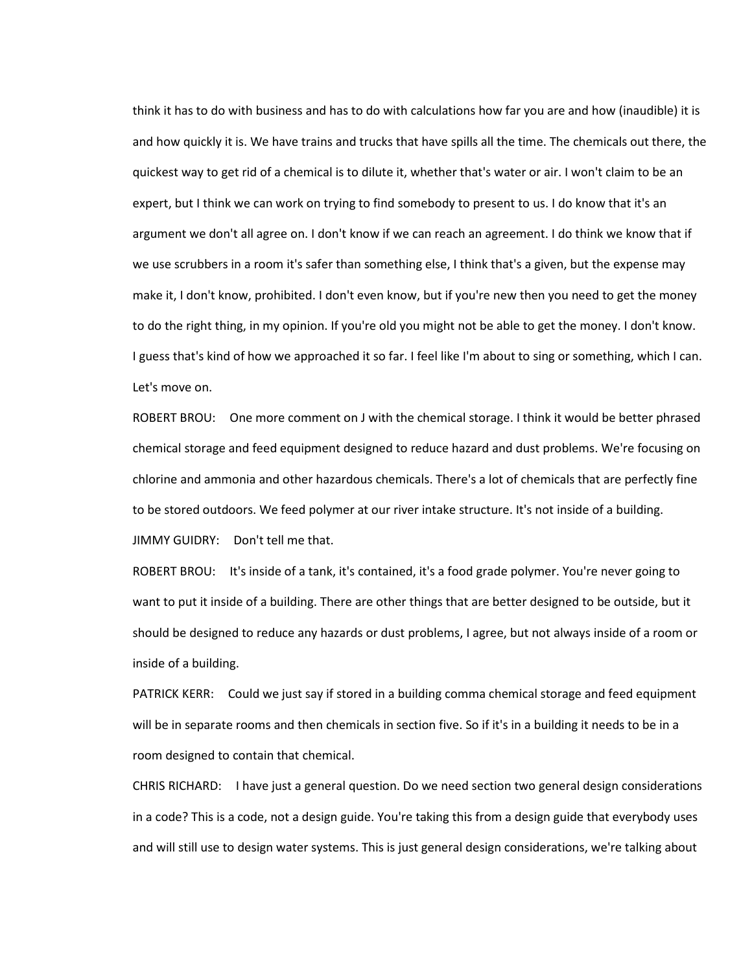think it has to do with business and has to do with calculations how far you are and how (inaudible) it is and how quickly it is. We have trains and trucks that have spills all the time. The chemicals out there, the quickest way to get rid of a chemical is to dilute it, whether that's water or air. I won't claim to be an expert, but I think we can work on trying to find somebody to present to us. I do know that it's an argument we don't all agree on. I don't know if we can reach an agreement. I do think we know that if we use scrubbers in a room it's safer than something else, I think that's a given, but the expense may make it, I don't know, prohibited. I don't even know, but if you're new then you need to get the money to do the right thing, in my opinion. If you're old you might not be able to get the money. I don't know. I guess that's kind of how we approached it so far. I feel like I'm about to sing or something, which I can. Let's move on.

ROBERT BROU: One more comment on J with the chemical storage. I think it would be better phrased chemical storage and feed equipment designed to reduce hazard and dust problems. We're focusing on chlorine and ammonia and other hazardous chemicals. There's a lot of chemicals that are perfectly fine to be stored outdoors. We feed polymer at our river intake structure. It's not inside of a building. JIMMY GUIDRY: Don't tell me that.

ROBERT BROU: It's inside of a tank, it's contained, it's a food grade polymer. You're never going to want to put it inside of a building. There are other things that are better designed to be outside, but it should be designed to reduce any hazards or dust problems, I agree, but not always inside of a room or inside of a building.

PATRICK KERR: Could we just say if stored in a building comma chemical storage and feed equipment will be in separate rooms and then chemicals in section five. So if it's in a building it needs to be in a room designed to contain that chemical.

CHRIS RICHARD: I have just a general question. Do we need section two general design considerations in a code? This is a code, not a design guide. You're taking this from a design guide that everybody uses and will still use to design water systems. This is just general design considerations, we're talking about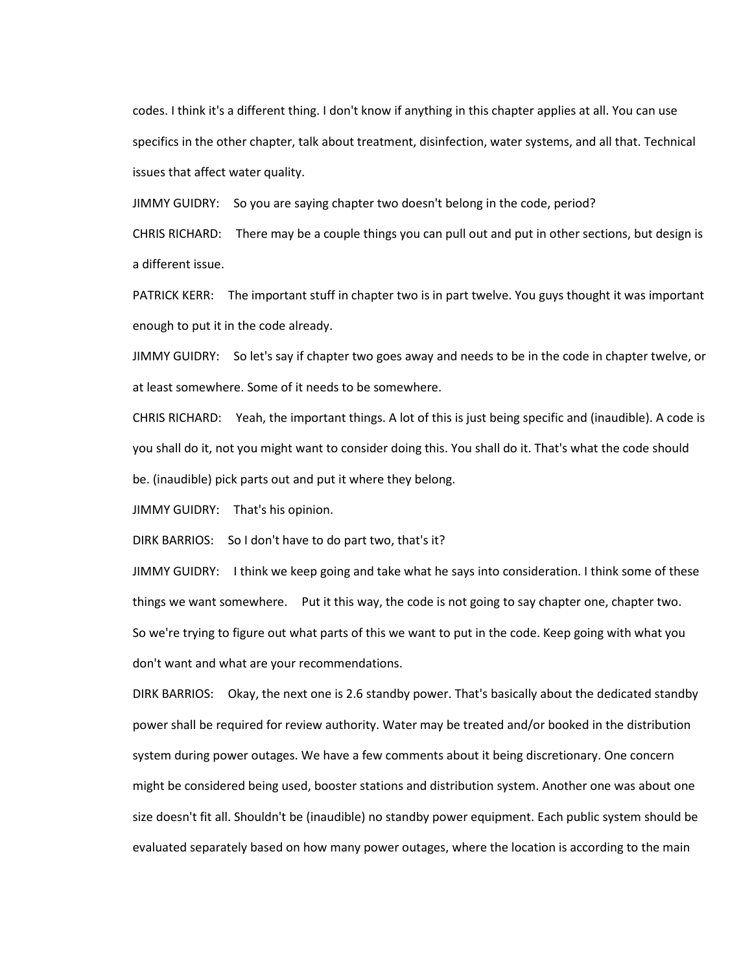codes. I think it's a different thing. I don't know if anything in this chapter applies at all. You can use specifics in the other chapter, talk about treatment, disinfection, water systems, and all that. Technical issues that affect water quality.

JIMMY GUIDRY: So you are saying chapter two doesn't belong in the code, period?

CHRIS RICHARD: There may be a couple things you can pull out and put in other sections, but design is a different issue.

PATRICK KERR: The important stuff in chapter two is in part twelve. You guys thought it was important enough to put it in the code already.

JIMMY GUIDRY: So let's say if chapter two goes away and needs to be in the code in chapter twelve, or at least somewhere. Some of it needs to be somewhere.

CHRIS RICHARD: Yeah, the important things. A lot of this is just being specific and (inaudible). A code is you shall do it, not you might want to consider doing this. You shall do it. That's what the code should be. (inaudible) pick parts out and put it where they belong.

JIMMY GUIDRY: That's his opinion.

DIRK BARRIOS: So I don't have to do part two, that's it?

JIMMY GUIDRY: I think we keep going and take what he says into consideration. I think some of these things we want somewhere. Put it this way, the code is not going to say chapter one, chapter two. So we're trying to figure out what parts of this we want to put in the code. Keep going with what you don't want and what are your recommendations.

DIRK BARRIOS: Okay, the next one is 2.6 standby power. That's basically about the dedicated standby power shall be required for review authority. Water may be treated and/or booked in the distribution system during power outages. We have a few comments about it being discretionary. One concern might be considered being used, booster stations and distribution system. Another one was about one size doesn't fit all. Shouldn't be (inaudible) no standby power equipment. Each public system should be evaluated separately based on how many power outages, where the location is according to the main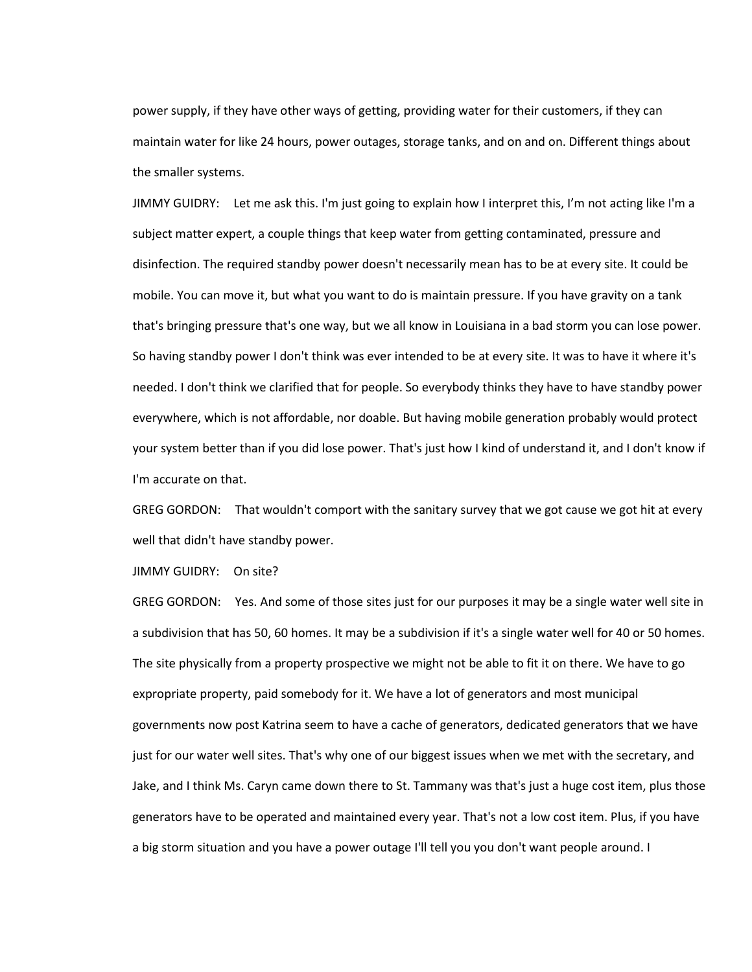power supply, if they have other ways of getting, providing water for their customers, if they can maintain water for like 24 hours, power outages, storage tanks, and on and on. Different things about the smaller systems.

JIMMY GUIDRY: Let me ask this. I'm just going to explain how I interpret this, I'm not acting like I'm a subject matter expert, a couple things that keep water from getting contaminated, pressure and disinfection. The required standby power doesn't necessarily mean has to be at every site. It could be mobile. You can move it, but what you want to do is maintain pressure. If you have gravity on a tank that's bringing pressure that's one way, but we all know in Louisiana in a bad storm you can lose power. So having standby power I don't think was ever intended to be at every site. It was to have it where it's needed. I don't think we clarified that for people. So everybody thinks they have to have standby power everywhere, which is not affordable, nor doable. But having mobile generation probably would protect your system better than if you did lose power. That's just how I kind of understand it, and I don't know if I'm accurate on that.

GREG GORDON: That wouldn't comport with the sanitary survey that we got cause we got hit at every well that didn't have standby power.

JIMMY GUIDRY: On site?

GREG GORDON: Yes. And some of those sites just for our purposes it may be a single water well site in a subdivision that has 50, 60 homes. It may be a subdivision if it's a single water well for 40 or 50 homes. The site physically from a property prospective we might not be able to fit it on there. We have to go expropriate property, paid somebody for it. We have a lot of generators and most municipal governments now post Katrina seem to have a cache of generators, dedicated generators that we have just for our water well sites. That's why one of our biggest issues when we met with the secretary, and Jake, and I think Ms. Caryn came down there to St. Tammany was that's just a huge cost item, plus those generators have to be operated and maintained every year. That's not a low cost item. Plus, if you have a big storm situation and you have a power outage I'll tell you you don't want people around. I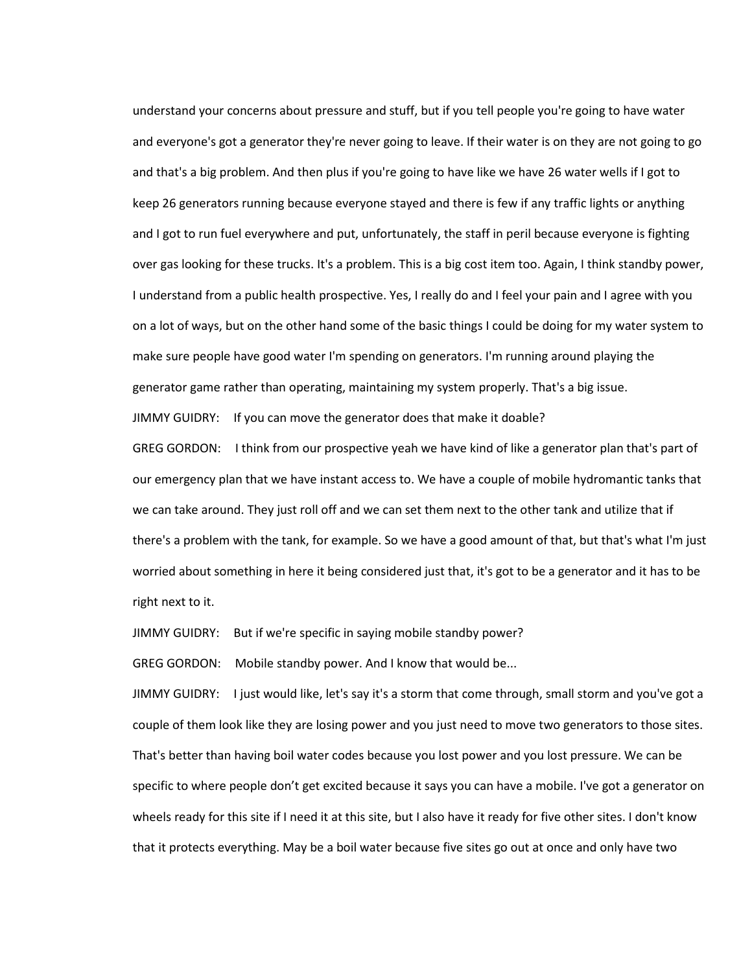understand your concerns about pressure and stuff, but if you tell people you're going to have water and everyone's got a generator they're never going to leave. If their water is on they are not going to go and that's a big problem. And then plus if you're going to have like we have 26 water wells if I got to keep 26 generators running because everyone stayed and there is few if any traffic lights or anything and I got to run fuel everywhere and put, unfortunately, the staff in peril because everyone is fighting over gas looking for these trucks. It's a problem. This is a big cost item too. Again, I think standby power, I understand from a public health prospective. Yes, I really do and I feel your pain and I agree with you on a lot of ways, but on the other hand some of the basic things I could be doing for my water system to make sure people have good water I'm spending on generators. I'm running around playing the generator game rather than operating, maintaining my system properly. That's a big issue.

JIMMY GUIDRY: If you can move the generator does that make it doable?

GREG GORDON: I think from our prospective yeah we have kind of like a generator plan that's part of our emergency plan that we have instant access to. We have a couple of mobile hydromantic tanks that we can take around. They just roll off and we can set them next to the other tank and utilize that if there's a problem with the tank, for example. So we have a good amount of that, but that's what I'm just worried about something in here it being considered just that, it's got to be a generator and it has to be right next to it.

JIMMY GUIDRY: But if we're specific in saying mobile standby power?

GREG GORDON: Mobile standby power. And I know that would be...

JIMMY GUIDRY: I just would like, let's say it's a storm that come through, small storm and you've got a couple of them look like they are losing power and you just need to move two generators to those sites. That's better than having boil water codes because you lost power and you lost pressure. We can be specific to where people don't get excited because it says you can have a mobile. I've got a generator on wheels ready for this site if I need it at this site, but I also have it ready for five other sites. I don't know that it protects everything. May be a boil water because five sites go out at once and only have two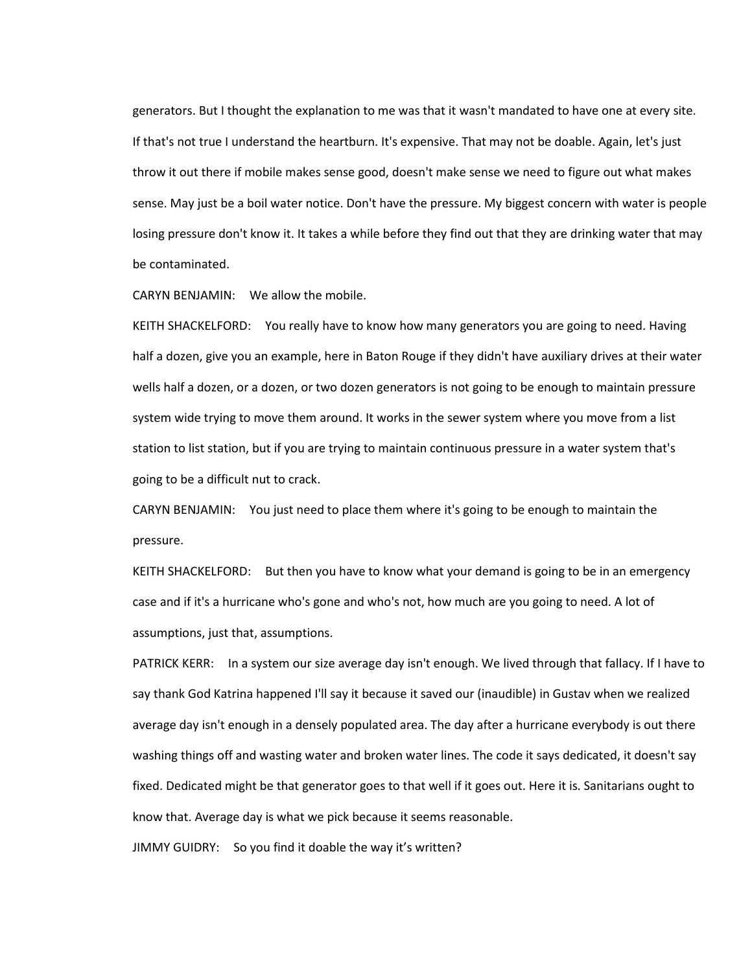generators. But I thought the explanation to me was that it wasn't mandated to have one at every site. If that's not true I understand the heartburn. It's expensive. That may not be doable. Again, let's just throw it out there if mobile makes sense good, doesn't make sense we need to figure out what makes sense. May just be a boil water notice. Don't have the pressure. My biggest concern with water is people losing pressure don't know it. It takes a while before they find out that they are drinking water that may be contaminated.

CARYN BENJAMIN: We allow the mobile.

KEITH SHACKELFORD: You really have to know how many generators you are going to need. Having half a dozen, give you an example, here in Baton Rouge if they didn't have auxiliary drives at their water wells half a dozen, or a dozen, or two dozen generators is not going to be enough to maintain pressure system wide trying to move them around. It works in the sewer system where you move from a list station to list station, but if you are trying to maintain continuous pressure in a water system that's going to be a difficult nut to crack.

CARYN BENJAMIN: You just need to place them where it's going to be enough to maintain the pressure.

KEITH SHACKELFORD: But then you have to know what your demand is going to be in an emergency case and if it's a hurricane who's gone and who's not, how much are you going to need. A lot of assumptions, just that, assumptions.

PATRICK KERR: In a system our size average day isn't enough. We lived through that fallacy. If I have to say thank God Katrina happened I'll say it because it saved our (inaudible) in Gustav when we realized average day isn't enough in a densely populated area. The day after a hurricane everybody is out there washing things off and wasting water and broken water lines. The code it says dedicated, it doesn't say fixed. Dedicated might be that generator goes to that well if it goes out. Here it is. Sanitarians ought to know that. Average day is what we pick because it seems reasonable.

JIMMY GUIDRY: So you find it doable the way it's written?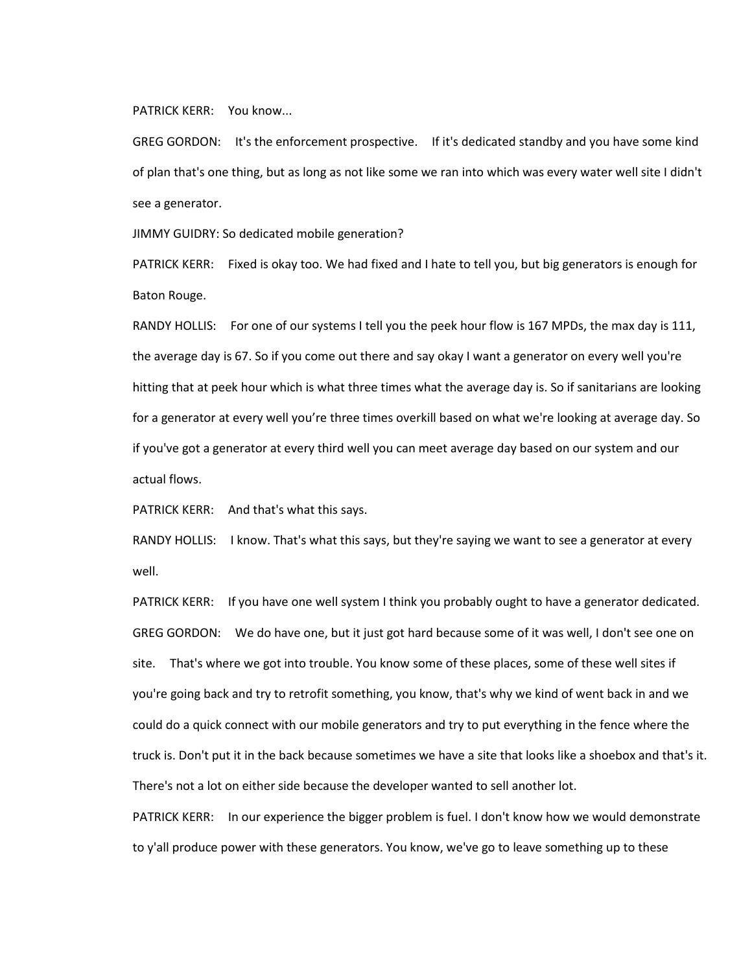## PATRICK KERR: You know...

GREG GORDON: It's the enforcement prospective. If it's dedicated standby and you have some kind of plan that's one thing, but as long as not like some we ran into which was every water well site I didn't see a generator.

JIMMY GUIDRY: So dedicated mobile generation?

PATRICK KERR: Fixed is okay too. We had fixed and I hate to tell you, but big generators is enough for Baton Rouge.

RANDY HOLLIS: For one of our systems I tell you the peek hour flow is 167 MPDs, the max day is 111, the average day is 67. So if you come out there and say okay I want a generator on every well you're hitting that at peek hour which is what three times what the average day is. So if sanitarians are looking for a generator at every well you're three times overkill based on what we're looking at average day. So if you've got a generator at every third well you can meet average day based on our system and our actual flows.

PATRICK KERR: And that's what this says.

RANDY HOLLIS: I know. That's what this says, but they're saying we want to see a generator at every well.

PATRICK KERR: If you have one well system I think you probably ought to have a generator dedicated. GREG GORDON: We do have one, but it just got hard because some of it was well, I don't see one on site. That's where we got into trouble. You know some of these places, some of these well sites if you're going back and try to retrofit something, you know, that's why we kind of went back in and we could do a quick connect with our mobile generators and try to put everything in the fence where the truck is. Don't put it in the back because sometimes we have a site that looks like a shoebox and that's it. There's not a lot on either side because the developer wanted to sell another lot.

PATRICK KERR: In our experience the bigger problem is fuel. I don't know how we would demonstrate to y'all produce power with these generators. You know, we've go to leave something up to these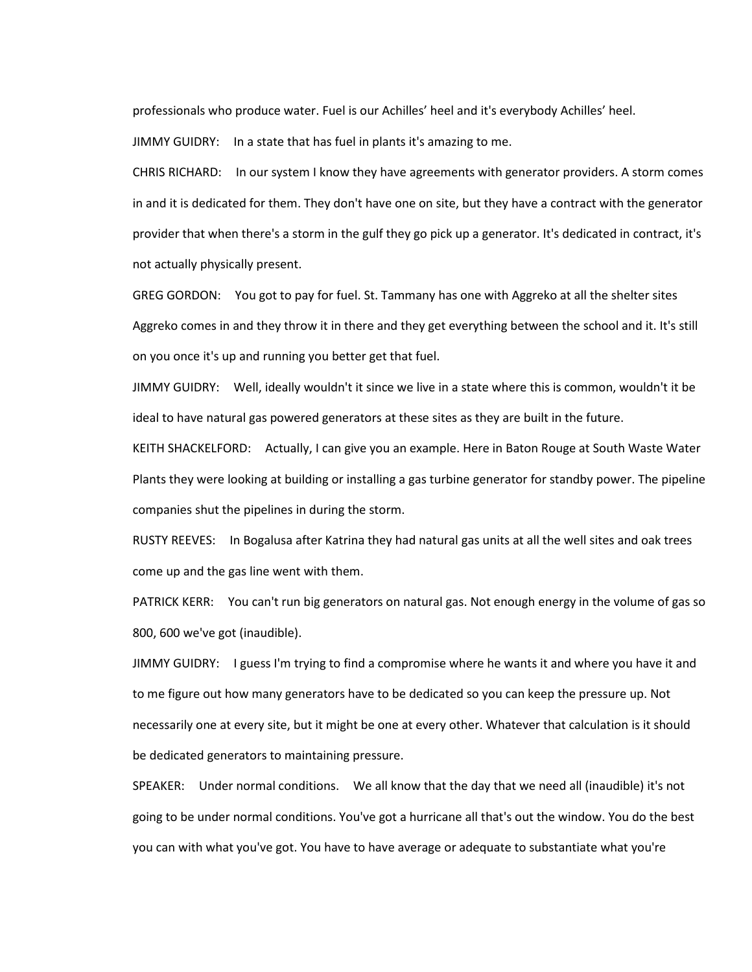professionals who produce water. Fuel is our Achilles' heel and it's everybody Achilles' heel.

JIMMY GUIDRY: In a state that has fuel in plants it's amazing to me.

CHRIS RICHARD: In our system I know they have agreements with generator providers. A storm comes in and it is dedicated for them. They don't have one on site, but they have a contract with the generator provider that when there's a storm in the gulf they go pick up a generator. It's dedicated in contract, it's not actually physically present.

GREG GORDON: You got to pay for fuel. St. Tammany has one with Aggreko at all the shelter sites Aggreko comes in and they throw it in there and they get everything between the school and it. It's still on you once it's up and running you better get that fuel.

JIMMY GUIDRY: Well, ideally wouldn't it since we live in a state where this is common, wouldn't it be ideal to have natural gas powered generators at these sites as they are built in the future.

KEITH SHACKELFORD: Actually, I can give you an example. Here in Baton Rouge at South Waste Water Plants they were looking at building or installing a gas turbine generator for standby power. The pipeline companies shut the pipelines in during the storm.

RUSTY REEVES: In Bogalusa after Katrina they had natural gas units at all the well sites and oak trees come up and the gas line went with them.

PATRICK KERR: You can't run big generators on natural gas. Not enough energy in the volume of gas so 800, 600 we've got (inaudible).

JIMMY GUIDRY: I guess I'm trying to find a compromise where he wants it and where you have it and to me figure out how many generators have to be dedicated so you can keep the pressure up. Not necessarily one at every site, but it might be one at every other. Whatever that calculation is it should be dedicated generators to maintaining pressure.

SPEAKER: Under normal conditions. We all know that the day that we need all (inaudible) it's not going to be under normal conditions. You've got a hurricane all that's out the window. You do the best you can with what you've got. You have to have average or adequate to substantiate what you're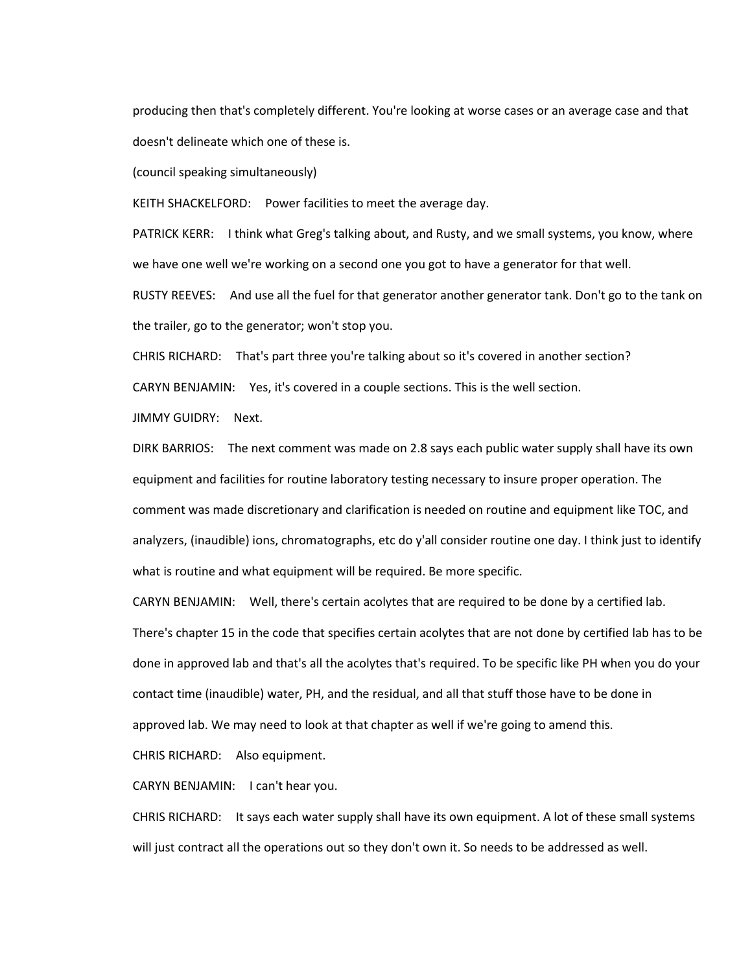producing then that's completely different. You're looking at worse cases or an average case and that doesn't delineate which one of these is.

(council speaking simultaneously)

KEITH SHACKELFORD: Power facilities to meet the average day.

PATRICK KERR: I think what Greg's talking about, and Rusty, and we small systems, you know, where we have one well we're working on a second one you got to have a generator for that well.

RUSTY REEVES: And use all the fuel for that generator another generator tank. Don't go to the tank on the trailer, go to the generator; won't stop you.

CHRIS RICHARD: That's part three you're talking about so it's covered in another section?

CARYN BENJAMIN: Yes, it's covered in a couple sections. This is the well section.

JIMMY GUIDRY: Next.

DIRK BARRIOS: The next comment was made on 2.8 says each public water supply shall have its own equipment and facilities for routine laboratory testing necessary to insure proper operation. The comment was made discretionary and clarification is needed on routine and equipment like TOC, and analyzers, (inaudible) ions, chromatographs, etc do y'all consider routine one day. I think just to identify what is routine and what equipment will be required. Be more specific.

CARYN BENJAMIN: Well, there's certain acolytes that are required to be done by a certified lab. There's chapter 15 in the code that specifies certain acolytes that are not done by certified lab has to be done in approved lab and that's all the acolytes that's required. To be specific like PH when you do your contact time (inaudible) water, PH, and the residual, and all that stuff those have to be done in approved lab. We may need to look at that chapter as well if we're going to amend this. CHRIS RICHARD: Also equipment.

CARYN BENJAMIN: I can't hear you.

CHRIS RICHARD: It says each water supply shall have its own equipment. A lot of these small systems will just contract all the operations out so they don't own it. So needs to be addressed as well.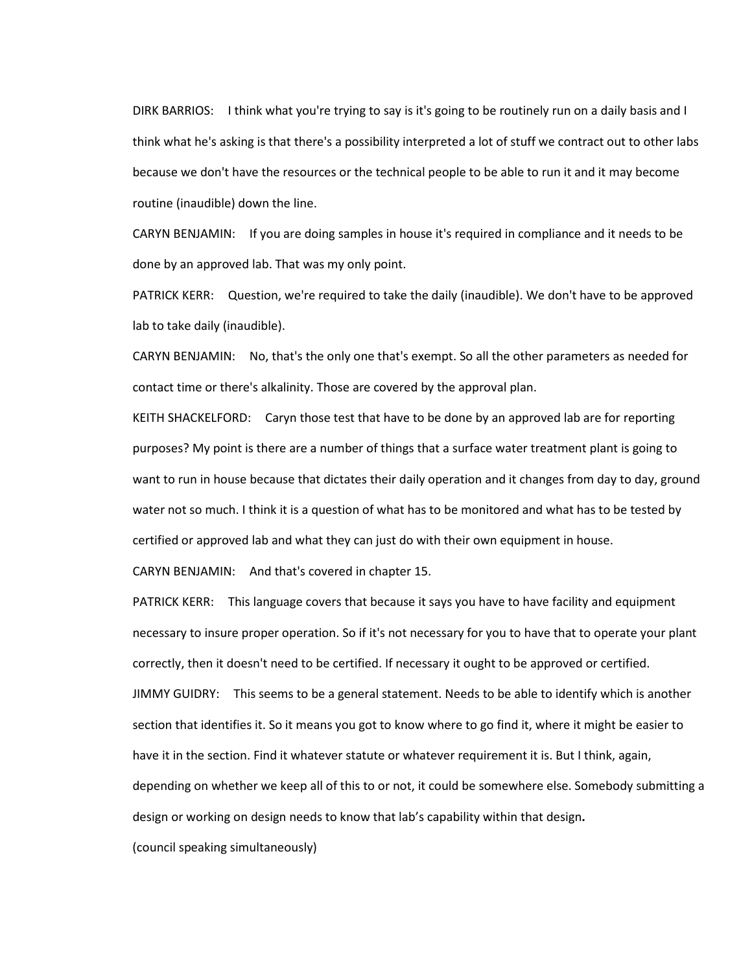DIRK BARRIOS: I think what you're trying to say is it's going to be routinely run on a daily basis and I think what he's asking is that there's a possibility interpreted a lot of stuff we contract out to other labs because we don't have the resources or the technical people to be able to run it and it may become routine (inaudible) down the line.

CARYN BENJAMIN: If you are doing samples in house it's required in compliance and it needs to be done by an approved lab. That was my only point.

PATRICK KERR: Question, we're required to take the daily (inaudible). We don't have to be approved lab to take daily (inaudible).

CARYN BENJAMIN: No, that's the only one that's exempt. So all the other parameters as needed for contact time or there's alkalinity. Those are covered by the approval plan.

KEITH SHACKELFORD: Caryn those test that have to be done by an approved lab are for reporting purposes? My point is there are a number of things that a surface water treatment plant is going to want to run in house because that dictates their daily operation and it changes from day to day, ground water not so much. I think it is a question of what has to be monitored and what has to be tested by certified or approved lab and what they can just do with their own equipment in house.

CARYN BENJAMIN: And that's covered in chapter 15.

PATRICK KERR: This language covers that because it says you have to have facility and equipment necessary to insure proper operation. So if it's not necessary for you to have that to operate your plant correctly, then it doesn't need to be certified. If necessary it ought to be approved or certified. JIMMY GUIDRY: This seems to be a general statement. Needs to be able to identify which is another section that identifies it. So it means you got to know where to go find it, where it might be easier to have it in the section. Find it whatever statute or whatever requirement it is. But I think, again, depending on whether we keep all of this to or not, it could be somewhere else. Somebody submitting a design or working on design needs to know that lab's capability within that design**.**

(council speaking simultaneously)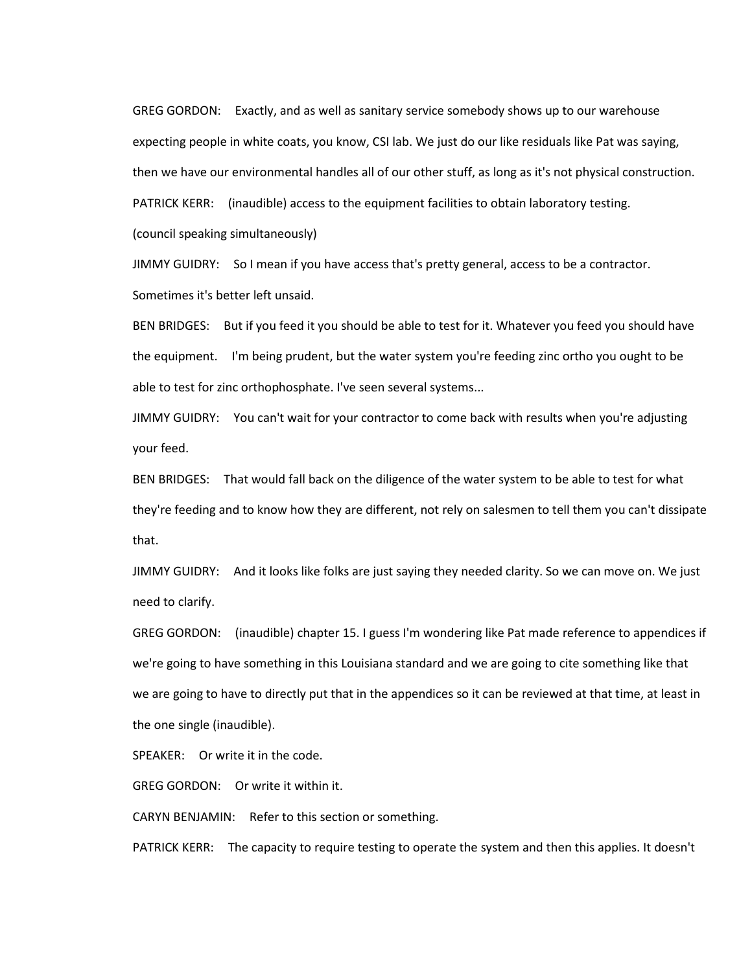GREG GORDON: Exactly, and as well as sanitary service somebody shows up to our warehouse expecting people in white coats, you know, CSI lab. We just do our like residuals like Pat was saying, then we have our environmental handles all of our other stuff, as long as it's not physical construction. PATRICK KERR: (inaudible) access to the equipment facilities to obtain laboratory testing.

(council speaking simultaneously)

JIMMY GUIDRY: So I mean if you have access that's pretty general, access to be a contractor. Sometimes it's better left unsaid.

BEN BRIDGES: But if you feed it you should be able to test for it. Whatever you feed you should have the equipment. I'm being prudent, but the water system you're feeding zinc ortho you ought to be able to test for zinc orthophosphate. I've seen several systems...

JIMMY GUIDRY: You can't wait for your contractor to come back with results when you're adjusting your feed.

BEN BRIDGES: That would fall back on the diligence of the water system to be able to test for what they're feeding and to know how they are different, not rely on salesmen to tell them you can't dissipate that.

JIMMY GUIDRY: And it looks like folks are just saying they needed clarity. So we can move on. We just need to clarify.

GREG GORDON: (inaudible) chapter 15. I guess I'm wondering like Pat made reference to appendices if we're going to have something in this Louisiana standard and we are going to cite something like that we are going to have to directly put that in the appendices so it can be reviewed at that time, at least in the one single (inaudible).

SPEAKER: Or write it in the code.

GREG GORDON: Or write it within it.

CARYN BENJAMIN: Refer to this section or something.

PATRICK KERR: The capacity to require testing to operate the system and then this applies. It doesn't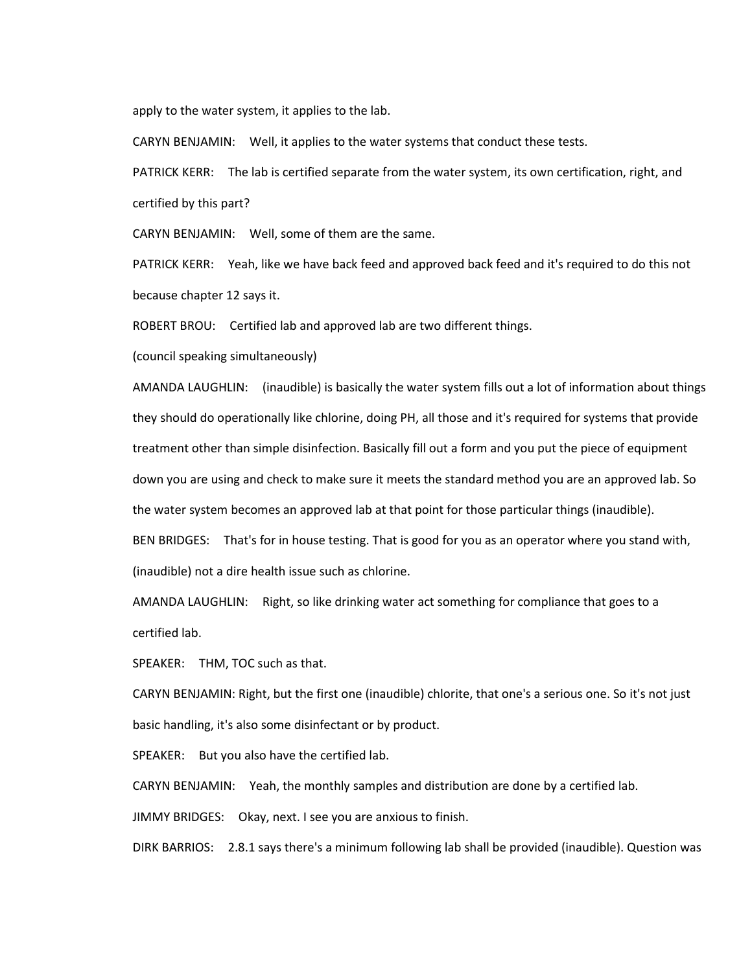apply to the water system, it applies to the lab.

CARYN BENJAMIN: Well, it applies to the water systems that conduct these tests.

PATRICK KERR: The lab is certified separate from the water system, its own certification, right, and certified by this part?

CARYN BENJAMIN: Well, some of them are the same.

PATRICK KERR: Yeah, like we have back feed and approved back feed and it's required to do this not because chapter 12 says it.

ROBERT BROU: Certified lab and approved lab are two different things.

(council speaking simultaneously)

AMANDA LAUGHLIN: (inaudible) is basically the water system fills out a lot of information about things they should do operationally like chlorine, doing PH, all those and it's required for systems that provide treatment other than simple disinfection. Basically fill out a form and you put the piece of equipment down you are using and check to make sure it meets the standard method you are an approved lab. So the water system becomes an approved lab at that point for those particular things (inaudible). BEN BRIDGES: That's for in house testing. That is good for you as an operator where you stand with,

(inaudible) not a dire health issue such as chlorine.

AMANDA LAUGHLIN: Right, so like drinking water act something for compliance that goes to a certified lab.

SPEAKER: THM, TOC such as that.

CARYN BENJAMIN: Right, but the first one (inaudible) chlorite, that one's a serious one. So it's not just basic handling, it's also some disinfectant or by product.

SPEAKER: But you also have the certified lab.

CARYN BENJAMIN: Yeah, the monthly samples and distribution are done by a certified lab.

JIMMY BRIDGES: Okay, next. I see you are anxious to finish.

DIRK BARRIOS: 2.8.1 says there's a minimum following lab shall be provided (inaudible). Question was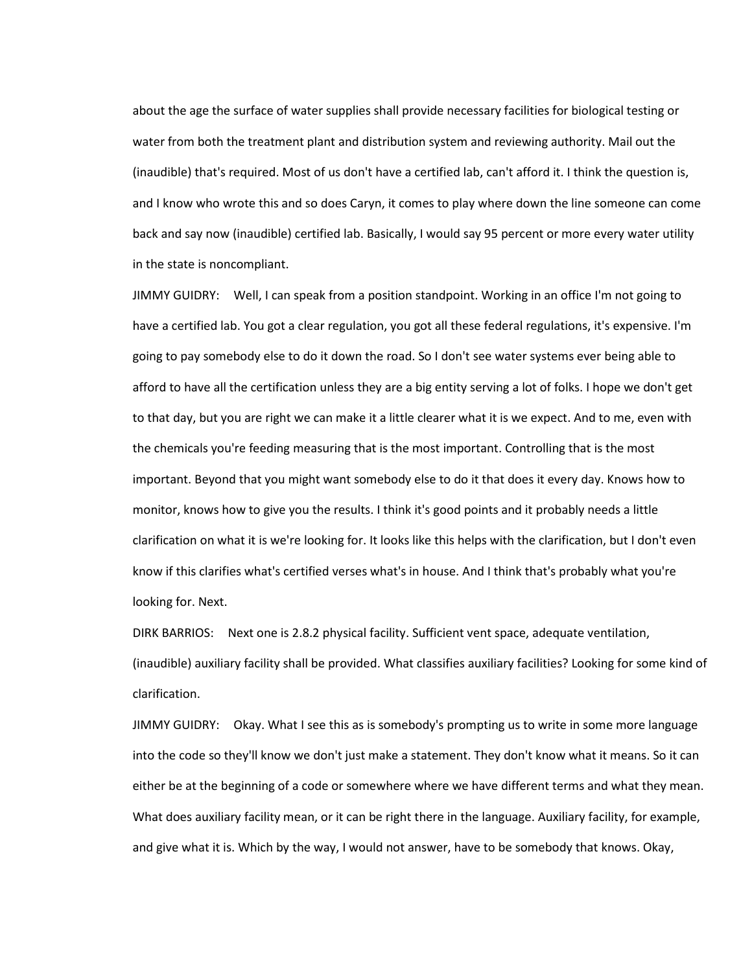about the age the surface of water supplies shall provide necessary facilities for biological testing or water from both the treatment plant and distribution system and reviewing authority. Mail out the (inaudible) that's required. Most of us don't have a certified lab, can't afford it. I think the question is, and I know who wrote this and so does Caryn, it comes to play where down the line someone can come back and say now (inaudible) certified lab. Basically, I would say 95 percent or more every water utility in the state is noncompliant.

JIMMY GUIDRY: Well, I can speak from a position standpoint. Working in an office I'm not going to have a certified lab. You got a clear regulation, you got all these federal regulations, it's expensive. I'm going to pay somebody else to do it down the road. So I don't see water systems ever being able to afford to have all the certification unless they are a big entity serving a lot of folks. I hope we don't get to that day, but you are right we can make it a little clearer what it is we expect. And to me, even with the chemicals you're feeding measuring that is the most important. Controlling that is the most important. Beyond that you might want somebody else to do it that does it every day. Knows how to monitor, knows how to give you the results. I think it's good points and it probably needs a little clarification on what it is we're looking for. It looks like this helps with the clarification, but I don't even know if this clarifies what's certified verses what's in house. And I think that's probably what you're looking for. Next.

DIRK BARRIOS: Next one is 2.8.2 physical facility. Sufficient vent space, adequate ventilation, (inaudible) auxiliary facility shall be provided. What classifies auxiliary facilities? Looking for some kind of clarification.

JIMMY GUIDRY: Okay. What I see this as is somebody's prompting us to write in some more language into the code so they'll know we don't just make a statement. They don't know what it means. So it can either be at the beginning of a code or somewhere where we have different terms and what they mean. What does auxiliary facility mean, or it can be right there in the language. Auxiliary facility, for example, and give what it is. Which by the way, I would not answer, have to be somebody that knows. Okay,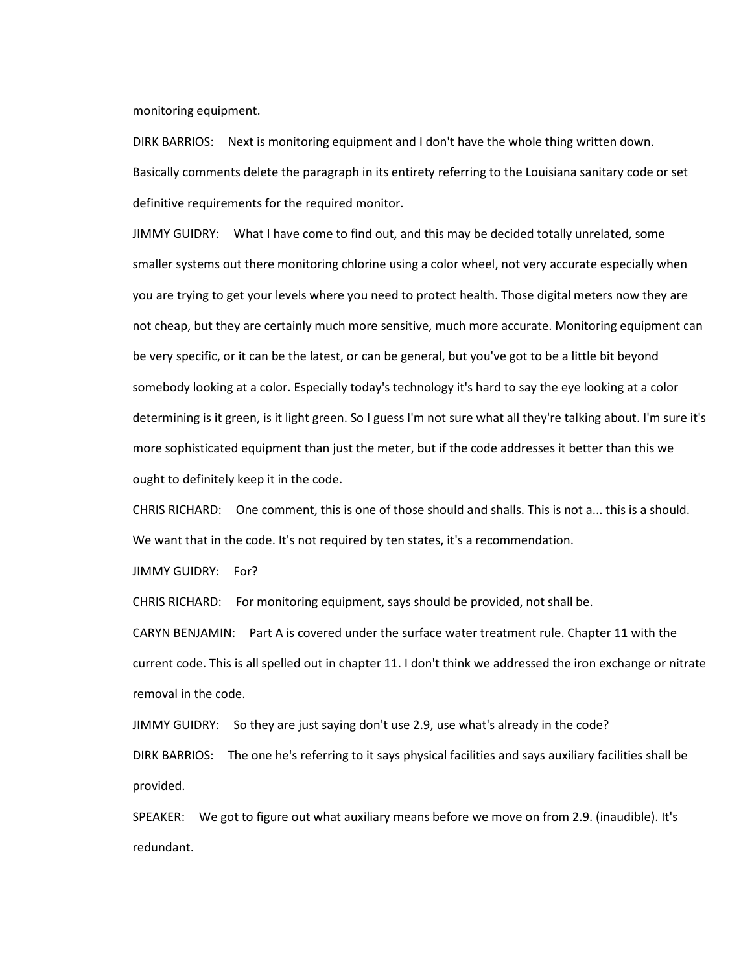monitoring equipment.

DIRK BARRIOS: Next is monitoring equipment and I don't have the whole thing written down. Basically comments delete the paragraph in its entirety referring to the Louisiana sanitary code or set definitive requirements for the required monitor.

JIMMY GUIDRY: What I have come to find out, and this may be decided totally unrelated, some smaller systems out there monitoring chlorine using a color wheel, not very accurate especially when you are trying to get your levels where you need to protect health. Those digital meters now they are not cheap, but they are certainly much more sensitive, much more accurate. Monitoring equipment can be very specific, or it can be the latest, or can be general, but you've got to be a little bit beyond somebody looking at a color. Especially today's technology it's hard to say the eye looking at a color determining is it green, is it light green. So I guess I'm not sure what all they're talking about. I'm sure it's more sophisticated equipment than just the meter, but if the code addresses it better than this we ought to definitely keep it in the code.

CHRIS RICHARD: One comment, this is one of those should and shalls. This is not a... this is a should. We want that in the code. It's not required by ten states, it's a recommendation.

JIMMY GUIDRY: For?

CHRIS RICHARD: For monitoring equipment, says should be provided, not shall be.

CARYN BENJAMIN: Part A is covered under the surface water treatment rule. Chapter 11 with the current code. This is all spelled out in chapter 11. I don't think we addressed the iron exchange or nitrate removal in the code.

JIMMY GUIDRY: So they are just saying don't use 2.9, use what's already in the code? DIRK BARRIOS: The one he's referring to it says physical facilities and says auxiliary facilities shall be provided.

SPEAKER: We got to figure out what auxiliary means before we move on from 2.9. (inaudible). It's redundant.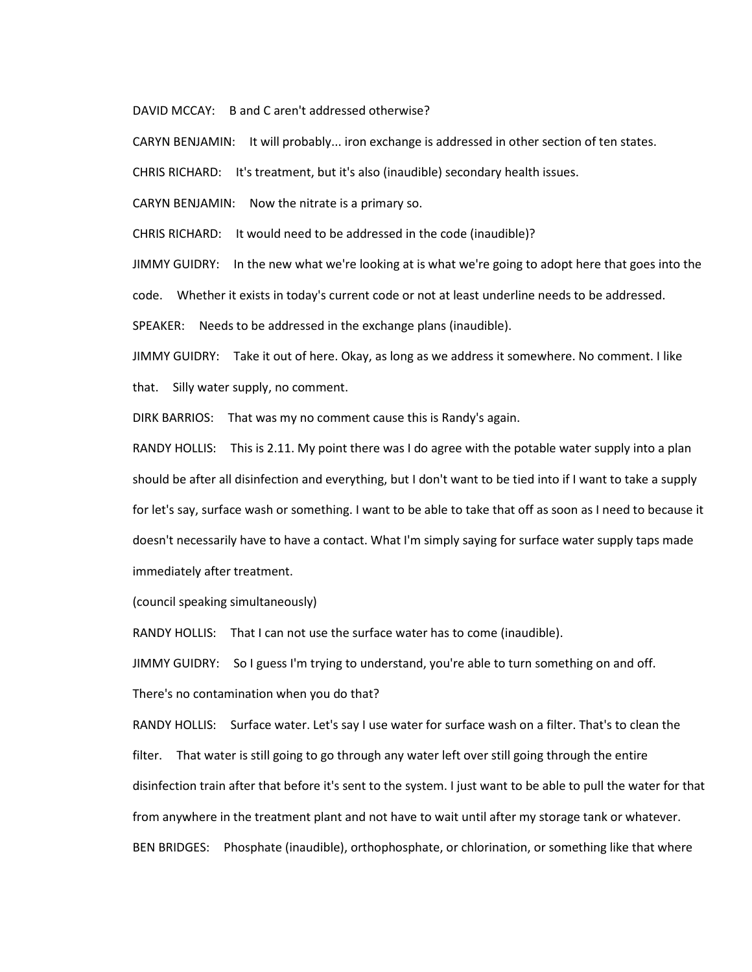DAVID MCCAY: B and C aren't addressed otherwise?

CARYN BENJAMIN: It will probably... iron exchange is addressed in other section of ten states.

CHRIS RICHARD: It's treatment, but it's also (inaudible) secondary health issues.

CARYN BENJAMIN: Now the nitrate is a primary so.

CHRIS RICHARD: It would need to be addressed in the code (inaudible)?

JIMMY GUIDRY: In the new what we're looking at is what we're going to adopt here that goes into the code. Whether it exists in today's current code or not at least underline needs to be addressed.

SPEAKER: Needs to be addressed in the exchange plans (inaudible).

JIMMY GUIDRY: Take it out of here. Okay, as long as we address it somewhere. No comment. I like that. Silly water supply, no comment.

DIRK BARRIOS: That was my no comment cause this is Randy's again.

RANDY HOLLIS: This is 2.11. My point there was I do agree with the potable water supply into a plan should be after all disinfection and everything, but I don't want to be tied into if I want to take a supply for let's say, surface wash or something. I want to be able to take that off as soon as I need to because it doesn't necessarily have to have a contact. What I'm simply saying for surface water supply taps made immediately after treatment.

(council speaking simultaneously)

RANDY HOLLIS: That I can not use the surface water has to come (inaudible).

JIMMY GUIDRY: So I guess I'm trying to understand, you're able to turn something on and off.

There's no contamination when you do that?

RANDY HOLLIS: Surface water. Let's say I use water for surface wash on a filter. That's to clean the filter. That water is still going to go through any water left over still going through the entire disinfection train after that before it's sent to the system. I just want to be able to pull the water for that from anywhere in the treatment plant and not have to wait until after my storage tank or whatever. BEN BRIDGES: Phosphate (inaudible), orthophosphate, or chlorination, or something like that where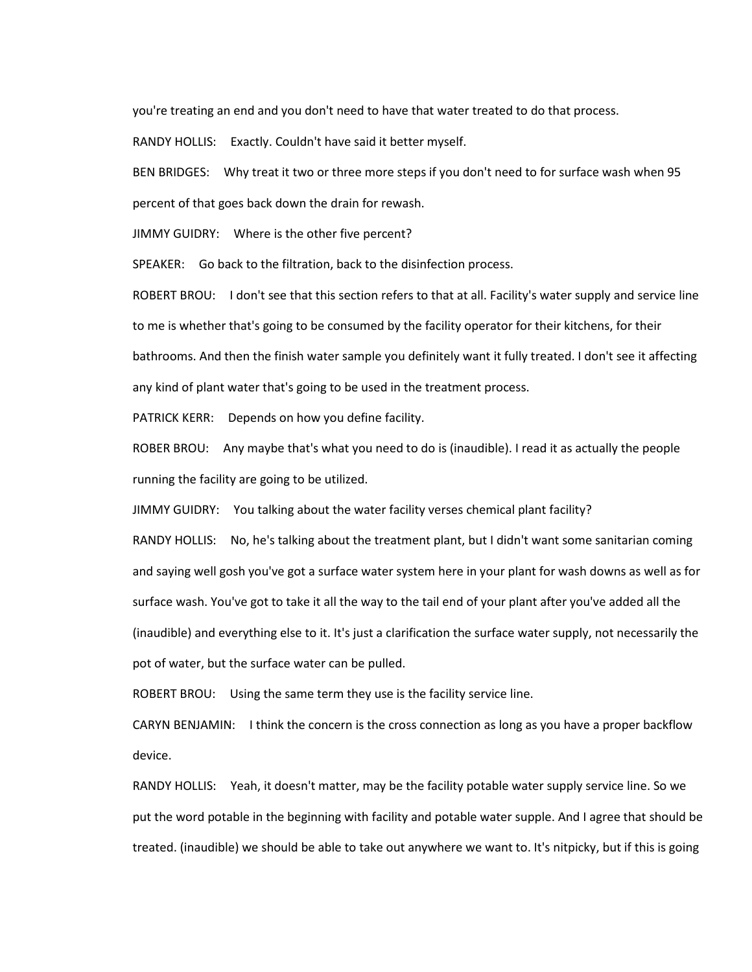you're treating an end and you don't need to have that water treated to do that process.

RANDY HOLLIS: Exactly. Couldn't have said it better myself.

BEN BRIDGES: Why treat it two or three more steps if you don't need to for surface wash when 95 percent of that goes back down the drain for rewash.

JIMMY GUIDRY: Where is the other five percent?

SPEAKER: Go back to the filtration, back to the disinfection process.

ROBERT BROU: I don't see that this section refers to that at all. Facility's water supply and service line to me is whether that's going to be consumed by the facility operator for their kitchens, for their bathrooms. And then the finish water sample you definitely want it fully treated. I don't see it affecting any kind of plant water that's going to be used in the treatment process.

PATRICK KERR: Depends on how you define facility.

ROBER BROU: Any maybe that's what you need to do is (inaudible). I read it as actually the people running the facility are going to be utilized.

JIMMY GUIDRY: You talking about the water facility verses chemical plant facility?

RANDY HOLLIS: No, he's talking about the treatment plant, but I didn't want some sanitarian coming and saying well gosh you've got a surface water system here in your plant for wash downs as well as for surface wash. You've got to take it all the way to the tail end of your plant after you've added all the (inaudible) and everything else to it. It's just a clarification the surface water supply, not necessarily the pot of water, but the surface water can be pulled.

ROBERT BROU: Using the same term they use is the facility service line.

CARYN BENJAMIN: I think the concern is the cross connection as long as you have a proper backflow device.

RANDY HOLLIS: Yeah, it doesn't matter, may be the facility potable water supply service line. So we put the word potable in the beginning with facility and potable water supple. And I agree that should be treated. (inaudible) we should be able to take out anywhere we want to. It's nitpicky, but if this is going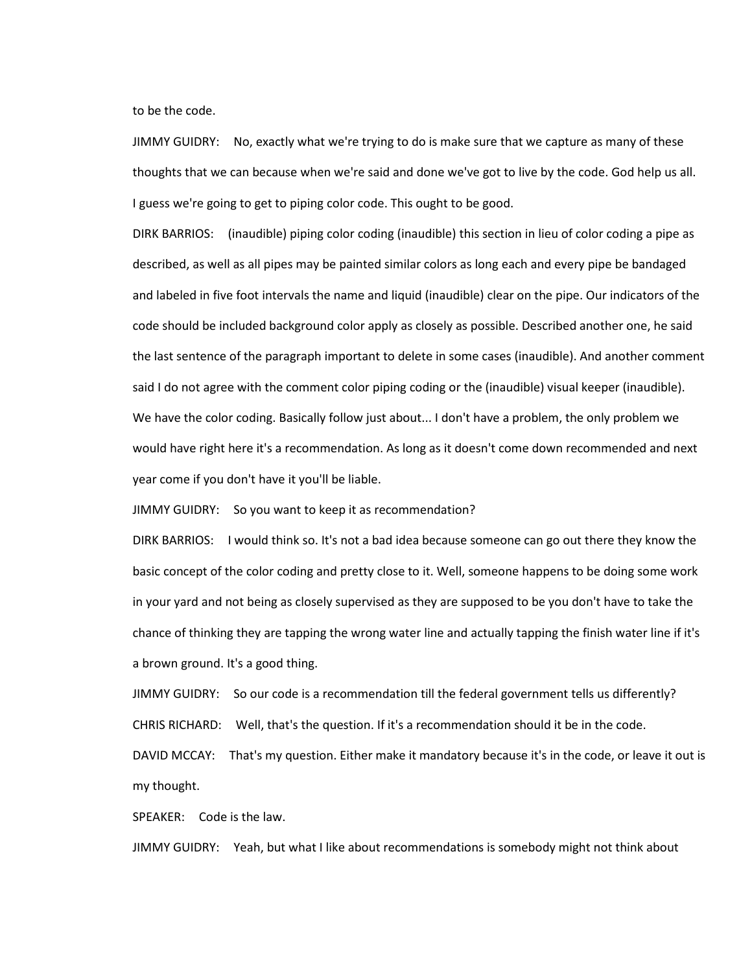to be the code.

JIMMY GUIDRY: No, exactly what we're trying to do is make sure that we capture as many of these thoughts that we can because when we're said and done we've got to live by the code. God help us all. I guess we're going to get to piping color code. This ought to be good.

DIRK BARRIOS: (inaudible) piping color coding (inaudible) this section in lieu of color coding a pipe as described, as well as all pipes may be painted similar colors as long each and every pipe be bandaged and labeled in five foot intervals the name and liquid (inaudible) clear on the pipe. Our indicators of the code should be included background color apply as closely as possible. Described another one, he said the last sentence of the paragraph important to delete in some cases (inaudible). And another comment said I do not agree with the comment color piping coding or the (inaudible) visual keeper (inaudible). We have the color coding. Basically follow just about... I don't have a problem, the only problem we would have right here it's a recommendation. As long as it doesn't come down recommended and next year come if you don't have it you'll be liable.

JIMMY GUIDRY: So you want to keep it as recommendation?

DIRK BARRIOS: I would think so. It's not a bad idea because someone can go out there they know the basic concept of the color coding and pretty close to it. Well, someone happens to be doing some work in your yard and not being as closely supervised as they are supposed to be you don't have to take the chance of thinking they are tapping the wrong water line and actually tapping the finish water line if it's a brown ground. It's a good thing.

JIMMY GUIDRY: So our code is a recommendation till the federal government tells us differently? CHRIS RICHARD: Well, that's the question. If it's a recommendation should it be in the code. DAVID MCCAY: That's my question. Either make it mandatory because it's in the code, or leave it out is my thought.

SPEAKER: Code is the law.

JIMMY GUIDRY: Yeah, but what I like about recommendations is somebody might not think about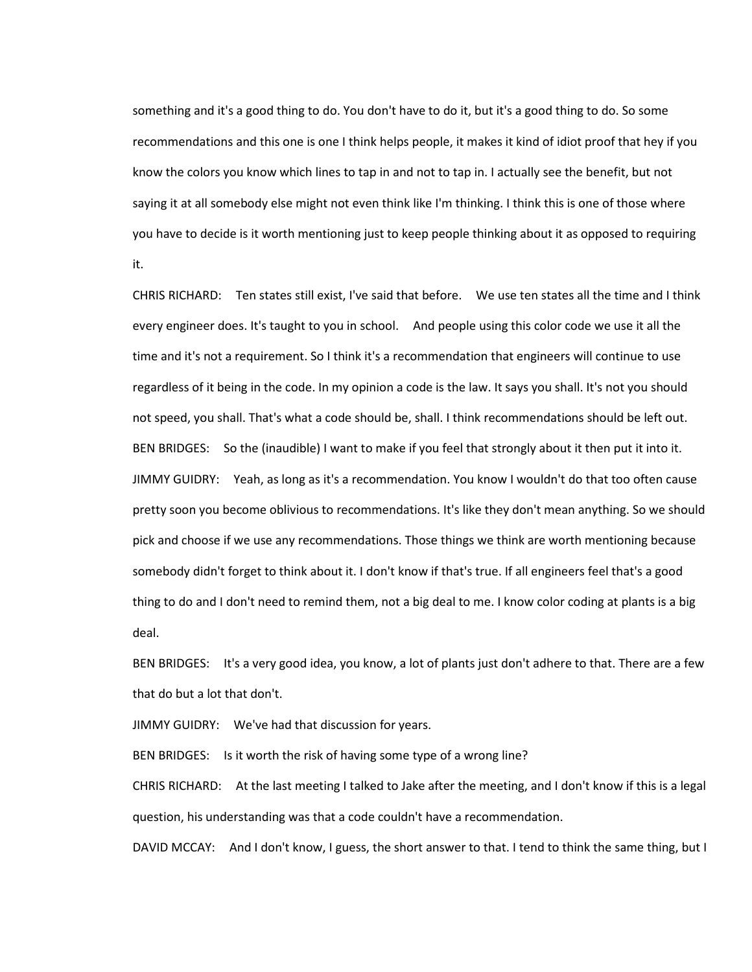something and it's a good thing to do. You don't have to do it, but it's a good thing to do. So some recommendations and this one is one I think helps people, it makes it kind of idiot proof that hey if you know the colors you know which lines to tap in and not to tap in. I actually see the benefit, but not saying it at all somebody else might not even think like I'm thinking. I think this is one of those where you have to decide is it worth mentioning just to keep people thinking about it as opposed to requiring it.

CHRIS RICHARD: Ten states still exist, I've said that before. We use ten states all the time and I think every engineer does. It's taught to you in school. And people using this color code we use it all the time and it's not a requirement. So I think it's a recommendation that engineers will continue to use regardless of it being in the code. In my opinion a code is the law. It says you shall. It's not you should not speed, you shall. That's what a code should be, shall. I think recommendations should be left out. BEN BRIDGES: So the (inaudible) I want to make if you feel that strongly about it then put it into it. JIMMY GUIDRY: Yeah, as long as it's a recommendation. You know I wouldn't do that too often cause pretty soon you become oblivious to recommendations. It's like they don't mean anything. So we should pick and choose if we use any recommendations. Those things we think are worth mentioning because somebody didn't forget to think about it. I don't know if that's true. If all engineers feel that's a good thing to do and I don't need to remind them, not a big deal to me. I know color coding at plants is a big deal.

BEN BRIDGES: It's a very good idea, you know, a lot of plants just don't adhere to that. There are a few that do but a lot that don't.

JIMMY GUIDRY: We've had that discussion for years.

BEN BRIDGES: Is it worth the risk of having some type of a wrong line?

CHRIS RICHARD: At the last meeting I talked to Jake after the meeting, and I don't know if this is a legal question, his understanding was that a code couldn't have a recommendation.

DAVID MCCAY: And I don't know, I guess, the short answer to that. I tend to think the same thing, but I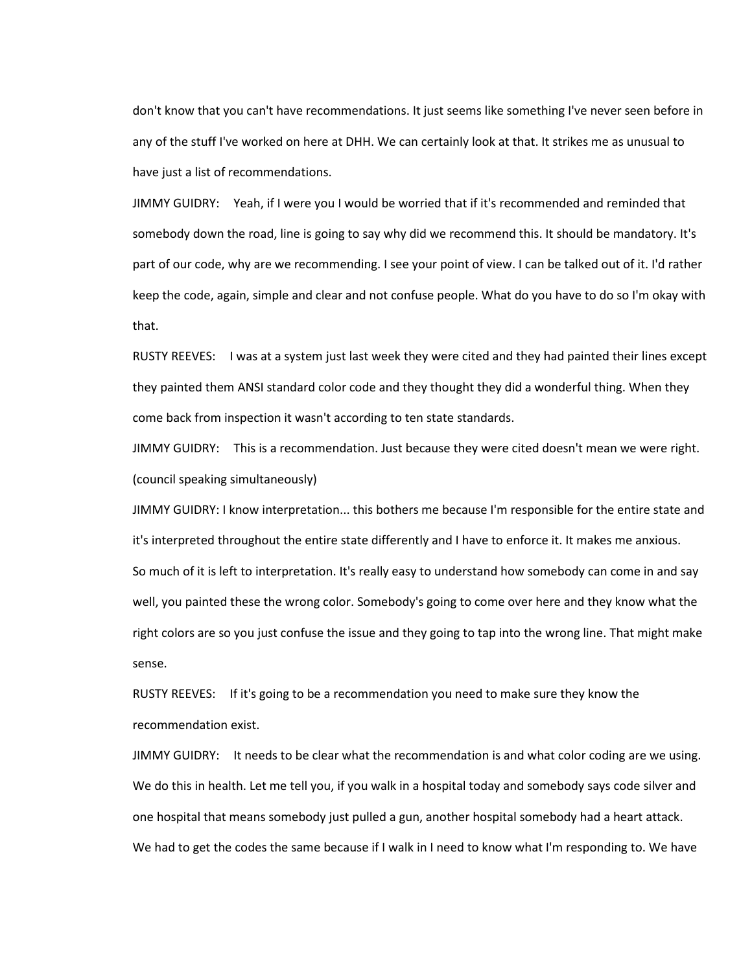don't know that you can't have recommendations. It just seems like something I've never seen before in any of the stuff I've worked on here at DHH. We can certainly look at that. It strikes me as unusual to have just a list of recommendations.

JIMMY GUIDRY: Yeah, if I were you I would be worried that if it's recommended and reminded that somebody down the road, line is going to say why did we recommend this. It should be mandatory. It's part of our code, why are we recommending. I see your point of view. I can be talked out of it. I'd rather keep the code, again, simple and clear and not confuse people. What do you have to do so I'm okay with that.

RUSTY REEVES: I was at a system just last week they were cited and they had painted their lines except they painted them ANSI standard color code and they thought they did a wonderful thing. When they come back from inspection it wasn't according to ten state standards.

JIMMY GUIDRY: This is a recommendation. Just because they were cited doesn't mean we were right. (council speaking simultaneously)

JIMMY GUIDRY: I know interpretation... this bothers me because I'm responsible for the entire state and it's interpreted throughout the entire state differently and I have to enforce it. It makes me anxious. So much of it is left to interpretation. It's really easy to understand how somebody can come in and say well, you painted these the wrong color. Somebody's going to come over here and they know what the right colors are so you just confuse the issue and they going to tap into the wrong line. That might make sense.

RUSTY REEVES: If it's going to be a recommendation you need to make sure they know the recommendation exist.

JIMMY GUIDRY: It needs to be clear what the recommendation is and what color coding are we using. We do this in health. Let me tell you, if you walk in a hospital today and somebody says code silver and one hospital that means somebody just pulled a gun, another hospital somebody had a heart attack. We had to get the codes the same because if I walk in I need to know what I'm responding to. We have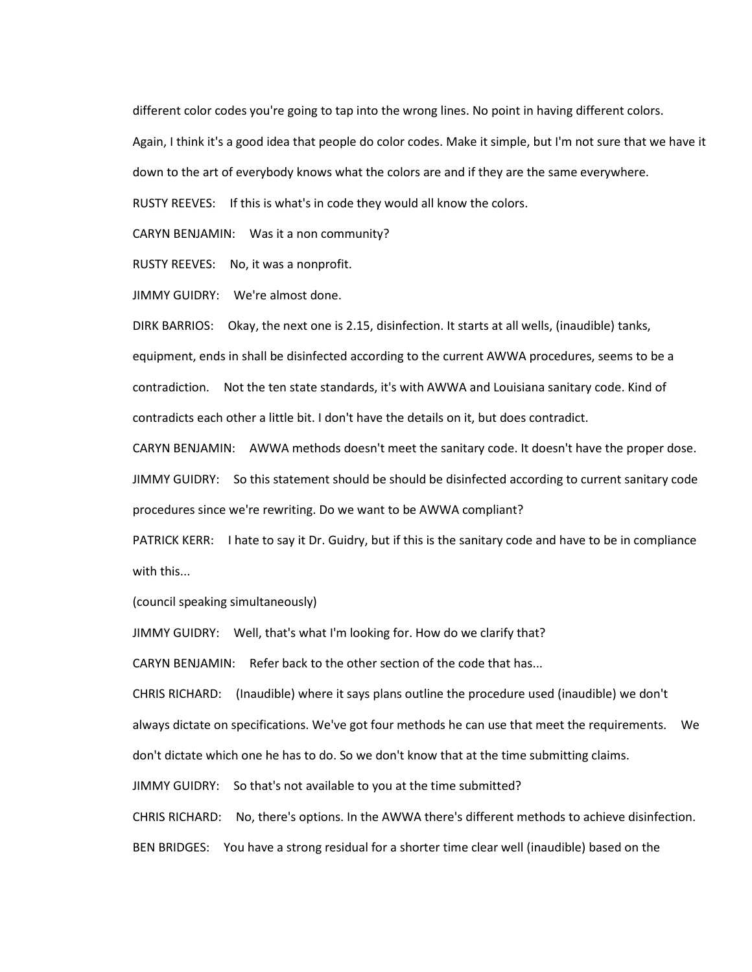different color codes you're going to tap into the wrong lines. No point in having different colors.

Again, I think it's a good idea that people do color codes. Make it simple, but I'm not sure that we have it

down to the art of everybody knows what the colors are and if they are the same everywhere.

RUSTY REEVES: If this is what's in code they would all know the colors.

CARYN BENJAMIN: Was it a non community?

RUSTY REEVES: No, it was a nonprofit.

JIMMY GUIDRY: We're almost done.

DIRK BARRIOS: Okay, the next one is 2.15, disinfection. It starts at all wells, (inaudible) tanks, equipment, ends in shall be disinfected according to the current AWWA procedures, seems to be a contradiction. Not the ten state standards, it's with AWWA and Louisiana sanitary code. Kind of contradicts each other a little bit. I don't have the details on it, but does contradict.

CARYN BENJAMIN: AWWA methods doesn't meet the sanitary code. It doesn't have the proper dose. JIMMY GUIDRY: So this statement should be should be disinfected according to current sanitary code procedures since we're rewriting. Do we want to be AWWA compliant?

PATRICK KERR: I hate to say it Dr. Guidry, but if this is the sanitary code and have to be in compliance with this...

(council speaking simultaneously)

JIMMY GUIDRY: Well, that's what I'm looking for. How do we clarify that?

CARYN BENJAMIN: Refer back to the other section of the code that has...

CHRIS RICHARD: (Inaudible) where it says plans outline the procedure used (inaudible) we don't always dictate on specifications. We've got four methods he can use that meet the requirements. We don't dictate which one he has to do. So we don't know that at the time submitting claims.

JIMMY GUIDRY: So that's not available to you at the time submitted?

CHRIS RICHARD: No, there's options. In the AWWA there's different methods to achieve disinfection. BEN BRIDGES: You have a strong residual for a shorter time clear well (inaudible) based on the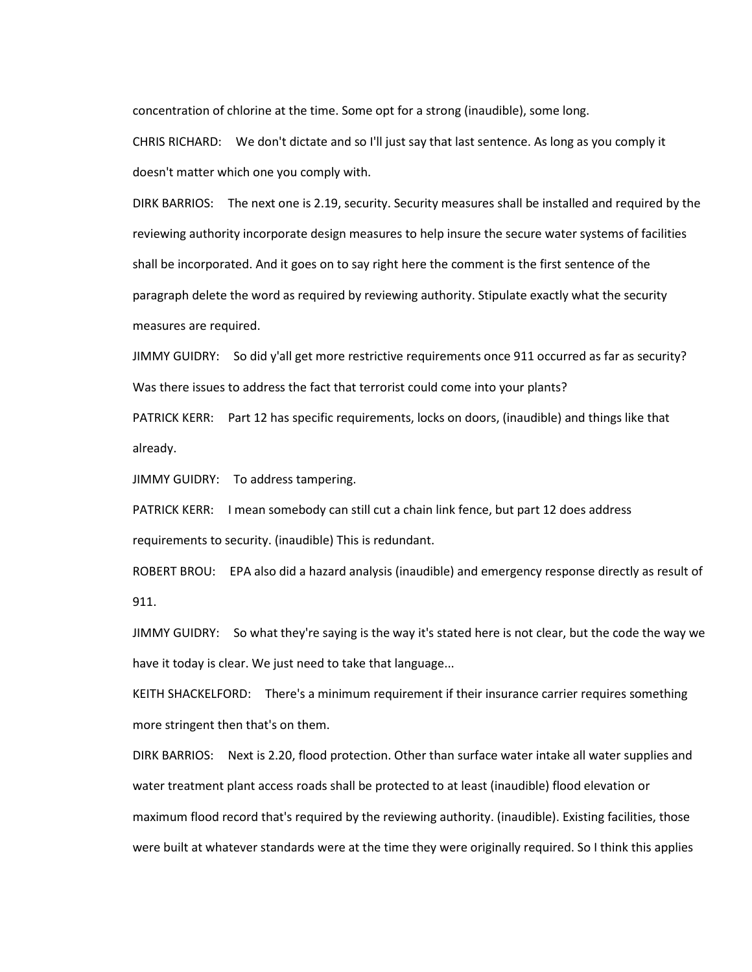concentration of chlorine at the time. Some opt for a strong (inaudible), some long.

CHRIS RICHARD: We don't dictate and so I'll just say that last sentence. As long as you comply it doesn't matter which one you comply with.

DIRK BARRIOS: The next one is 2.19, security. Security measures shall be installed and required by the reviewing authority incorporate design measures to help insure the secure water systems of facilities shall be incorporated. And it goes on to say right here the comment is the first sentence of the paragraph delete the word as required by reviewing authority. Stipulate exactly what the security measures are required.

JIMMY GUIDRY: So did y'all get more restrictive requirements once 911 occurred as far as security? Was there issues to address the fact that terrorist could come into your plants?

PATRICK KERR: Part 12 has specific requirements, locks on doors, (inaudible) and things like that already.

JIMMY GUIDRY: To address tampering.

PATRICK KERR: I mean somebody can still cut a chain link fence, but part 12 does address requirements to security. (inaudible) This is redundant.

ROBERT BROU: EPA also did a hazard analysis (inaudible) and emergency response directly as result of 911.

JIMMY GUIDRY: So what they're saying is the way it's stated here is not clear, but the code the way we have it today is clear. We just need to take that language...

KEITH SHACKELFORD: There's a minimum requirement if their insurance carrier requires something more stringent then that's on them.

DIRK BARRIOS: Next is 2.20, flood protection. Other than surface water intake all water supplies and water treatment plant access roads shall be protected to at least (inaudible) flood elevation or maximum flood record that's required by the reviewing authority. (inaudible). Existing facilities, those were built at whatever standards were at the time they were originally required. So I think this applies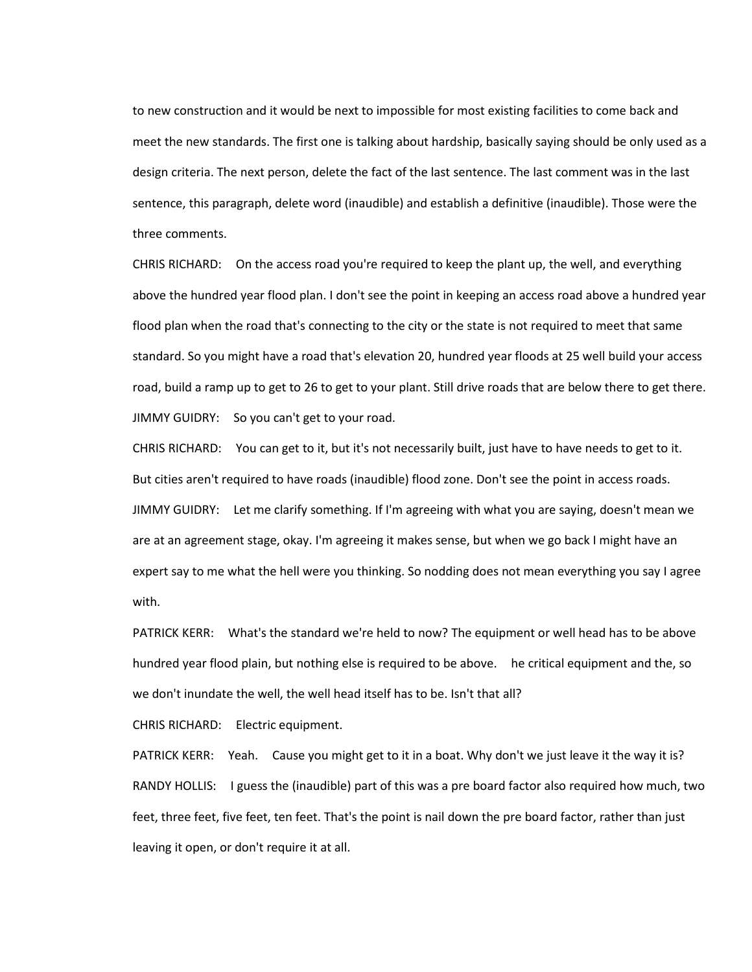to new construction and it would be next to impossible for most existing facilities to come back and meet the new standards. The first one is talking about hardship, basically saying should be only used as a design criteria. The next person, delete the fact of the last sentence. The last comment was in the last sentence, this paragraph, delete word (inaudible) and establish a definitive (inaudible). Those were the three comments.

CHRIS RICHARD: On the access road you're required to keep the plant up, the well, and everything above the hundred year flood plan. I don't see the point in keeping an access road above a hundred year flood plan when the road that's connecting to the city or the state is not required to meet that same standard. So you might have a road that's elevation 20, hundred year floods at 25 well build your access road, build a ramp up to get to 26 to get to your plant. Still drive roads that are below there to get there. JIMMY GUIDRY: So you can't get to your road.

CHRIS RICHARD: You can get to it, but it's not necessarily built, just have to have needs to get to it. But cities aren't required to have roads (inaudible) flood zone. Don't see the point in access roads. JIMMY GUIDRY: Let me clarify something. If I'm agreeing with what you are saying, doesn't mean we are at an agreement stage, okay. I'm agreeing it makes sense, but when we go back I might have an expert say to me what the hell were you thinking. So nodding does not mean everything you say I agree with.

PATRICK KERR: What's the standard we're held to now? The equipment or well head has to be above hundred year flood plain, but nothing else is required to be above. he critical equipment and the, so we don't inundate the well, the well head itself has to be. Isn't that all?

CHRIS RICHARD: Electric equipment.

PATRICK KERR: Yeah. Cause you might get to it in a boat. Why don't we just leave it the way it is? RANDY HOLLIS: I guess the (inaudible) part of this was a pre board factor also required how much, two feet, three feet, five feet, ten feet. That's the point is nail down the pre board factor, rather than just leaving it open, or don't require it at all.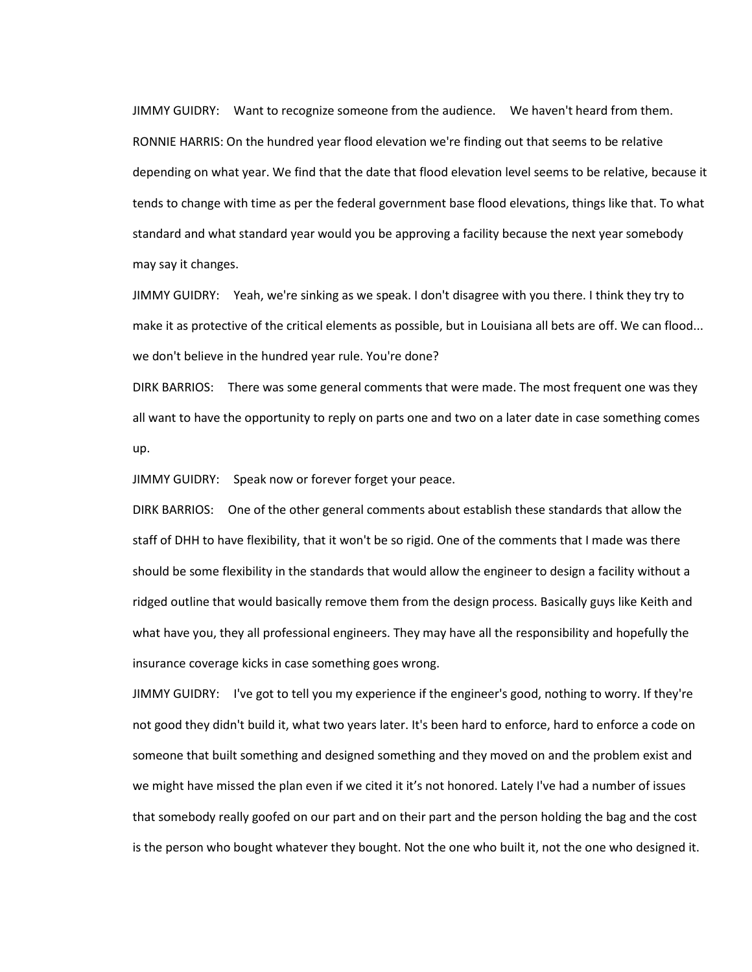JIMMY GUIDRY: Want to recognize someone from the audience. We haven't heard from them. RONNIE HARRIS: On the hundred year flood elevation we're finding out that seems to be relative depending on what year. We find that the date that flood elevation level seems to be relative, because it tends to change with time as per the federal government base flood elevations, things like that. To what standard and what standard year would you be approving a facility because the next year somebody may say it changes.

JIMMY GUIDRY: Yeah, we're sinking as we speak. I don't disagree with you there. I think they try to make it as protective of the critical elements as possible, but in Louisiana all bets are off. We can flood... we don't believe in the hundred year rule. You're done?

DIRK BARRIOS: There was some general comments that were made. The most frequent one was they all want to have the opportunity to reply on parts one and two on a later date in case something comes up.

JIMMY GUIDRY: Speak now or forever forget your peace.

DIRK BARRIOS: One of the other general comments about establish these standards that allow the staff of DHH to have flexibility, that it won't be so rigid. One of the comments that I made was there should be some flexibility in the standards that would allow the engineer to design a facility without a ridged outline that would basically remove them from the design process. Basically guys like Keith and what have you, they all professional engineers. They may have all the responsibility and hopefully the insurance coverage kicks in case something goes wrong.

JIMMY GUIDRY: I've got to tell you my experience if the engineer's good, nothing to worry. If they're not good they didn't build it, what two years later. It's been hard to enforce, hard to enforce a code on someone that built something and designed something and they moved on and the problem exist and we might have missed the plan even if we cited it it's not honored. Lately I've had a number of issues that somebody really goofed on our part and on their part and the person holding the bag and the cost is the person who bought whatever they bought. Not the one who built it, not the one who designed it.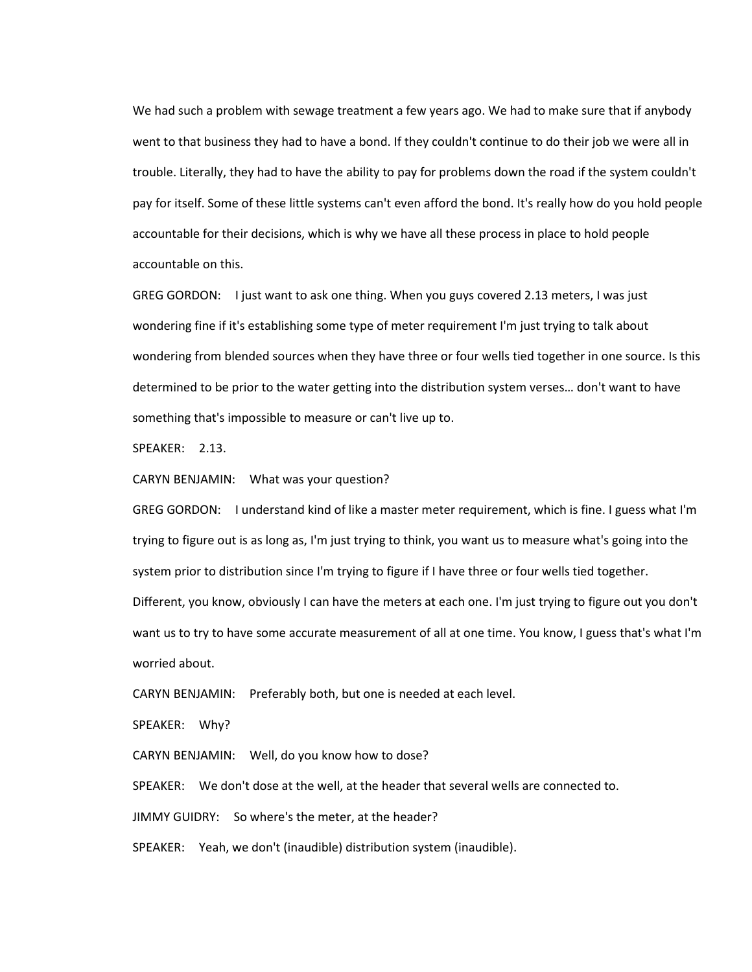We had such a problem with sewage treatment a few years ago. We had to make sure that if anybody went to that business they had to have a bond. If they couldn't continue to do their job we were all in trouble. Literally, they had to have the ability to pay for problems down the road if the system couldn't pay for itself. Some of these little systems can't even afford the bond. It's really how do you hold people accountable for their decisions, which is why we have all these process in place to hold people accountable on this.

GREG GORDON: I just want to ask one thing. When you guys covered 2.13 meters, I was just wondering fine if it's establishing some type of meter requirement I'm just trying to talk about wondering from blended sources when they have three or four wells tied together in one source. Is this determined to be prior to the water getting into the distribution system verses… don't want to have something that's impossible to measure or can't live up to.

SPEAKER: 2.13.

CARYN BENJAMIN: What was your question?

GREG GORDON: I understand kind of like a master meter requirement, which is fine. I guess what I'm trying to figure out is as long as, I'm just trying to think, you want us to measure what's going into the system prior to distribution since I'm trying to figure if I have three or four wells tied together.

Different, you know, obviously I can have the meters at each one. I'm just trying to figure out you don't want us to try to have some accurate measurement of all at one time. You know, I guess that's what I'm worried about.

CARYN BENJAMIN: Preferably both, but one is needed at each level.

SPEAKER: Why?

CARYN BENJAMIN: Well, do you know how to dose?

SPEAKER: We don't dose at the well, at the header that several wells are connected to.

JIMMY GUIDRY: So where's the meter, at the header?

SPEAKER: Yeah, we don't (inaudible) distribution system (inaudible).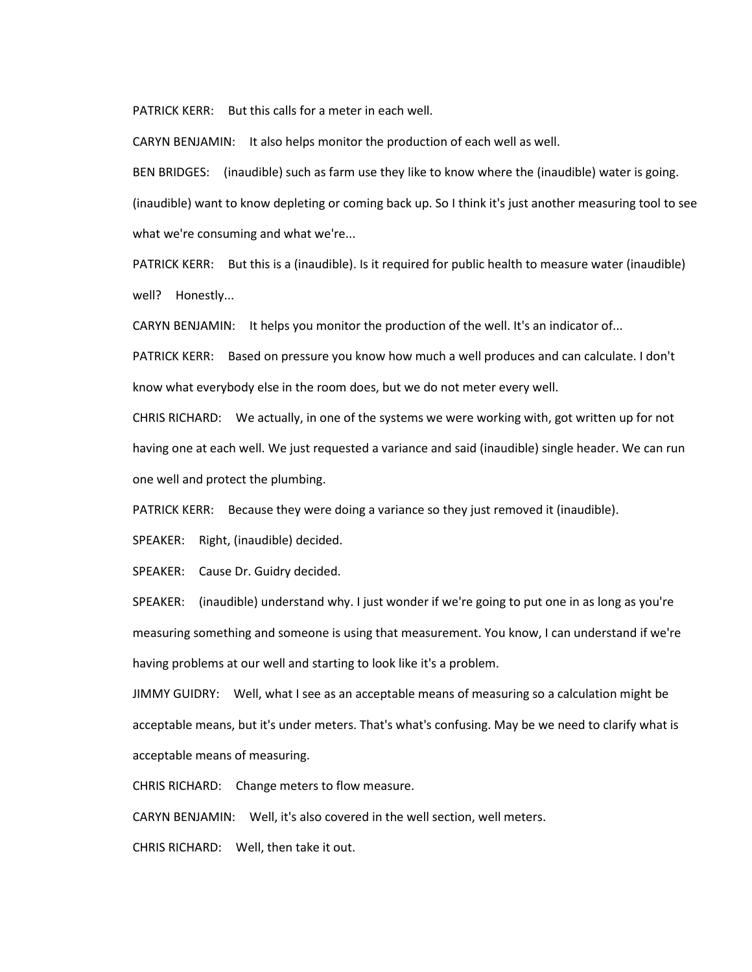PATRICK KERR: But this calls for a meter in each well.

CARYN BENJAMIN: It also helps monitor the production of each well as well.

BEN BRIDGES: (inaudible) such as farm use they like to know where the (inaudible) water is going. (inaudible) want to know depleting or coming back up. So I think it's just another measuring tool to see what we're consuming and what we're...

PATRICK KERR: But this is a (inaudible). Is it required for public health to measure water (inaudible) well? Honestly...

CARYN BENJAMIN: It helps you monitor the production of the well. It's an indicator of...

PATRICK KERR: Based on pressure you know how much a well produces and can calculate. I don't know what everybody else in the room does, but we do not meter every well.

CHRIS RICHARD: We actually, in one of the systems we were working with, got written up for not having one at each well. We just requested a variance and said (inaudible) single header. We can run one well and protect the plumbing.

PATRICK KERR: Because they were doing a variance so they just removed it (inaudible).

SPEAKER: Right, (inaudible) decided.

SPEAKER: Cause Dr. Guidry decided.

SPEAKER: (inaudible) understand why. I just wonder if we're going to put one in as long as you're measuring something and someone is using that measurement. You know, I can understand if we're having problems at our well and starting to look like it's a problem.

JIMMY GUIDRY: Well, what I see as an acceptable means of measuring so a calculation might be acceptable means, but it's under meters. That's what's confusing. May be we need to clarify what is acceptable means of measuring.

CHRIS RICHARD: Change meters to flow measure.

CARYN BENJAMIN: Well, it's also covered in the well section, well meters.

CHRIS RICHARD: Well, then take it out.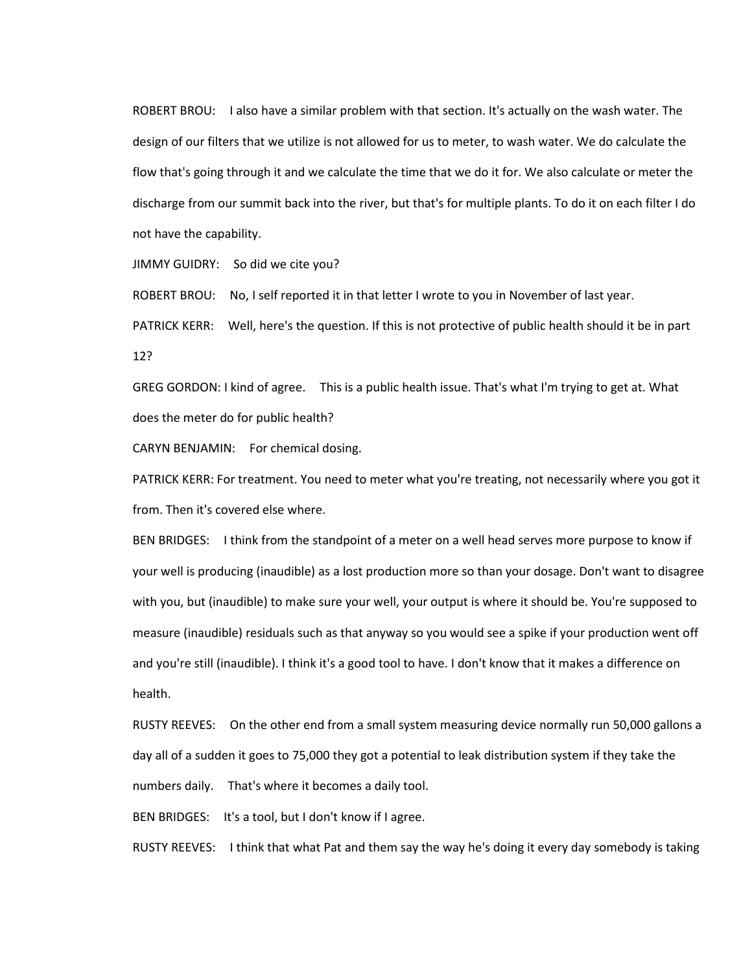ROBERT BROU: I also have a similar problem with that section. It's actually on the wash water. The design of our filters that we utilize is not allowed for us to meter, to wash water. We do calculate the flow that's going through it and we calculate the time that we do it for. We also calculate or meter the discharge from our summit back into the river, but that's for multiple plants. To do it on each filter I do not have the capability.

JIMMY GUIDRY: So did we cite you?

ROBERT BROU: No, I self reported it in that letter I wrote to you in November of last year.

PATRICK KERR: Well, here's the question. If this is not protective of public health should it be in part 12?

GREG GORDON: I kind of agree. This is a public health issue. That's what I'm trying to get at. What does the meter do for public health?

CARYN BENJAMIN: For chemical dosing.

PATRICK KERR: For treatment. You need to meter what you're treating, not necessarily where you got it from. Then it's covered else where.

BEN BRIDGES: I think from the standpoint of a meter on a well head serves more purpose to know if your well is producing (inaudible) as a lost production more so than your dosage. Don't want to disagree with you, but (inaudible) to make sure your well, your output is where it should be. You're supposed to measure (inaudible) residuals such as that anyway so you would see a spike if your production went off and you're still (inaudible). I think it's a good tool to have. I don't know that it makes a difference on health.

RUSTY REEVES: On the other end from a small system measuring device normally run 50,000 gallons a day all of a sudden it goes to 75,000 they got a potential to leak distribution system if they take the numbers daily. That's where it becomes a daily tool.

BEN BRIDGES: It's a tool, but I don't know if I agree.

RUSTY REEVES: I think that what Pat and them say the way he's doing it every day somebody is taking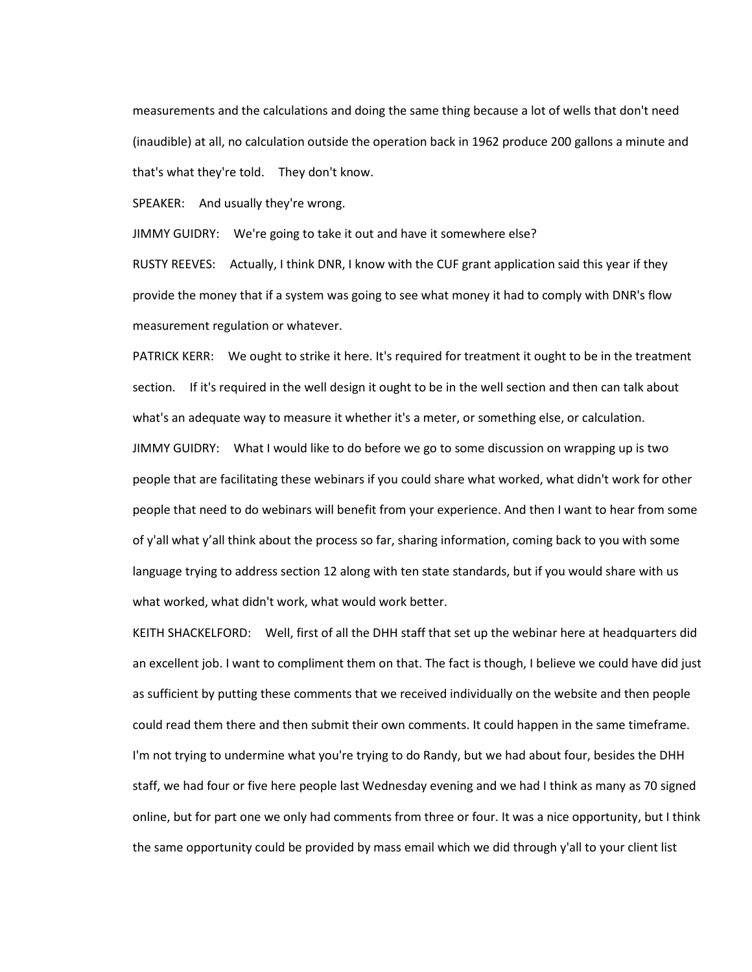measurements and the calculations and doing the same thing because a lot of wells that don't need (inaudible) at all, no calculation outside the operation back in 1962 produce 200 gallons a minute and that's what they're told. They don't know.

SPEAKER: And usually they're wrong.

JIMMY GUIDRY: We're going to take it out and have it somewhere else?

RUSTY REEVES: Actually, I think DNR, I know with the CUF grant application said this year if they provide the money that if a system was going to see what money it had to comply with DNR's flow measurement regulation or whatever.

PATRICK KERR: We ought to strike it here. It's required for treatment it ought to be in the treatment section. If it's required in the well design it ought to be in the well section and then can talk about what's an adequate way to measure it whether it's a meter, or something else, or calculation. JIMMY GUIDRY: What I would like to do before we go to some discussion on wrapping up is two people that are facilitating these webinars if you could share what worked, what didn't work for other people that need to do webinars will benefit from your experience. And then I want to hear from some of y'all what y'all think about the process so far, sharing information, coming back to you with some language trying to address section 12 along with ten state standards, but if you would share with us what worked, what didn't work, what would work better.

KEITH SHACKELFORD: Well, first of all the DHH staff that set up the webinar here at headquarters did an excellent job. I want to compliment them on that. The fact is though, I believe we could have did just as sufficient by putting these comments that we received individually on the website and then people could read them there and then submit their own comments. It could happen in the same timeframe. I'm not trying to undermine what you're trying to do Randy, but we had about four, besides the DHH staff, we had four or five here people last Wednesday evening and we had I think as many as 70 signed online, but for part one we only had comments from three or four. It was a nice opportunity, but I think the same opportunity could be provided by mass email which we did through y'all to your client list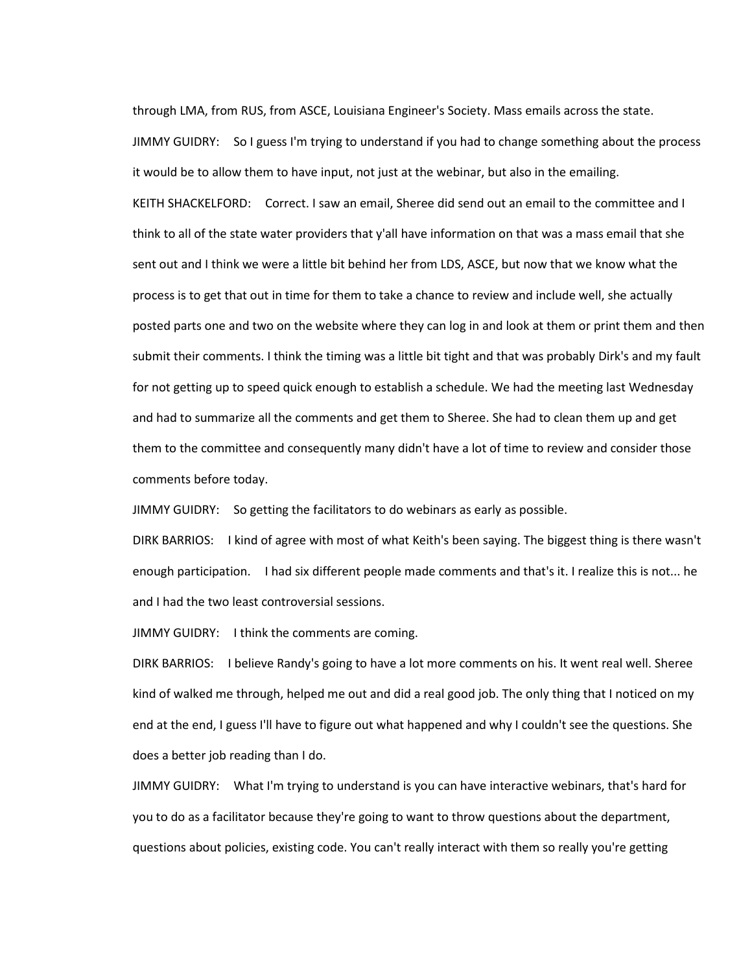through LMA, from RUS, from ASCE, Louisiana Engineer's Society. Mass emails across the state. JIMMY GUIDRY: So I guess I'm trying to understand if you had to change something about the process it would be to allow them to have input, not just at the webinar, but also in the emailing. KEITH SHACKELFORD: Correct. I saw an email, Sheree did send out an email to the committee and I think to all of the state water providers that y'all have information on that was a mass email that she sent out and I think we were a little bit behind her from LDS, ASCE, but now that we know what the process is to get that out in time for them to take a chance to review and include well, she actually posted parts one and two on the website where they can log in and look at them or print them and then submit their comments. I think the timing was a little bit tight and that was probably Dirk's and my fault for not getting up to speed quick enough to establish a schedule. We had the meeting last Wednesday and had to summarize all the comments and get them to Sheree. She had to clean them up and get them to the committee and consequently many didn't have a lot of time to review and consider those comments before today.

JIMMY GUIDRY: So getting the facilitators to do webinars as early as possible.

DIRK BARRIOS: I kind of agree with most of what Keith's been saying. The biggest thing is there wasn't enough participation. I had six different people made comments and that's it. I realize this is not... he and I had the two least controversial sessions.

JIMMY GUIDRY: I think the comments are coming.

DIRK BARRIOS: I believe Randy's going to have a lot more comments on his. It went real well. Sheree kind of walked me through, helped me out and did a real good job. The only thing that I noticed on my end at the end, I guess I'll have to figure out what happened and why I couldn't see the questions. She does a better job reading than I do.

JIMMY GUIDRY: What I'm trying to understand is you can have interactive webinars, that's hard for you to do as a facilitator because they're going to want to throw questions about the department, questions about policies, existing code. You can't really interact with them so really you're getting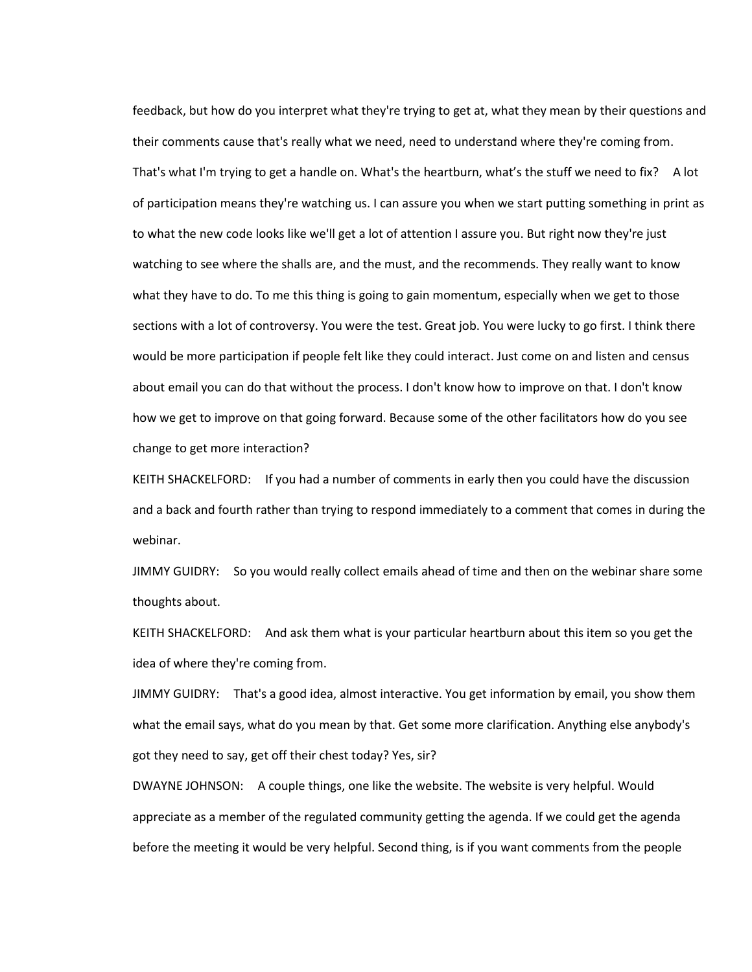feedback, but how do you interpret what they're trying to get at, what they mean by their questions and their comments cause that's really what we need, need to understand where they're coming from. That's what I'm trying to get a handle on. What's the heartburn, what's the stuff we need to fix? A lot of participation means they're watching us. I can assure you when we start putting something in print as to what the new code looks like we'll get a lot of attention I assure you. But right now they're just watching to see where the shalls are, and the must, and the recommends. They really want to know what they have to do. To me this thing is going to gain momentum, especially when we get to those sections with a lot of controversy. You were the test. Great job. You were lucky to go first. I think there would be more participation if people felt like they could interact. Just come on and listen and census about email you can do that without the process. I don't know how to improve on that. I don't know how we get to improve on that going forward. Because some of the other facilitators how do you see change to get more interaction?

KEITH SHACKELFORD: If you had a number of comments in early then you could have the discussion and a back and fourth rather than trying to respond immediately to a comment that comes in during the webinar.

JIMMY GUIDRY: So you would really collect emails ahead of time and then on the webinar share some thoughts about.

KEITH SHACKELFORD: And ask them what is your particular heartburn about this item so you get the idea of where they're coming from.

JIMMY GUIDRY: That's a good idea, almost interactive. You get information by email, you show them what the email says, what do you mean by that. Get some more clarification. Anything else anybody's got they need to say, get off their chest today? Yes, sir?

DWAYNE JOHNSON: A couple things, one like the website. The website is very helpful. Would appreciate as a member of the regulated community getting the agenda. If we could get the agenda before the meeting it would be very helpful. Second thing, is if you want comments from the people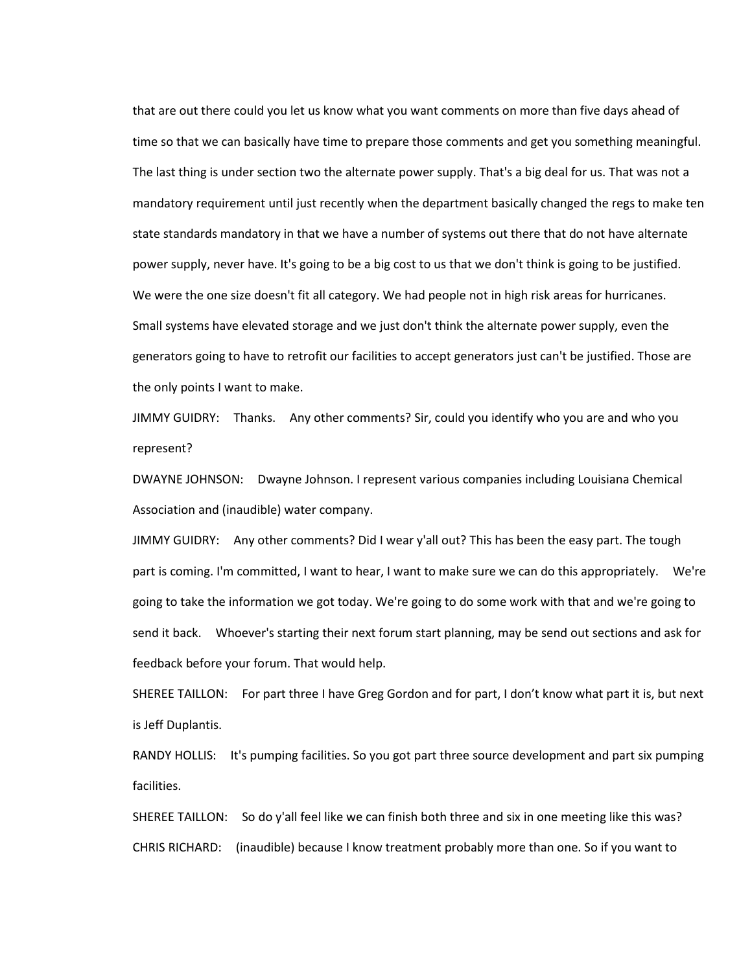that are out there could you let us know what you want comments on more than five days ahead of time so that we can basically have time to prepare those comments and get you something meaningful. The last thing is under section two the alternate power supply. That's a big deal for us. That was not a mandatory requirement until just recently when the department basically changed the regs to make ten state standards mandatory in that we have a number of systems out there that do not have alternate power supply, never have. It's going to be a big cost to us that we don't think is going to be justified. We were the one size doesn't fit all category. We had people not in high risk areas for hurricanes. Small systems have elevated storage and we just don't think the alternate power supply, even the generators going to have to retrofit our facilities to accept generators just can't be justified. Those are the only points I want to make.

JIMMY GUIDRY: Thanks. Any other comments? Sir, could you identify who you are and who you represent?

DWAYNE JOHNSON: Dwayne Johnson. I represent various companies including Louisiana Chemical Association and (inaudible) water company.

JIMMY GUIDRY: Any other comments? Did I wear y'all out? This has been the easy part. The tough part is coming. I'm committed, I want to hear, I want to make sure we can do this appropriately. We're going to take the information we got today. We're going to do some work with that and we're going to send it back. Whoever's starting their next forum start planning, may be send out sections and ask for feedback before your forum. That would help.

SHEREE TAILLON: For part three I have Greg Gordon and for part, I don't know what part it is, but next is Jeff Duplantis.

RANDY HOLLIS: It's pumping facilities. So you got part three source development and part six pumping facilities.

SHEREE TAILLON: So do y'all feel like we can finish both three and six in one meeting like this was? CHRIS RICHARD: (inaudible) because I know treatment probably more than one. So if you want to